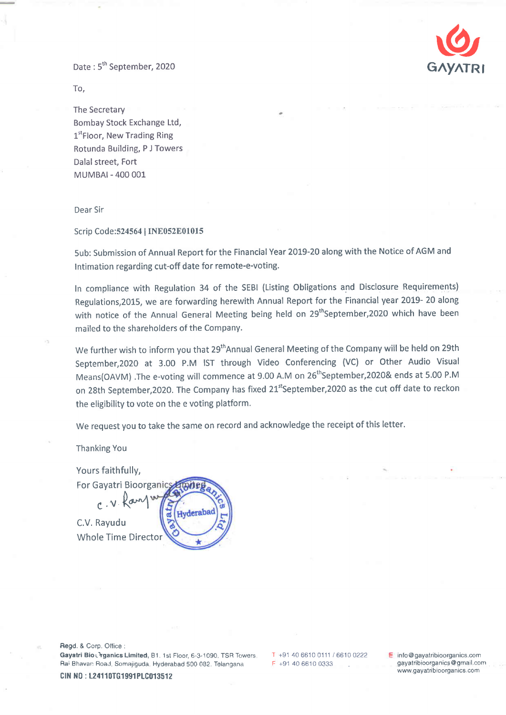# Date: 5<sup>th</sup> September, 2020



To,

The Secretary Bombay Stock Exchange Ltd, 1<sup>st</sup>Floor, New Trading Ring Rotunda Building, P J Towers Dalal street, Fort MUMBAI - 400 001

Dear Sir

#### Scrip Code:524564 | INE052E01015

Sub: Submission of Annual Report for the Financial Year 2019-20 along with the Notice of AGM and intimation regarding cut-off date for remote-e-voting.

In compliance with Regulation 34 of the SEBI (Listing Obligations and Disclosure Requirements) Regulations,2015, we are forwarding herewith Annual Report for the Financial year 2019- 20 along with notice of the Annual General Meeting being held on 29<sup>th</sup>September, 2020 which have been mailed to the shareholders of the Company.

We further wish to inform you that 29<sup>th</sup> Annual General Meeting of the Company will be held on 29th September,2020 at 3.00 P.M IST through Video Conferencing (VC) or Other Audio Visual Means(OAVM) .The e-voting will commence at 9.00 A.M on 26<sup>th</sup>September, 2020& ends at 5.00 P.M on 28th September, 2020. The Company has fixed 21<sup>st</sup>September, 2020 as the cut off date to reckon the eligibility to vote on the e voting platform.

We request you to take the same on record and acknowledge the receipt of this letter.

Thanking You

Yours faithfully,

For Gayatri Bioorganics

C.V. Rayudu Whole Time Director



1st Floor, 6-3<br>Ierabad 500<br>112<br>112 Regd. & Corp. Office : Gayatri Bio L'rganics Limited, B1. 1st Floor, 6-3-1090. TSR Towers Rai Bhavan Road, Somajiguda, Hyderabad 500 082. Telangana

T +91 40 6610 0111 / 6610 0222 F +91 40 6610 0333

info@gayatribioorganics.com gayatribioorganics @gmail.com www.gayatribioorganics.com

CIN NO : L24110TG1991PLC013512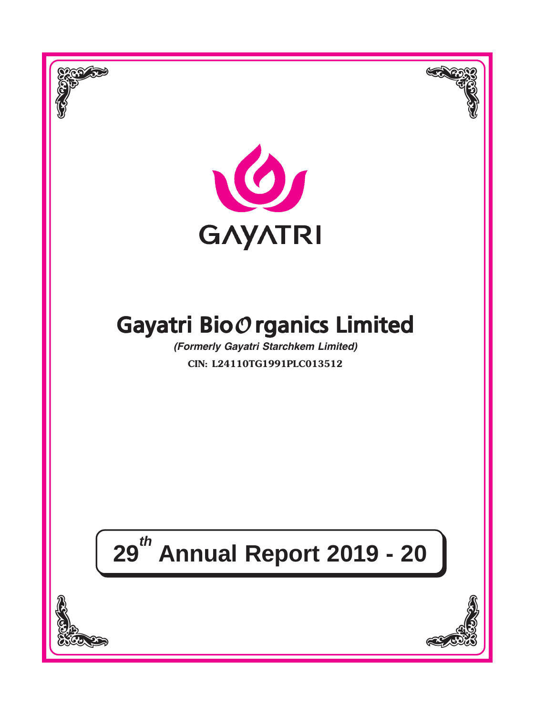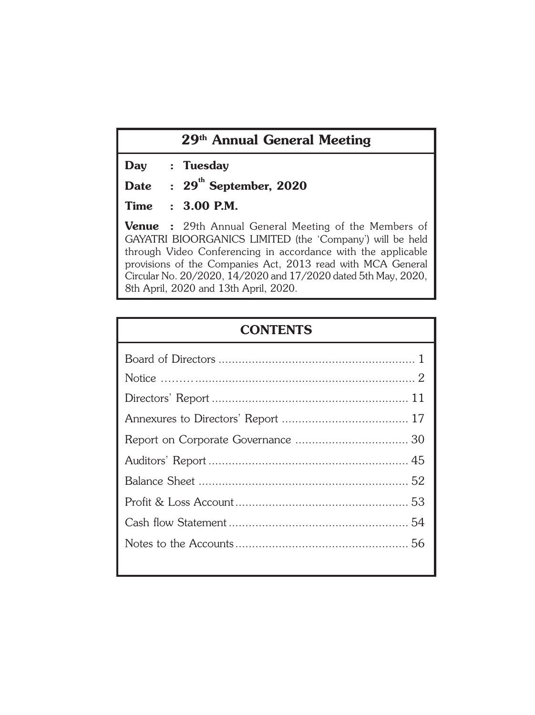# 29th Annual General Meeting

Day : Tuesday

Date : 29<sup>th</sup> September, 2020

Time : 3.00 P.M.

Venue : 29th Annual General Meeting of the Members of GAYATRI BIOORGANICS LIMITED (the 'Company') will be held through Video Conferencing in accordance with the applicable provisions of the Companies Act, 2013 read with MCA General Circular No. 20/2020, 14/2020 and 17/2020 dated 5th May, 2020, 8th April, 2020 and 13th April, 2020.

# **CONTENTS**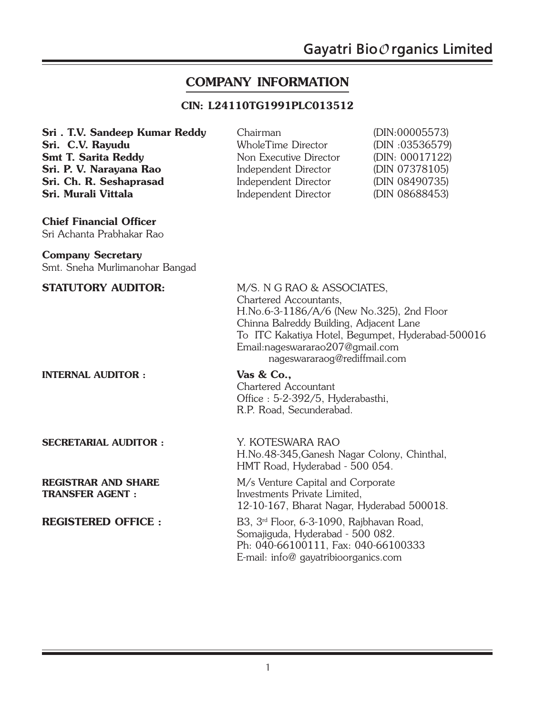# COMPANY INFORMATION

# CIN: L24110TG1991PLC013512

Sri . T.V. Sandeep Kumar Reddy Chairman (DIN:00005573) Sri. C.V. Rayudu WholeTime Director (DIN :03536579)<br>
Smt T. Sarita Reddy Non Executive Director (DIN: 00017122) Smt T. Sarita Reddy<br>
Sri. P. V. Narayana Rao<br>
Independent Director (DIN: 00017122)<br>
(DIN: 07378105) Sri. P. V. Narayana Rao Sri. Ch. R. Seshaprasad Independent Director (DIN 08490735)<br>
Sri. Murali Vittala Independent Director (DIN 08688453)

Independent Director (DIN 08688453)

# Chief Financial Officer

Sri Achanta Prabhakar Rao

## Company Secretary

Smt. Sneha Murlimanohar Bangad

| <b>STATUTORY AUDITOR:</b>                            | M/S. N G RAO & ASSOCIATES,<br>Chartered Accountants,<br>H.No.6-3-1186/A/6 (New No.325), 2nd Floor<br>Chinna Balreddy Building, Adjacent Lane<br>To ITC Kakatiya Hotel, Begumpet, Hyderabad-500016<br>Email:nageswararao207@gmail.com<br>nageswararaog@rediffmail.com |
|------------------------------------------------------|----------------------------------------------------------------------------------------------------------------------------------------------------------------------------------------------------------------------------------------------------------------------|
| <b>INTERNAL AUDITOR :</b>                            | Vas & Co.,<br>Chartered Accountant<br>Office: 5-2-392/5, Hyderabasthi,<br>R.P. Road, Secunderabad.                                                                                                                                                                   |
| <b>SECRETARIAL AUDITOR :</b>                         | Y. KOTESWARA RAO<br>H.No.48-345, Ganesh Nagar Colony, Chinthal,<br>HMT Road, Hyderabad - 500 054.                                                                                                                                                                    |
| <b>REGISTRAR AND SHARE</b><br><b>TRANSFER AGENT:</b> | M/s Venture Capital and Corporate<br>Investments Private Limited,<br>12-10-167, Bharat Nagar, Hyderabad 500018.                                                                                                                                                      |
| <b>REGISTERED OFFICE:</b>                            | B3, 3 <sup>rd</sup> Floor, 6-3-1090, Rajbhavan Road,<br>Somajiguda, Hyderabad - 500 082.<br>Ph: 040-66100111, Fax: 040-66100333<br>E-mail: info@ gayatribioorganics.com                                                                                              |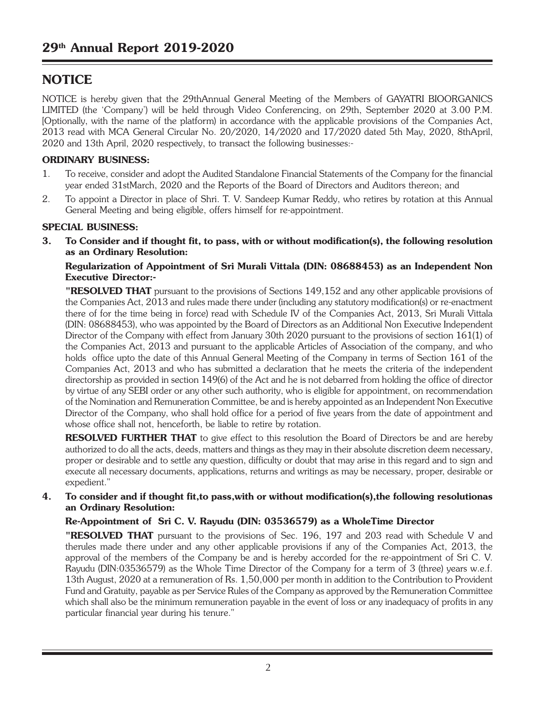# **NOTICE**

NOTICE is hereby given that the 29thAnnual General Meeting of the Members of GAYATRI BIOORGANICS LIMITED (the 'Company') will be held through Video Conferencing, on 29th, September 2020 at 3.00 P.M. [Optionally, with the name of the platform) in accordance with the applicable provisions of the Companies Act, 2013 read with MCA General Circular No. 20/2020, 14/2020 and 17/2020 dated 5th May, 2020, 8thApril, 2020 and 13th April, 2020 respectively, to transact the following businesses:-

## ORDINARY BUSINESS:

- 1. To receive, consider and adopt the Audited Standalone Financial Statements of the Company for the financial year ended 31stMarch, 2020 and the Reports of the Board of Directors and Auditors thereon; and
- 2. To appoint a Director in place of Shri. T. V. Sandeep Kumar Reddy, who retires by rotation at this Annual General Meeting and being eligible, offers himself for re-appointment.

# SPECIAL BUSINESS:

3. To Consider and if thought fit, to pass, with or without modification(s), the following resolution as an Ordinary Resolution:

## Regularization of Appointment of Sri Murali Vittala (DIN: 08688453) as an Independent Non Executive Director:-

**"RESOLVED THAT** pursuant to the provisions of Sections 149,152 and any other applicable provisions of the Companies Act, 2013 and rules made there under (including any statutory modification(s) or re-enactment there of for the time being in force) read with Schedule IV of the Companies Act, 2013, Sri Murali Vittala (DIN: 08688453), who was appointed by the Board of Directors as an Additional Non Executive Independent Director of the Company with effect from January 30th 2020 pursuant to the provisions of section 161(1) of the Companies Act, 2013 and pursuant to the applicable Articles of Association of the company, and who holds office upto the date of this Annual General Meeting of the Company in terms of Section 161 of the Companies Act, 2013 and who has submitted a declaration that he meets the criteria of the independent directorship as provided in section 149(6) of the Act and he is not debarred from holding the office of director by virtue of any SEBI order or any other such authority, who is eligible for appointment, on recommendation of the Nomination and Remuneration Committee, be and is hereby appointed as an Independent Non Executive Director of the Company, who shall hold office for a period of five years from the date of appointment and whose office shall not, henceforth, be liable to retire by rotation.

RESOLVED FURTHER THAT to give effect to this resolution the Board of Directors be and are hereby authorized to do all the acts, deeds, matters and things as they may in their absolute discretion deem necessary, proper or desirable and to settle any question, difficulty or doubt that may arise in this regard and to sign and execute all necessary documents, applications, returns and writings as may be necessary, proper, desirable or expedient."

#### 4. To consider and if thought fit,to pass,with or without modification(s),the following resolutionas an Ordinary Resolution:

## Re-Appointment of Sri C. V. Rayudu (DIN: 03536579) as a WholeTime Director

**"RESOLVED THAT** pursuant to the provisions of Sec. 196, 197 and 203 read with Schedule V and therules made there under and any other applicable provisions if any of the Companies Act, 2013, the approval of the members of the Company be and is hereby accorded for the re-appointment of Sri C. V. Rayudu (DIN:03536579) as the Whole Time Director of the Company for a term of 3 (three) years w.e.f. 13th August, 2020 at a remuneration of Rs. 1,50,000 per month in addition to the Contribution to Provident Fund and Gratuity, payable as per Service Rules of the Company as approved by the Remuneration Committee which shall also be the minimum remuneration payable in the event of loss or any inadequacy of profits in any particular financial year during his tenure."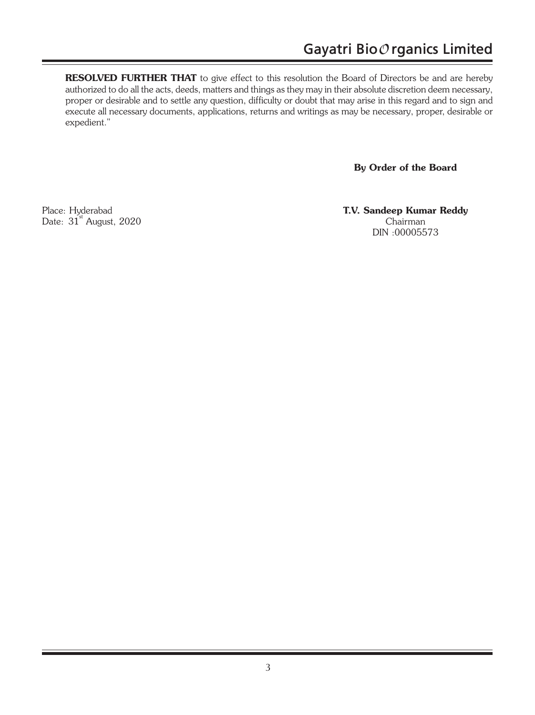RESOLVED FURTHER THAT to give effect to this resolution the Board of Directors be and are hereby authorized to do all the acts, deeds, matters and things as they may in their absolute discretion deem necessary, proper or desirable and to settle any question, difficulty or doubt that may arise in this regard and to sign and execute all necessary documents, applications, returns and writings as may be necessary, proper, desirable or expedient."

By Order of the Board

Date:  $31^{\text{st}}$  August, 2020

Place: Hyderabad **T.V. Sandeep Kumar Reddy**<br>Date: 31<sup>st</sup> August. 2020 DIN :00005573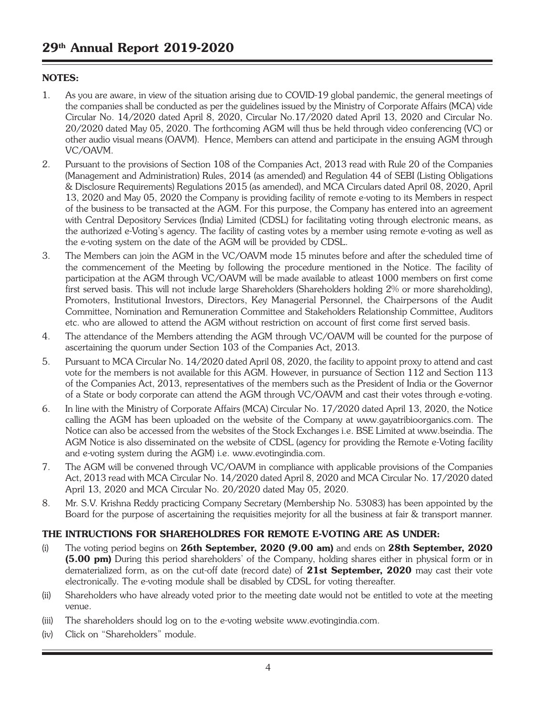# NOTES:

- 1. As you are aware, in view of the situation arising due to COVID-19 global pandemic, the general meetings of the companies shall be conducted as per the guidelines issued by the Ministry of Corporate Affairs (MCA) vide Circular No. 14/2020 dated April 8, 2020, Circular No.17/2020 dated April 13, 2020 and Circular No. 20/2020 dated May 05, 2020. The forthcoming AGM will thus be held through video conferencing (VC) or other audio visual means (OAVM). Hence, Members can attend and participate in the ensuing AGM through VC/OAVM.
- 2. Pursuant to the provisions of Section 108 of the Companies Act, 2013 read with Rule 20 of the Companies (Management and Administration) Rules, 2014 (as amended) and Regulation 44 of SEBI (Listing Obligations & Disclosure Requirements) Regulations 2015 (as amended), and MCA Circulars dated April 08, 2020, April 13, 2020 and May 05, 2020 the Company is providing facility of remote e-voting to its Members in respect of the business to be transacted at the AGM. For this purpose, the Company has entered into an agreement with Central Depository Services (India) Limited (CDSL) for facilitating voting through electronic means, as the authorized e-Voting's agency. The facility of casting votes by a member using remote e-voting as well as the e-voting system on the date of the AGM will be provided by CDSL.
- 3. The Members can join the AGM in the VC/OAVM mode 15 minutes before and after the scheduled time of the commencement of the Meeting by following the procedure mentioned in the Notice. The facility of participation at the AGM through VC/OAVM will be made available to atleast 1000 members on first come first served basis. This will not include large Shareholders (Shareholders holding 2% or more shareholding), Promoters, Institutional Investors, Directors, Key Managerial Personnel, the Chairpersons of the Audit Committee, Nomination and Remuneration Committee and Stakeholders Relationship Committee, Auditors etc. who are allowed to attend the AGM without restriction on account of first come first served basis.
- 4. The attendance of the Members attending the AGM through VC/OAVM will be counted for the purpose of ascertaining the quorum under Section 103 of the Companies Act, 2013.
- 5. Pursuant to MCA Circular No. 14/2020 dated April 08, 2020, the facility to appoint proxy to attend and cast vote for the members is not available for this AGM. However, in pursuance of Section 112 and Section 113 of the Companies Act, 2013, representatives of the members such as the President of India or the Governor of a State or body corporate can attend the AGM through VC/OAVM and cast their votes through e-voting.
- 6. In line with the Ministry of Corporate Affairs (MCA) Circular No. 17/2020 dated April 13, 2020, the Notice calling the AGM has been uploaded on the website of the Company at www.gayatribioorganics.com. The Notice can also be accessed from the websites of the Stock Exchanges i.e. BSE Limited at www.bseindia. The AGM Notice is also disseminated on the website of CDSL (agency for providing the Remote e-Voting facility and e-voting system during the AGM) i.e. www.evotingindia.com.
- 7. The AGM will be convened through VC/OAVM in compliance with applicable provisions of the Companies Act, 2013 read with MCA Circular No. 14/2020 dated April 8, 2020 and MCA Circular No. 17/2020 dated April 13, 2020 and MCA Circular No. 20/2020 dated May 05, 2020.
- 8. Mr. S.V. Krishna Reddy practicing Company Secretary (Membership No. 53083) has been appointed by the Board for the purpose of ascertaining the requisities mejority for all the business at fair & transport manner.

## THE INTRUCTIONS FOR SHAREHOLDRES FOR REMOTE E-VOTING ARE AS UNDER:

- (i) The voting period begins on 26th September, 2020 (9.00 am) and ends on 28th September, 2020 (5.00 pm) During this period shareholders' of the Company, holding shares either in physical form or in dematerialized form, as on the cut-off date (record date) of 21st September, 2020 may cast their vote electronically. The e-voting module shall be disabled by CDSL for voting thereafter.
- (ii) Shareholders who have already voted prior to the meeting date would not be entitled to vote at the meeting venue.
- (iii) The shareholders should log on to the e-voting website www.evotingindia.com.
- (iv) Click on "Shareholders" module.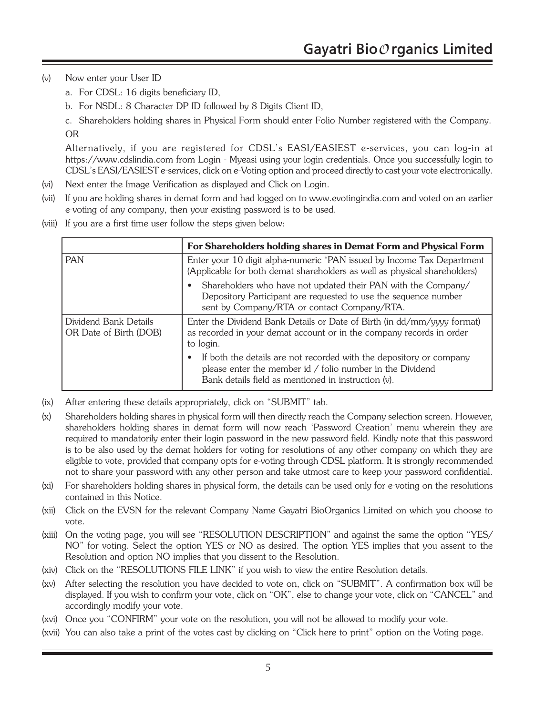(v) Now enter your User ID

- a. For CDSL: 16 digits beneficiary ID,
- b. For NSDL: 8 Character DP ID followed by 8 Digits Client ID,
- c. Shareholders holding shares in Physical Form should enter Folio Number registered with the Company. OR

Alternatively, if you are registered for CDSL's EASI/EASIEST e-services, you can log-in at https://www.cdslindia.com from Login - Myeasi using your login credentials. Once you successfully login to CDSL's EASI/EASIEST e-services, click on e-Voting option and proceed directly to cast your vote electronically.

- (vi) Next enter the Image Verification as displayed and Click on Login.
- (vii) If you are holding shares in demat form and had logged on to www.evotingindia.com and voted on an earlier e-voting of any company, then your existing password is to be used.
- (viii) If you are a first time user follow the steps given below:

|                                                 | For Shareholders holding shares in Demat Form and Physical Form                                                                                                                              |  |
|-------------------------------------------------|----------------------------------------------------------------------------------------------------------------------------------------------------------------------------------------------|--|
| <b>PAN</b>                                      | Enter your 10 digit alpha-numeric *PAN issued by Income Tax Department<br>(Applicable for both demat shareholders as well as physical shareholders)                                          |  |
|                                                 | Shareholders who have not updated their PAN with the Company/<br>Depository Participant are requested to use the sequence number<br>sent by Company/RTA or contact Company/RTA.              |  |
| Dividend Bank Details<br>OR Date of Birth (DOB) | Enter the Dividend Bank Details or Date of Birth (in dd/mm/yyyy format)<br>as recorded in your demat account or in the company records in order<br>to login.                                 |  |
|                                                 | If both the details are not recorded with the depository or company<br>٠<br>please enter the member id / folio number in the Dividend<br>Bank details field as mentioned in instruction (v). |  |

- (ix) After entering these details appropriately, click on "SUBMIT" tab.
- (x) Shareholders holding shares in physical form will then directly reach the Company selection screen. However, shareholders holding shares in demat form will now reach 'Password Creation' menu wherein they are required to mandatorily enter their login password in the new password field. Kindly note that this password is to be also used by the demat holders for voting for resolutions of any other company on which they are eligible to vote, provided that company opts for e-voting through CDSL platform. It is strongly recommended not to share your password with any other person and take utmost care to keep your password confidential.
- (xi) For shareholders holding shares in physical form, the details can be used only for e-voting on the resolutions contained in this Notice.
- (xii) Click on the EVSN for the relevant Company Name Gayatri BioOrganics Limited on which you choose to vote.
- (xiii) On the voting page, you will see "RESOLUTION DESCRIPTION" and against the same the option "YES/ NO" for voting. Select the option YES or NO as desired. The option YES implies that you assent to the Resolution and option NO implies that you dissent to the Resolution.
- (xiv) Click on the "RESOLUTIONS FILE LINK" if you wish to view the entire Resolution details.
- (xv) After selecting the resolution you have decided to vote on, click on "SUBMIT". A confirmation box will be displayed. If you wish to confirm your vote, click on "OK", else to change your vote, click on "CANCEL" and accordingly modify your vote.
- (xvi) Once you "CONFIRM" your vote on the resolution, you will not be allowed to modify your vote.
- (xvii) You can also take a print of the votes cast by clicking on "Click here to print" option on the Voting page.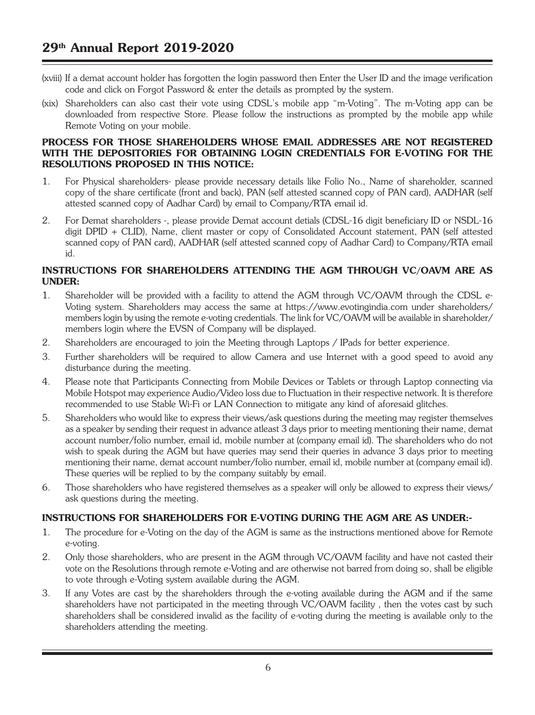- (xviii) If a demat account holder has forgotten the login password then Enter the User ID and the image verification code and click on Forgot Password & enter the details as prompted by the system.
- (xix) Shareholders can also cast their vote using CDSL's mobile app "m-Voting". The m-Voting app can be downloaded from respective Store. Please follow the instructions as prompted by the mobile app while Remote Voting on your mobile.

#### PROCESS FOR THOSE SHAREHOLDERS WHOSE EMAIL ADDRESSES ARE NOT REGISTERED WITH THE DEPOSITORIES FOR OBTAINING LOGIN CREDENTIALS FOR E-VOTING FOR THE RESOLUTIONS PROPOSED IN THIS NOTICE:

- 1. For Physical shareholders- please provide necessary details like Folio No., Name of shareholder, scanned copy of the share certificate (front and back), PAN (self attested scanned copy of PAN card), AADHAR (self attested scanned copy of Aadhar Card) by email to Company/RTA email id.
- 2. For Demat shareholders -, please provide Demat account detials (CDSL-16 digit beneficiary ID or NSDL-16 digit DPID + CLID), Name, client master or copy of Consolidated Account statement, PAN (self attested scanned copy of PAN card), AADHAR (self attested scanned copy of Aadhar Card) to Company/RTA email id.

## INSTRUCTIONS FOR SHAREHOLDERS ATTENDING THE AGM THROUGH VC/OAVM ARE AS UNDER:

- 1. Shareholder will be provided with a facility to attend the AGM through VC/OAVM through the CDSL e-Voting system. Shareholders may access the same at https://www.evotingindia.com under shareholders/ members login by using the remote e-voting credentials. The link for VC/OAVM will be available in shareholder/ members login where the EVSN of Company will be displayed.
- 2. Shareholders are encouraged to join the Meeting through Laptops / IPads for better experience.
- 3. Further shareholders will be required to allow Camera and use Internet with a good speed to avoid any disturbance during the meeting.
- 4. Please note that Participants Connecting from Mobile Devices or Tablets or through Laptop connecting via Mobile Hotspot may experience Audio/Video loss due to Fluctuation in their respective network. It is therefore recommended to use Stable Wi-Fi or LAN Connection to mitigate any kind of aforesaid glitches.
- 5. Shareholders who would like to express their views/ask questions during the meeting may register themselves as a speaker by sending their request in advance atleast 3 days prior to meeting mentioning their name, demat account number/folio number, email id, mobile number at (company email id). The shareholders who do not wish to speak during the AGM but have queries may send their queries in advance 3 days prior to meeting mentioning their name, demat account number/folio number, email id, mobile number at (company email id). These queries will be replied to by the company suitably by email.
- 6. Those shareholders who have registered themselves as a speaker will only be allowed to express their views/ ask questions during the meeting.

# INSTRUCTIONS FOR SHAREHOLDERS FOR E-VOTING DURING THE AGM ARE AS UNDER:-

- 1. The procedure for e-Voting on the day of the AGM is same as the instructions mentioned above for Remote e-voting.
- 2. Only those shareholders, who are present in the AGM through VC/OAVM facility and have not casted their vote on the Resolutions through remote e-Voting and are otherwise not barred from doing so, shall be eligible to vote through e-Voting system available during the AGM.
- 3. If any Votes are cast by the shareholders through the e-voting available during the AGM and if the same shareholders have not participated in the meeting through VC/OAVM facility , then the votes cast by such shareholders shall be considered invalid as the facility of e-voting during the meeting is available only to the shareholders attending the meeting.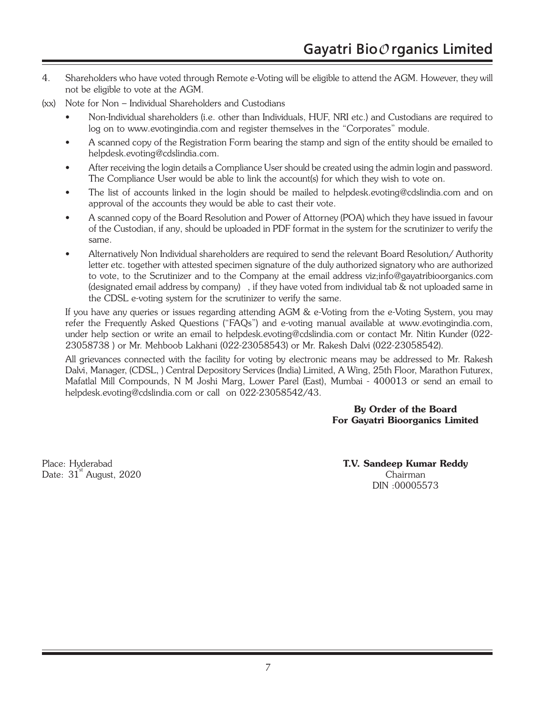- 4. Shareholders who have voted through Remote e-Voting will be eligible to attend the AGM. However, they will not be eligible to vote at the AGM.
- (xx) Note for Non Individual Shareholders and Custodians
	- Non-Individual shareholders (i.e. other than Individuals, HUF, NRI etc.) and Custodians are required to log on to www.evotingindia.com and register themselves in the "Corporates" module.
	- A scanned copy of the Registration Form bearing the stamp and sign of the entity should be emailed to helpdesk.evoting@cdslindia.com.
	- After receiving the login details a Compliance User should be created using the admin login and password. The Compliance User would be able to link the account(s) for which they wish to vote on.
	- The list of accounts linked in the login should be mailed to helpdesk.evoting@cdslindia.com and on approval of the accounts they would be able to cast their vote.
	- A scanned copy of the Board Resolution and Power of Attorney (POA) which they have issued in favour of the Custodian, if any, should be uploaded in PDF format in the system for the scrutinizer to verify the same.
	- Alternatively Non Individual shareholders are required to send the relevant Board Resolution/ Authority letter etc. together with attested specimen signature of the duly authorized signatory who are authorized to vote, to the Scrutinizer and to the Company at the email address viz;info@gayatribioorganics.com (designated email address by company) , if they have voted from individual tab & not uploaded same in the CDSL e-voting system for the scrutinizer to verify the same.

If you have any queries or issues regarding attending AGM & e-Voting from the e-Voting System, you may refer the Frequently Asked Questions ("FAQs") and e-voting manual available at www.evotingindia.com, under help section or write an email to helpdesk.evoting@cdslindia.com or contact Mr. Nitin Kunder (022- 23058738 ) or Mr. Mehboob Lakhani (022-23058543) or Mr. Rakesh Dalvi (022-23058542).

All grievances connected with the facility for voting by electronic means may be addressed to Mr. Rakesh Dalvi, Manager, (CDSL, ) Central Depository Services (India) Limited, A Wing, 25th Floor, Marathon Futurex, Mafatlal Mill Compounds, N M Joshi Marg, Lower Parel (East), Mumbai - 400013 or send an email to helpdesk.evoting@cdslindia.com or call on 022-23058542/43.

> By Order of the Board For Gayatri Bioorganics Limited

Date:  $31^{\text{st}}$  August, 2020

Place: Hyderabad **T.V. Sandeep Kumar Reddy** DIN :00005573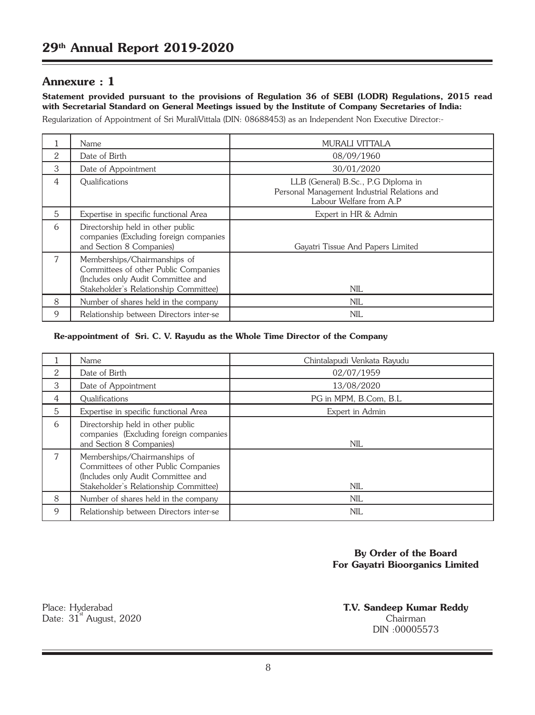# Annexure : 1

Statement provided pursuant to the provisions of Regulation 36 of SEBI (LODR) Regulations, 2015 read with Secretarial Standard on General Meetings issued by the Institute of Company Secretaries of India:

Regularization of Appointment of Sri MuraliVittala (DIN: 08688453) as an Independent Non Executive Director:-

|                | Name                                                                                                                                                | <b>MURALI VITTALA</b>                                                                                          |
|----------------|-----------------------------------------------------------------------------------------------------------------------------------------------------|----------------------------------------------------------------------------------------------------------------|
| $\mathcal{P}$  | Date of Birth                                                                                                                                       | 08/09/1960                                                                                                     |
| 3              | Date of Appointment                                                                                                                                 | 30/01/2020                                                                                                     |
| $\overline{4}$ | Qualifications                                                                                                                                      | LLB (General) B.Sc., P.G Diploma in<br>Personal Management Industrial Relations and<br>Labour Welfare from A.P |
| 5              | Expertise in specific functional Area                                                                                                               | Expert in HR & Admin                                                                                           |
| 6              | Directorship held in other public<br>companies (Excluding foreign companies<br>and Section 8 Companies)                                             | Gayatri Tissue And Papers Limited                                                                              |
| 7              | Memberships/Chairmanships of<br>Committees of other Public Companies<br>(Includes only Audit Committee and<br>Stakeholder's Relationship Committee) | <b>NIL</b>                                                                                                     |
| 8              | Number of shares held in the company                                                                                                                | NIL                                                                                                            |
| 9              | Relationship between Directors inter-se                                                                                                             | NIL                                                                                                            |

Re-appointment of Sri. C. V. Rayudu as the Whole Time Director of the Company

|                | <b>Name</b>                                                                                                                                         | Chintalapudi Venkata Rayudu |
|----------------|-----------------------------------------------------------------------------------------------------------------------------------------------------|-----------------------------|
| 2              | Date of Birth                                                                                                                                       | 02/07/1959                  |
| 3              | Date of Appointment                                                                                                                                 | 13/08/2020                  |
| $\overline{4}$ | Qualifications                                                                                                                                      | PG in MPM, B.Com, B.L       |
| 5              | Expertise in specific functional Area                                                                                                               | Expert in Admin             |
| 6              | Directorship held in other public<br>companies (Excluding foreign companies)<br>and Section 8 Companies)                                            | <b>NIL</b>                  |
| 7              | Memberships/Chairmanships of<br>Committees of other Public Companies<br>(Includes only Audit Committee and<br>Stakeholder's Relationship Committee) | <b>NIL</b>                  |
| 8              | Number of shares held in the company                                                                                                                | <b>NIL</b>                  |
| 9              | Relationship between Directors inter-se                                                                                                             | NIL                         |

#### By Order of the Board For Gayatri Bioorganics Limited

Date:  $31^{\text{st}}$  August, 2020

Place: Hyderabad T.V. Sandeep Kumar Reddy DIN :00005573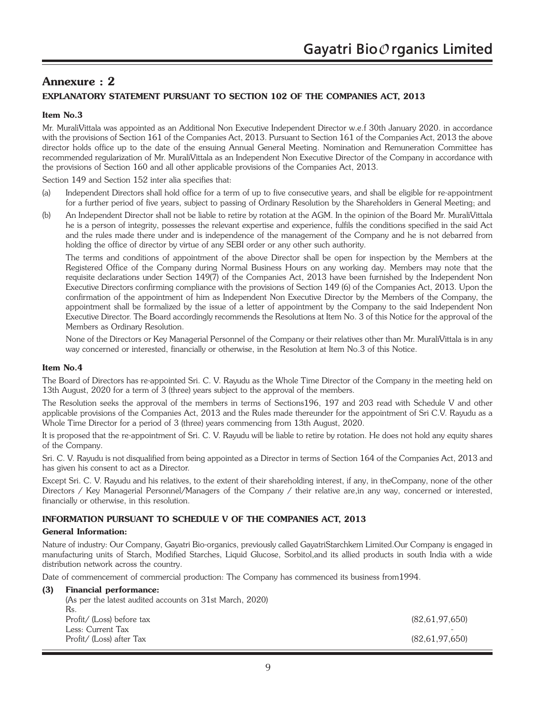# Annexure : 2 EXPLANATORY STATEMENT PURSUANT TO SECTION 102 OF THE COMPANIES ACT, 2013

#### Item No.3

Mr. MuraliVittala was appointed as an Additional Non Executive Independent Director w.e.f 30th January 2020. in accordance with the provisions of Section 161 of the Companies Act, 2013. Pursuant to Section 161 of the Companies Act, 2013 the above director holds office up to the date of the ensuing Annual General Meeting. Nomination and Remuneration Committee has recommended regularization of Mr. MuraliVittala as an Independent Non Executive Director of the Company in accordance with the provisions of Section 160 and all other applicable provisions of the Companies Act, 2013.

Section 149 and Section 152 inter alia specifies that:

- (a) Independent Directors shall hold office for a term of up to five consecutive years, and shall be eligible for re-appointment for a further period of five years, subject to passing of Ordinary Resolution by the Shareholders in General Meeting; and
- (b) An Independent Director shall not be liable to retire by rotation at the AGM. In the opinion of the Board Mr. MuraliVittala he is a person of integrity, possesses the relevant expertise and experience, fulfils the conditions specified in the said Act and the rules made there under and is independence of the management of the Company and he is not debarred from holding the office of director by virtue of any SEBI order or any other such authority.

The terms and conditions of appointment of the above Director shall be open for inspection by the Members at the Registered Office of the Company during Normal Business Hours on any working day. Members may note that the requisite declarations under Section 149(7) of the Companies Act, 2013 have been furnished by the Independent Non Executive Directors confirming compliance with the provisions of Section 149 (6) of the Companies Act, 2013. Upon the confirmation of the appointment of him as Independent Non Executive Director by the Members of the Company, the appointment shall be formalized by the issue of a letter of appointment by the Company to the said Independent Non Executive Director. The Board accordingly recommends the Resolutions at Item No. 3 of this Notice for the approval of the Members as Ordinary Resolution.

None of the Directors or Key Managerial Personnel of the Company or their relatives other than Mr. MuraliVittala is in any way concerned or interested, financially or otherwise, in the Resolution at Item No.3 of this Notice.

#### Item No.4

The Board of Directors has re-appointed Sri. C. V. Rayudu as the Whole Time Director of the Company in the meeting held on 13th August, 2020 for a term of 3 (three) years subject to the approval of the members.

The Resolution seeks the approval of the members in terms of Sections196, 197 and 203 read with Schedule V and other applicable provisions of the Companies Act, 2013 and the Rules made thereunder for the appointment of Sri C.V. Rayudu as a Whole Time Director for a period of 3 (three) years commencing from 13th August, 2020.

It is proposed that the re-appointment of Sri. C. V. Rayudu will be liable to retire by rotation. He does not hold any equity shares of the Company.

Sri. C. V. Rayudu is not disqualified from being appointed as a Director in terms of Section 164 of the Companies Act, 2013 and has given his consent to act as a Director.

Except Sri. C. V. Rayudu and his relatives, to the extent of their shareholding interest, if any, in theCompany, none of the other Directors / Key Managerial Personnel/Managers of the Company / their relative are, in any way, concerned or interested, financially or otherwise, in this resolution.

#### INFORMATION PURSUANT TO SCHEDULE V OF THE COMPANIES ACT, 2013

#### General Information:

Nature of industry: Our Company, Gayatri Bio-organics, previously called GayatriStarchkem Limited.Our Company is engaged in manufacturing units of Starch, Modified Starches, Liquid Glucose, Sorbitol,and its allied products in south India with a wide distribution network across the country.

Date of commencement of commercial production: The Company has commenced its business from1994.

#### (3) Financial performance:

| (As per the latest audited accounts on 31st March, 2020) |                |
|----------------------------------------------------------|----------------|
| Rs.                                                      |                |
| Profit/ (Loss) before tax                                | (82,61,97,650) |
| Less: Current Tax                                        |                |
| Profit/ (Loss) after Tax                                 | (82,61,97,650) |
|                                                          |                |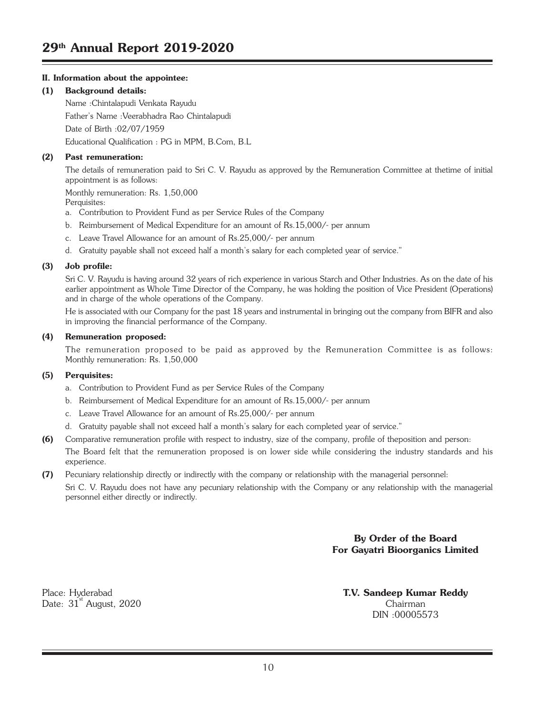#### II. Information about the appointee:

#### (1) Background details:

Name :Chintalapudi Venkata Rayudu Father's Name :Veerabhadra Rao Chintalapudi Date of Birth :02/07/1959 Educational Qualification : PG in MPM, B.Com, B.L

#### (2) Past remuneration:

The details of remuneration paid to Sri C. V. Rayudu as approved by the Remuneration Committee at thetime of initial appointment is as follows:

Monthly remuneration: Rs. 1,50,000 Perquisites:

- a. Contribution to Provident Fund as per Service Rules of the Company
- b. Reimbursement of Medical Expenditure for an amount of Rs.15,000/- per annum
- c. Leave Travel Allowance for an amount of Rs.25,000/- per annum
- d. Gratuity payable shall not exceed half a month's salary for each completed year of service."

#### (3) Job profile:

Sri C. V. Rayudu is having around 32 years of rich experience in various Starch and Other Industries. As on the date of his earlier appointment as Whole Time Director of the Company, he was holding the position of Vice President (Operations) and in charge of the whole operations of the Company.

He is associated with our Company for the past 18 years and instrumental in bringing out the company from BIFR and also in improving the financial performance of the Company.

#### (4) Remuneration proposed:

The remuneration proposed to be paid as approved by the Remuneration Committee is as follows: Monthly remuneration: Rs. 1,50,000

#### (5) Perquisites:

- a. Contribution to Provident Fund as per Service Rules of the Company
- b. Reimbursement of Medical Expenditure for an amount of Rs.15,000/- per annum
- c. Leave Travel Allowance for an amount of Rs.25,000/- per annum
- d. Gratuity payable shall not exceed half a month's salary for each completed year of service."
- (6) Comparative remuneration profile with respect to industry, size of the company, profile of theposition and person: The Board felt that the remuneration proposed is on lower side while considering the industry standards and his experience.
- (7) Pecuniary relationship directly or indirectly with the company or relationship with the managerial personnel: Sri C. V. Rayudu does not have any pecuniary relationship with the Company or any relationship with the managerial personnel either directly or indirectly.

By Order of the Board For Gayatri Bioorganics Limited

Date:  $31<sup>st</sup>$  August, 2020 Chairman

Place: Hyderabad T.V. Sandeep Kumar Reddy DIN :00005573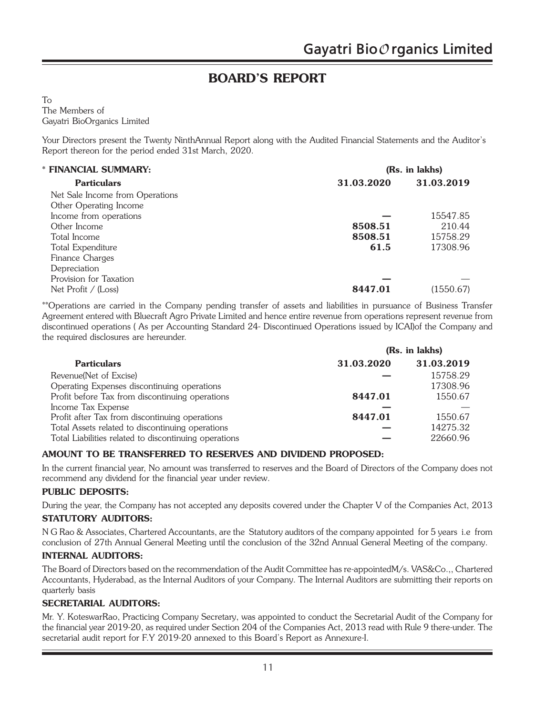# BOARD'S REPORT

To The Members of Gayatri BioOrganics Limited

Your Directors present the Twenty NinthAnnual Report along with the Audited Financial Statements and the Auditor's Report thereon for the period ended 31st March, 2020.

| * FINANCIAL SUMMARY:            |            | (Rs. in lakhs) |
|---------------------------------|------------|----------------|
| <b>Particulars</b>              | 31.03.2020 | 31.03.2019     |
| Net Sale Income from Operations |            |                |
| Other Operating Income          |            |                |
| Income from operations          |            | 15547.85       |
| Other Income                    | 8508.51    | 210.44         |
| Total Income                    | 8508.51    | 15758.29       |
| Total Expenditure               | 61.5       | 17308.96       |
| Finance Charges                 |            |                |
| Depreciation                    |            |                |
| Provision for Taxation          |            |                |
| Net Profit / (Loss)             | 8447.01    | (1550.67)      |

\*\*Operations are carried in the Company pending transfer of assets and liabilities in pursuance of Business Transfer Agreement entered with Bluecraft Agro Private Limited and hence entire revenue from operations represent revenue from discontinued operations ( As per Accounting Standard 24- Discontinued Operations issued by ICAI)of the Company and the required disclosures are hereunder.

|                                                       |            | (Rs. in lakhs) |
|-------------------------------------------------------|------------|----------------|
| <b>Particulars</b>                                    | 31.03.2020 | 31.03.2019     |
| Revenue(Net of Excise)                                |            | 15758.29       |
| Operating Expenses discontinuing operations           |            | 17308.96       |
| Profit before Tax from discontinuing operations       | 8447.01    | 1550.67        |
| Income Tax Expense                                    |            |                |
| Profit after Tax from discontinuing operations        | 8447.01    | 1550.67        |
| Total Assets related to discontinuing operations      |            | 14275.32       |
| Total Liabilities related to discontinuing operations |            | 22660.96       |

#### AMOUNT TO BE TRANSFERRED TO RESERVES AND DIVIDEND PROPOSED:

In the current financial year, No amount was transferred to reserves and the Board of Directors of the Company does not recommend any dividend for the financial year under review.

#### PUBLIC DEPOSITS:

During the year, the Company has not accepted any deposits covered under the Chapter V of the Companies Act, 2013 STATUTORY AUDITORS:

N G Rao & Associates, Chartered Accountants, are the Statutory auditors of the company appointed for 5 years i.e from conclusion of 27th Annual General Meeting until the conclusion of the 32nd Annual General Meeting of the company.

#### INTERNAL AUDITORS:

The Board of Directors based on the recommendation of the Audit Committee has re-appointedM/s. VAS&Co.,, Chartered Accountants, Hyderabad, as the Internal Auditors of your Company. The Internal Auditors are submitting their reports on quarterly basis

#### SECRETARIAL AUDITORS:

Mr. Y. KoteswarRao, Practicing Company Secretary, was appointed to conduct the Secretarial Audit of the Company for the financial year 2019-20, as required under Section 204 of the Companies Act, 2013 read with Rule 9 there-under. The secretarial audit report for F.Y 2019-20 annexed to this Board's Report as Annexure-I.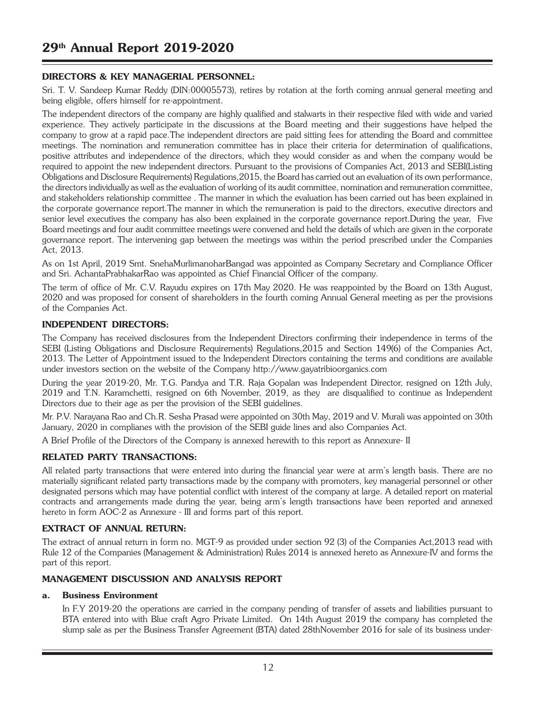#### DIRECTORS & KEY MANAGERIAL PERSONNEL:

Sri. T. V. Sandeep Kumar Reddy (DIN:00005573), retires by rotation at the forth coming annual general meeting and being eligible, offers himself for re-appointment.

The independent directors of the company are highly qualified and stalwarts in their respective filed with wide and varied experience. They actively participate in the discussions at the Board meeting and their suggestions have helped the company to grow at a rapid pace.The independent directors are paid sitting fees for attending the Board and committee meetings. The nomination and remuneration committee has in place their criteria for determination of qualifications, positive attributes and independence of the directors, which they would consider as and when the company would be required to appoint the new independent directors. Pursuant to the provisions of Companies Act, 2013 and SEBI(Listing Obligations and Disclosure Requirements) Regulations,2015, the Board has carried out an evaluation of its own performance, the directors individually as well as the evaluation of working of its audit committee, nomination and remuneration committee, and stakeholders relationship committee . The manner in which the evaluation has been carried out has been explained in the corporate governance report.The manner in which the remuneration is paid to the directors, executive directors and senior level executives the company has also been explained in the corporate governance report.During the year, Five Board meetings and four audit committee meetings were convened and held the details of which are given in the corporate governance report. The intervening gap between the meetings was within the period prescribed under the Companies Act, 2013.

As on 1st April, 2019 Smt. SnehaMurlimanoharBangad was appointed as Company Secretary and Compliance Officer and Sri. AchantaPrabhakarRao was appointed as Chief Financial Officer of the company.

The term of office of Mr. C.V. Rayudu expires on 17th May 2020. He was reappointed by the Board on 13th August, 2020 and was proposed for consent of shareholders in the fourth coming Annual General meeting as per the provisions of the Companies Act.

#### INDEPENDENT DIRECTORS:

The Company has received disclosures from the Independent Directors confirming their independence in terms of the SEBI (Listing Obligations and Disclosure Requirements) Regulations,2015 and Section 149(6) of the Companies Act, 2013. The Letter of Appointment issued to the Independent Directors containing the terms and conditions are available under investors section on the website of the Company http://www.gayatribioorganics.com

During the year 2019-20, Mr. T.G. Pandya and T.R. Raja Gopalan was Independent Director, resigned on 12th July, 2019 and T.N. Karamchetti, resigned on 6th November, 2019, as they are disqualified to continue as Independent Directors due to their age as per the provision of the SEBI guidelines.

Mr. P.V. Narayana Rao and Ch.R. Sesha Prasad were appointed on 30th May, 2019 and V. Murali was appointed on 30th January, 2020 in complianes with the provision of the SEBI guide lines and also Companies Act.

A Brief Profile of the Directors of the Company is annexed herewith to this report as Annexure- II

#### RELATED PARTY TRANSACTIONS:

All related party transactions that were entered into during the financial year were at arm's length basis. There are no materially significant related party transactions made by the company with promoters, key managerial personnel or other designated persons which may have potential conflict with interest of the company at large. A detailed report on material contracts and arrangements made during the year, being arm's length transactions have been reported and annexed hereto in form AOC-2 as Annexure - III and forms part of this report.

#### EXTRACT OF ANNUAL RETURN:

The extract of annual return in form no. MGT-9 as provided under section 92 (3) of the Companies Act,2013 read with Rule 12 of the Companies (Management & Administration) Rules 2014 is annexed hereto as Annexure-IV and forms the part of this report.

#### MANAGEMENT DISCUSSION AND ANALYSIS REPORT

#### a. Business Environment

In F.Y 2019-20 the operations are carried in the company pending of transfer of assets and liabilities pursuant to BTA entered into with Blue craft Agro Private Limited. On 14th August 2019 the company has completed the slump sale as per the Business Transfer Agreement (BTA) dated 28thNovember 2016 for sale of its business under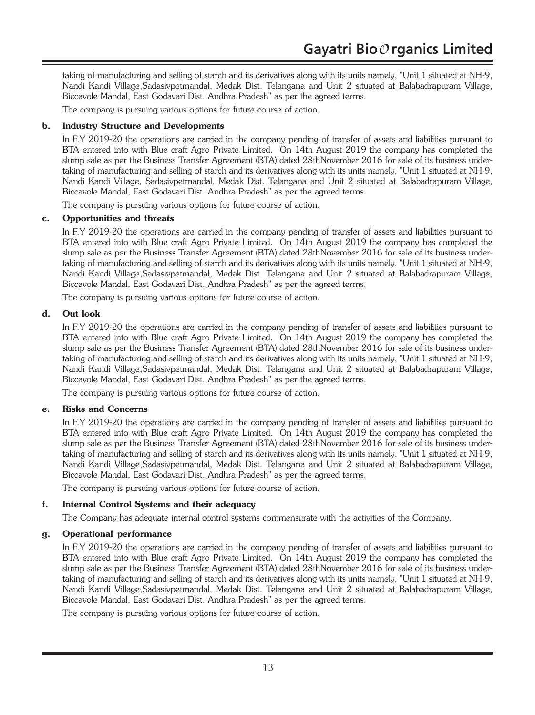taking of manufacturing and selling of starch and its derivatives along with its units namely, "Unit 1 situated at NH-9, Nandi Kandi Village,Sadasivpetmandal, Medak Dist. Telangana and Unit 2 situated at Balabadrapuram Village, Biccavole Mandal, East Godavari Dist. Andhra Pradesh" as per the agreed terms.

The company is pursuing various options for future course of action.

#### b. Industry Structure and Developments

In F.Y 2019-20 the operations are carried in the company pending of transfer of assets and liabilities pursuant to BTA entered into with Blue craft Agro Private Limited. On 14th August 2019 the company has completed the slump sale as per the Business Transfer Agreement (BTA) dated 28thNovember 2016 for sale of its business undertaking of manufacturing and selling of starch and its derivatives along with its units namely, "Unit 1 situated at NH-9, Nandi Kandi Village, Sadasivpetmandal, Medak Dist. Telangana and Unit 2 situated at Balabadrapuram Village, Biccavole Mandal, East Godavari Dist. Andhra Pradesh" as per the agreed terms.

The company is pursuing various options for future course of action.

#### c. Opportunities and threats

In F.Y 2019-20 the operations are carried in the company pending of transfer of assets and liabilities pursuant to BTA entered into with Blue craft Agro Private Limited. On 14th August 2019 the company has completed the slump sale as per the Business Transfer Agreement (BTA) dated 28thNovember 2016 for sale of its business undertaking of manufacturing and selling of starch and its derivatives along with its units namely, "Unit 1 situated at NH-9, Nandi Kandi Village,Sadasivpetmandal, Medak Dist. Telangana and Unit 2 situated at Balabadrapuram Village, Biccavole Mandal, East Godavari Dist. Andhra Pradesh" as per the agreed terms.

The company is pursuing various options for future course of action.

#### d. Out look

In F.Y 2019-20 the operations are carried in the company pending of transfer of assets and liabilities pursuant to BTA entered into with Blue craft Agro Private Limited. On 14th August 2019 the company has completed the slump sale as per the Business Transfer Agreement (BTA) dated 28thNovember 2016 for sale of its business undertaking of manufacturing and selling of starch and its derivatives along with its units namely, "Unit 1 situated at NH-9, Nandi Kandi Village,Sadasivpetmandal, Medak Dist. Telangana and Unit 2 situated at Balabadrapuram Village, Biccavole Mandal, East Godavari Dist. Andhra Pradesh" as per the agreed terms.

The company is pursuing various options for future course of action.

#### e. Risks and Concerns

In F.Y 2019-20 the operations are carried in the company pending of transfer of assets and liabilities pursuant to BTA entered into with Blue craft Agro Private Limited. On 14th August 2019 the company has completed the slump sale as per the Business Transfer Agreement (BTA) dated 28thNovember 2016 for sale of its business undertaking of manufacturing and selling of starch and its derivatives along with its units namely, "Unit 1 situated at NH-9, Nandi Kandi Village,Sadasivpetmandal, Medak Dist. Telangana and Unit 2 situated at Balabadrapuram Village, Biccavole Mandal, East Godavari Dist. Andhra Pradesh" as per the agreed terms.

The company is pursuing various options for future course of action.

#### f. Internal Control Systems and their adequacy

The Company has adequate internal control systems commensurate with the activities of the Company.

#### g. Operational performance

In F.Y 2019-20 the operations are carried in the company pending of transfer of assets and liabilities pursuant to BTA entered into with Blue craft Agro Private Limited. On 14th August 2019 the company has completed the slump sale as per the Business Transfer Agreement (BTA) dated 28thNovember 2016 for sale of its business undertaking of manufacturing and selling of starch and its derivatives along with its units namely, "Unit 1 situated at NH-9, Nandi Kandi Village,Sadasivpetmandal, Medak Dist. Telangana and Unit 2 situated at Balabadrapuram Village, Biccavole Mandal, East Godavari Dist. Andhra Pradesh" as per the agreed terms.

The company is pursuing various options for future course of action.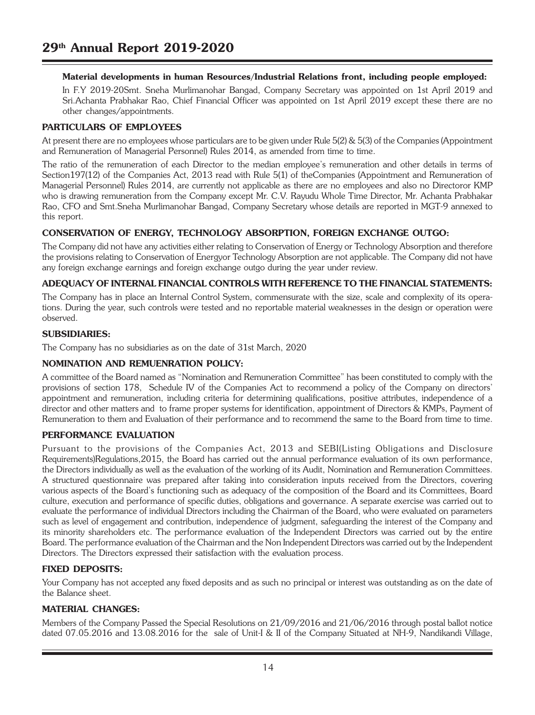#### Material developments in human Resources/Industrial Relations front, including people employed:

In F.Y 2019-20Smt. Sneha Murlimanohar Bangad, Company Secretary was appointed on 1st April 2019 and Sri.Achanta Prabhakar Rao, Chief Financial Officer was appointed on 1st April 2019 except these there are no other changes/appointments.

#### PARTICULARS OF EMPLOYEES

At present there are no employees whose particulars are to be given under Rule 5(2) & 5(3) of the Companies (Appointment and Remuneration of Managerial Personnel) Rules 2014, as amended from time to time.

The ratio of the remuneration of each Director to the median employee's remuneration and other details in terms of Section197(12) of the Companies Act, 2013 read with Rule 5(1) of theCompanies (Appointment and Remuneration of Managerial Personnel) Rules 2014, are currently not applicable as there are no employees and also no Directoror KMP who is drawing remuneration from the Company except Mr. C.V. Rayudu Whole Time Director, Mr. Achanta Prabhakar Rao, CFO and Smt.Sneha Murlimanohar Bangad, Company Secretary whose details are reported in MGT-9 annexed to this report.

#### CONSERVATION OF ENERGY, TECHNOLOGY ABSORPTION, FOREIGN EXCHANGE OUTGO:

The Company did not have any activities either relating to Conservation of Energy or Technology Absorption and therefore the provisions relating to Conservation of Energyor Technology Absorption are not applicable. The Company did not have any foreign exchange earnings and foreign exchange outgo during the year under review.

#### ADEQUACY OF INTERNAL FINANCIAL CONTROLS WITH REFERENCE TO THE FINANCIAL STATEMENTS:

The Company has in place an Internal Control System, commensurate with the size, scale and complexity of its operations. During the year, such controls were tested and no reportable material weaknesses in the design or operation were observed.

#### SUBSIDIARIES:

The Company has no subsidiaries as on the date of 31st March, 2020

#### NOMINATION AND REMUENRATION POLICY:

A committee of the Board named as "Nomination and Remuneration Committee" has been constituted to comply with the provisions of section 178, Schedule IV of the Companies Act to recommend a policy of the Company on directors' appointment and remuneration, including criteria for determining qualifications, positive attributes, independence of a director and other matters and to frame proper systems for identification, appointment of Directors & KMPs, Payment of Remuneration to them and Evaluation of their performance and to recommend the same to the Board from time to time.

#### PERFORMANCE EVALUATION

Pursuant to the provisions of the Companies Act, 2013 and SEBI(Listing Obligations and Disclosure Requirements)Regulations,2015, the Board has carried out the annual performance evaluation of its own performance, the Directors individually as well as the evaluation of the working of its Audit, Nomination and Remuneration Committees. A structured questionnaire was prepared after taking into consideration inputs received from the Directors, covering various aspects of the Board's functioning such as adequacy of the composition of the Board and its Committees, Board culture, execution and performance of specific duties, obligations and governance. A separate exercise was carried out to evaluate the performance of individual Directors including the Chairman of the Board, who were evaluated on parameters such as level of engagement and contribution, independence of judgment, safeguarding the interest of the Company and its minority shareholders etc. The performance evaluation of the Independent Directors was carried out by the entire Board. The performance evaluation of the Chairman and the Non Independent Directors was carried out by the Independent Directors. The Directors expressed their satisfaction with the evaluation process.

#### FIXED DEPOSITS:

Your Company has not accepted any fixed deposits and as such no principal or interest was outstanding as on the date of the Balance sheet.

#### MATERIAL CHANGES:

Members of the Company Passed the Special Resolutions on 21/09/2016 and 21/06/2016 through postal ballot notice dated 07.05.2016 and 13.08.2016 for the sale of Unit-I & II of the Company Situated at NH-9, Nandikandi Village,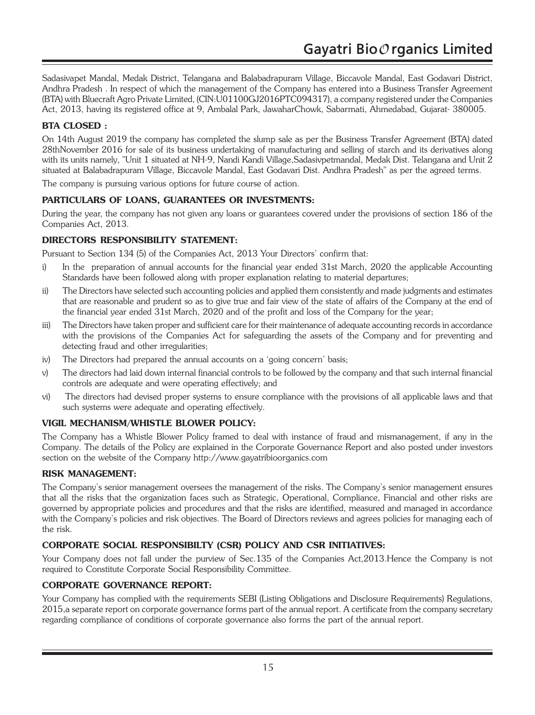Sadasivapet Mandal, Medak District, Telangana and Balabadrapuram Village, Biccavole Mandal, East Godavari District, Andhra Pradesh . In respect of which the management of the Company has entered into a Business Transfer Agreement (BTA) with Bluecraft Agro Private Limited, (CIN:U01100GJ2016PTC094317), a company registered under the Companies Act, 2013, having its registered office at 9, Ambalal Park, JawaharChowk, Sabarmati, Ahmedabad, Gujarat- 380005.

#### BTA CLOSED :

On 14th August 2019 the company has completed the slump sale as per the Business Transfer Agreement (BTA) dated 28thNovember 2016 for sale of its business undertaking of manufacturing and selling of starch and its derivatives along with its units namely, "Unit 1 situated at NH-9, Nandi Kandi Village,Sadasivpetmandal, Medak Dist. Telangana and Unit 2 situated at Balabadrapuram Village, Biccavole Mandal, East Godavari Dist. Andhra Pradesh" as per the agreed terms.

The company is pursuing various options for future course of action.

#### PARTICULARS OF LOANS, GUARANTEES OR INVESTMENTS:

During the year, the company has not given any loans or guarantees covered under the provisions of section 186 of the Companies Act, 2013.

#### DIRECTORS RESPONSIBILITY STATEMENT:

Pursuant to Section 134 (5) of the Companies Act, 2013 Your Directors' confirm that:

- i) In the preparation of annual accounts for the financial year ended 31st March, 2020 the applicable Accounting Standards have been followed along with proper explanation relating to material departures;
- ii) The Directors have selected such accounting policies and applied them consistently and made judgments and estimates that are reasonable and prudent so as to give true and fair view of the state of affairs of the Company at the end of the financial year ended 31st March, 2020 and of the profit and loss of the Company for the year;
- iii) The Directors have taken proper and sufficient care for their maintenance of adequate accounting records in accordance with the provisions of the Companies Act for safeguarding the assets of the Company and for preventing and detecting fraud and other irregularities;
- iv) The Directors had prepared the annual accounts on a 'going concern' basis;
- v) The directors had laid down internal financial controls to be followed by the company and that such internal financial controls are adequate and were operating effectively; and
- vi) The directors had devised proper systems to ensure compliance with the provisions of all applicable laws and that such systems were adequate and operating effectively.

#### VIGIL MECHANISM/WHISTLE BLOWER POLICY:

The Company has a Whistle Blower Policy framed to deal with instance of fraud and mismanagement, if any in the Company. The details of the Policy are explained in the Corporate Governance Report and also posted under investors section on the website of the Company http://www.gayatribioorganics.com

#### RISK MANAGEMENT:

The Company's senior management oversees the management of the risks. The Company's senior management ensures that all the risks that the organization faces such as Strategic, Operational, Compliance, Financial and other risks are governed by appropriate policies and procedures and that the risks are identified, measured and managed in accordance with the Company's policies and risk objectives. The Board of Directors reviews and agrees policies for managing each of the risk.

#### CORPORATE SOCIAL RESPONSIBILTY (CSR) POLICY AND CSR INITIATIVES:

Your Company does not fall under the purview of Sec.135 of the Companies Act,2013.Hence the Company is not required to Constitute Corporate Social Responsibility Committee.

#### CORPORATE GOVERNANCE REPORT:

Your Company has complied with the requirements SEBI (Listing Obligations and Disclosure Requirements) Regulations, 2015,a separate report on corporate governance forms part of the annual report. A certificate from the company secretary regarding compliance of conditions of corporate governance also forms the part of the annual report.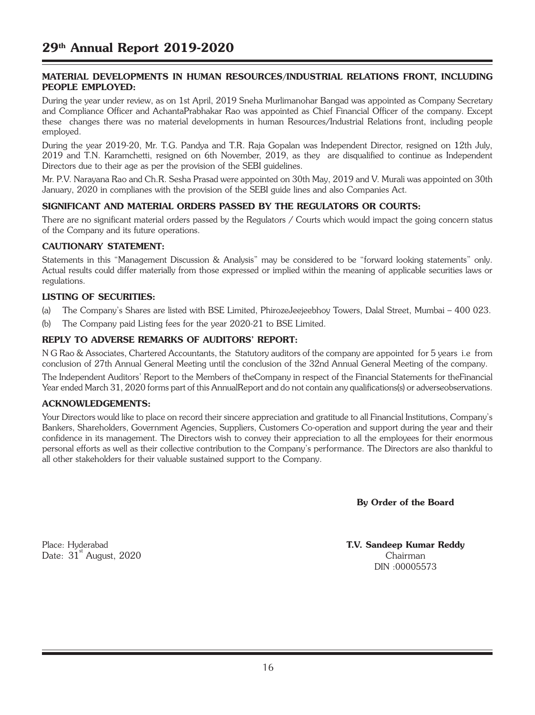#### MATERIAL DEVELOPMENTS IN HUMAN RESOURCES/INDUSTRIAL RELATIONS FRONT, INCLUDING PEOPLE EMPLOYED:

During the year under review, as on 1st April, 2019 Sneha Murlimanohar Bangad was appointed as Company Secretary and Compliance Officer and AchantaPrabhakar Rao was appointed as Chief Financial Officer of the company. Except these changes there was no material developments in human Resources/Industrial Relations front, including people employed.

During the year 2019-20, Mr. T.G. Pandya and T.R. Raja Gopalan was Independent Director, resigned on 12th July, 2019 and T.N. Karamchetti, resigned on 6th November, 2019, as they are disqualified to continue as Independent Directors due to their age as per the provision of the SEBI guidelines.

Mr. P.V. Narayana Rao and Ch.R. Sesha Prasad were appointed on 30th May, 2019 and V. Murali was appointed on 30th January, 2020 in complianes with the provision of the SEBI guide lines and also Companies Act.

#### SIGNIFICANT AND MATERIAL ORDERS PASSED BY THE REGULATORS OR COURTS:

There are no significant material orders passed by the Regulators / Courts which would impact the going concern status of the Company and its future operations.

#### CAUTIONARY STATEMENT:

Statements in this "Management Discussion & Analysis" may be considered to be "forward looking statements" only. Actual results could differ materially from those expressed or implied within the meaning of applicable securities laws or regulations.

#### LISTING OF SECURITIES:

- (a) The Company's Shares are listed with BSE Limited, PhirozeJeejeebhoy Towers, Dalal Street, Mumbai 400 023.
- (b) The Company paid Listing fees for the year 2020-21 to BSE Limited.

#### REPLY TO ADVERSE REMARKS OF AUDITORS' REPORT:

N G Rao & Associates, Chartered Accountants, the Statutory auditors of the company are appointed for 5 years i.e from conclusion of 27th Annual General Meeting until the conclusion of the 32nd Annual General Meeting of the company.

The Independent Auditors' Report to the Members of theCompany in respect of the Financial Statements for theFinancial Year ended March 31, 2020 forms part of this AnnualReport and do not contain any qualifications(s) or adverseobservations.

#### ACKNOWLEDGEMENTS:

Your Directors would like to place on record their sincere appreciation and gratitude to all Financial Institutions, Company's Bankers, Shareholders, Government Agencies, Suppliers, Customers Co-operation and support during the year and their confidence in its management. The Directors wish to convey their appreciation to all the employees for their enormous personal efforts as well as their collective contribution to the Company's performance. The Directors are also thankful to all other stakeholders for their valuable sustained support to the Company.

By Order of the Board

Date:  $31<sup>st</sup>$  August, 2020

Place: Hyderabad T.V. Sandeep Kumar Reddy DIN :00005573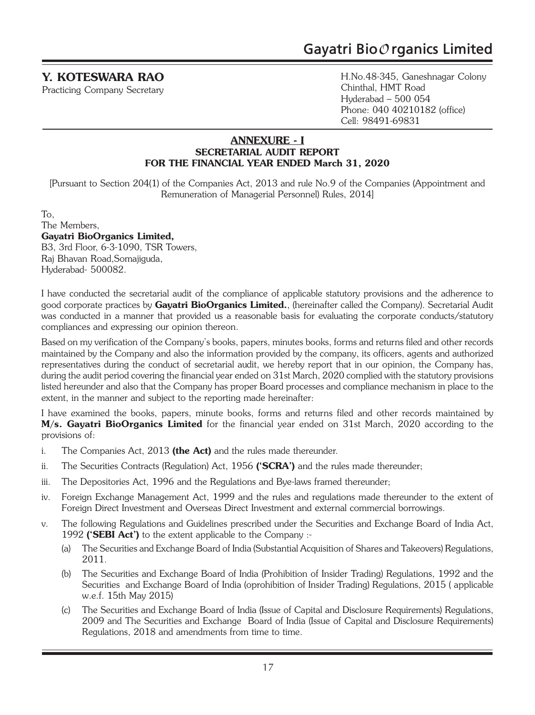# Y. KOTESWARA RAO

Practicing Company Secretary

H.No.48-345, Ganeshnagar Colony Chinthal, HMT Road Hyderabad – 500 054 Phone: 040 40210182 (office) Cell: 98491-69831

#### ANNEXURE - I SECRETARIAL AUDIT REPORT FOR THE FINANCIAL YEAR ENDED March 31, 2020

[Pursuant to Section 204(1) of the Companies Act, 2013 and rule No.9 of the Companies (Appointment and Remuneration of Managerial Personnel) Rules, 2014]

To,

The Members, Gayatri BioOrganics Limited, B3, 3rd Floor, 6-3-1090, TSR Towers, Raj Bhavan Road,Somajiguda, Hyderabad- 500082.

I have conducted the secretarial audit of the compliance of applicable statutory provisions and the adherence to good corporate practices by **Gayatri BioOrganics Limited.**, (hereinafter called the Company). Secretarial Audit was conducted in a manner that provided us a reasonable basis for evaluating the corporate conducts/statutory compliances and expressing our opinion thereon.

Based on my verification of the Company's books, papers, minutes books, forms and returns filed and other records maintained by the Company and also the information provided by the company, its officers, agents and authorized representatives during the conduct of secretarial audit, we hereby report that in our opinion, the Company has, during the audit period covering the financial year ended on 31st March, 2020 complied with the statutory provisions listed hereunder and also that the Company has proper Board processes and compliance mechanism in place to the extent, in the manner and subject to the reporting made hereinafter:

I have examined the books, papers, minute books, forms and returns filed and other records maintained by M/s. Gayatri BioOrganics Limited for the financial year ended on 31st March, 2020 according to the provisions of:

- i. The Companies Act, 2013 (the Act) and the rules made thereunder.
- ii. The Securities Contracts (Regulation) Act, 1956 ('SCRA') and the rules made thereunder;
- iii. The Depositories Act, 1996 and the Regulations and Bye-laws framed thereunder;
- iv. Foreign Exchange Management Act, 1999 and the rules and regulations made thereunder to the extent of Foreign Direct Investment and Overseas Direct Investment and external commercial borrowings.
- v. The following Regulations and Guidelines prescribed under the Securities and Exchange Board of India Act, 1992 ('SEBI Act') to the extent applicable to the Company :-
	- (a) The Securities and Exchange Board of India (Substantial Acquisition of Shares and Takeovers) Regulations, 2011.
	- (b) The Securities and Exchange Board of India (Prohibition of Insider Trading) Regulations, 1992 and the Securities and Exchange Board of India (oprohibition of Insider Trading) Regulations, 2015 ( applicable w.e.f. 15th May 2015)
	- (c) The Securities and Exchange Board of India (Issue of Capital and Disclosure Requirements) Regulations, 2009 and The Securities and Exchange Board of India (Issue of Capital and Disclosure Requirements) Regulations, 2018 and amendments from time to time.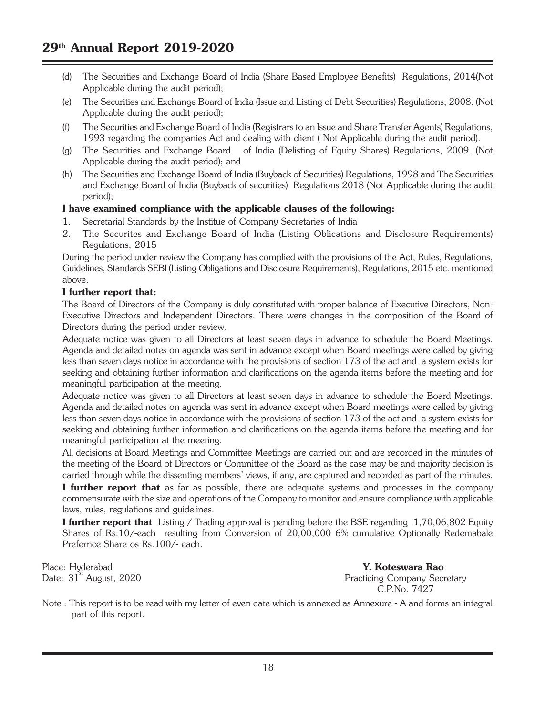- (d) The Securities and Exchange Board of India (Share Based Employee Benefits) Regulations, 2014(Not Applicable during the audit period);
- (e) The Securities and Exchange Board of India (Issue and Listing of Debt Securities) Regulations, 2008. (Not Applicable during the audit period);
- (f) The Securities and Exchange Board of India (Registrars to an Issue and Share Transfer Agents) Regulations, 1993 regarding the companies Act and dealing with client ( Not Applicable during the audit period).
- (g) The Securities and Exchange Board of India (Delisting of Equity Shares) Regulations, 2009. (Not Applicable during the audit period); and
- (h) The Securities and Exchange Board of India (Buyback of Securities) Regulations, 1998 and The Securities and Exchange Board of India (Buyback of securities) Regulations 2018 (Not Applicable during the audit period);

#### I have examined compliance with the applicable clauses of the following:

- Secretarial Standards by the Institue of Company Secretaries of India
- 2. The Securites and Exchange Board of India (Listing Oblications and Disclosure Requirements) Regulations, 2015

During the period under review the Company has complied with the provisions of the Act, Rules, Regulations, Guidelines, Standards SEBI (Listing Obligations and Disclosure Requirements), Regulations, 2015 etc. mentioned above.

#### I further report that:

The Board of Directors of the Company is duly constituted with proper balance of Executive Directors, Non-Executive Directors and Independent Directors. There were changes in the composition of the Board of Directors during the period under review.

Adequate notice was given to all Directors at least seven days in advance to schedule the Board Meetings. Agenda and detailed notes on agenda was sent in advance except when Board meetings were called by giving less than seven days notice in accordance with the provisions of section 173 of the act and a system exists for seeking and obtaining further information and clarifications on the agenda items before the meeting and for meaningful participation at the meeting.

Adequate notice was given to all Directors at least seven days in advance to schedule the Board Meetings. Agenda and detailed notes on agenda was sent in advance except when Board meetings were called by giving less than seven days notice in accordance with the provisions of section 173 of the act and a system exists for seeking and obtaining further information and clarifications on the agenda items before the meeting and for meaningful participation at the meeting.

All decisions at Board Meetings and Committee Meetings are carried out and are recorded in the minutes of the meeting of the Board of Directors or Committee of the Board as the case may be and majority decision is carried through while the dissenting members' views, if any, are captured and recorded as part of the minutes.

I further report that as far as possible, there are adequate systems and processes in the company commensurate with the size and operations of the Company to monitor and ensure compliance with applicable laws, rules, regulations and guidelines.

I further report that Listing / Trading approval is pending before the BSE regarding 1,70,06,802 Equity Shares of Rs.10/-each resulting from Conversion of 20,00,000 6% cumulative Optionally Redemabale Prefernce Share os Rs.100/- each.

Place: Hyderabad **Y. Koteswara Rao** 

Date: 31<sup>st</sup> August, 2020 **Practicing Company Secretary** C.P.No. 7427

Note : This report is to be read with my letter of even date which is annexed as Annexure - A and forms an integral part of this report.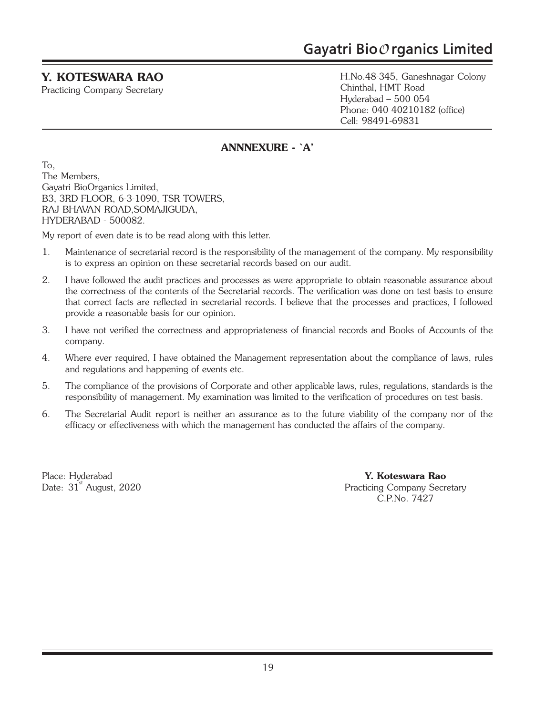# Y. KOTESWARA RAO

Practicing Company Secretary

H.No.48-345, Ganeshnagar Colony Chinthal, HMT Road Hyderabad – 500 054 Phone: 040 40210182 (office) Cell: 98491-69831

# ANNNEXURE - `A'

 $T_{\Omega}$ The Members, Gayatri BioOrganics Limited, B3, 3RD FLOOR, 6-3-1090, TSR TOWERS, RAJ BHAVAN ROAD,SOMAJIGUDA, HYDERABAD - 500082.

My report of even date is to be read along with this letter.

- 1. Maintenance of secretarial record is the responsibility of the management of the company. My responsibility is to express an opinion on these secretarial records based on our audit.
- 2. I have followed the audit practices and processes as were appropriate to obtain reasonable assurance about the correctness of the contents of the Secretarial records. The verification was done on test basis to ensure that correct facts are reflected in secretarial records. I believe that the processes and practices, I followed provide a reasonable basis for our opinion.
- 3. I have not verified the correctness and appropriateness of financial records and Books of Accounts of the company.
- 4. Where ever required, I have obtained the Management representation about the compliance of laws, rules and regulations and happening of events etc.
- 5. The compliance of the provisions of Corporate and other applicable laws, rules, regulations, standards is the responsibility of management. My examination was limited to the verification of procedures on test basis.
- 6. The Secretarial Audit report is neither an assurance as to the future viability of the company nor of the efficacy or effectiveness with which the management has conducted the affairs of the company.

Place: Hyderabad **Y. Koteswara Rao** 

Date: 31<sup>st</sup> August, 2020 **Practicing Company Secretary** C.P.No. 7427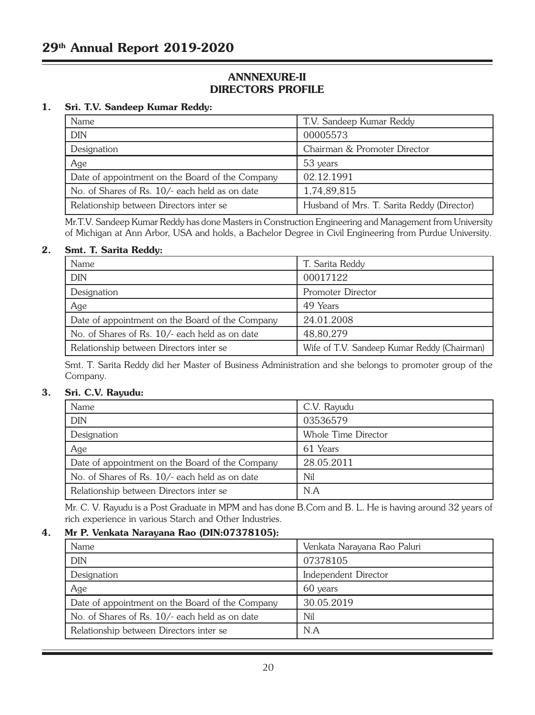# 29th Annual Report 2019-2020

# ANNNEXURE-II DIRECTORS PROFILE

## 1. Sri. T.V. Sandeep Kumar Reddy:

| Name                                            | T.V. Sandeep Kumar Reddy                   |
|-------------------------------------------------|--------------------------------------------|
| <b>DIN</b>                                      | 00005573                                   |
| Designation                                     | Chairman & Promoter Director               |
| Age                                             | 53 years                                   |
| Date of appointment on the Board of the Company | 02.12.1991                                 |
| No. of Shares of Rs. 10/- each held as on date  | 1,74,89,815                                |
| Relationship between Directors inter se         | Husband of Mrs. T. Sarita Reddy (Director) |

Mr.T.V. Sandeep Kumar Reddy has done Masters in Construction Engineering and Management from University of Michigan at Ann Arbor, USA and holds, a Bachelor Degree in Civil Engineering from Purdue University.

#### 2. Smt. T. Sarita Reddy:

| Name                                            | T. Sarita Reddy                             |
|-------------------------------------------------|---------------------------------------------|
| <b>DIN</b>                                      | 00017122                                    |
| Designation                                     | <b>Promoter Director</b>                    |
| Age                                             | 49 Years                                    |
| Date of appointment on the Board of the Company | 24.01.2008                                  |
| No. of Shares of Rs. 10/- each held as on date  | 48,80,279                                   |
| Relationship between Directors inter se         | Wife of T.V. Sandeep Kumar Reddy (Chairman) |

Smt. T. Sarita Reddy did her Master of Business Administration and she belongs to promoter group of the Company.

#### 3. Sri. C.V. Rayudu:

| Name                                            | C.V. Rayudu         |
|-------------------------------------------------|---------------------|
| <b>DIN</b>                                      | 03536579            |
| Designation                                     | Whole Time Director |
| Age                                             | 61 Years            |
| Date of appointment on the Board of the Company | 28.05.2011          |
| No. of Shares of Rs. 10/- each held as on date  | Nil                 |
| Relationship between Directors inter se         | N.A                 |

Mr. C. V. Rayudu is a Post Graduate in MPM and has done B.Com and B. L. He is having around 32 years of rich experience in various Starch and Other Industries.

#### 4. Mr P. Venkata Narayana Rao (DIN:07378105):

| Name                                            | Venkata Narayana Rao Paluri |
|-------------------------------------------------|-----------------------------|
| <b>DIN</b>                                      | 07378105                    |
| Designation                                     | Independent Director        |
| Age                                             | 60 years                    |
| Date of appointment on the Board of the Company | 30.05.2019                  |
| No. of Shares of Rs. 10/- each held as on date  | Nil                         |
| Relationship between Directors inter se         | N.A                         |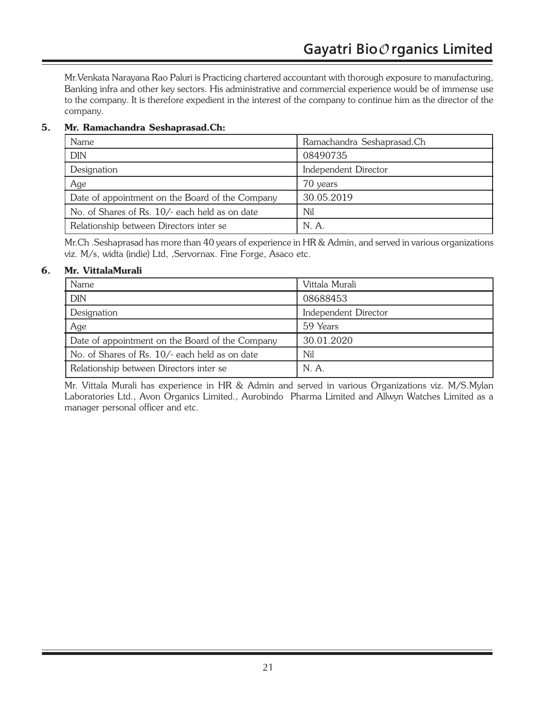Mr.Venkata Narayana Rao Paluri is Practicing chartered accountant with thorough exposure to manufacturing, Banking infra and other key sectors. His administrative and commercial experience would be of immense use to the company. It is therefore expedient in the interest of the company to continue him as the director of the company.

#### 5. Mr. Ramachandra Seshaprasad.Ch:

| Name                                            | Ramachandra Seshaprasad.Ch  |
|-------------------------------------------------|-----------------------------|
| <b>DIN</b>                                      | 08490735                    |
| Designation                                     | <b>Independent Director</b> |
| Age                                             | 70 years                    |
| Date of appointment on the Board of the Company | 30.05.2019                  |
| No. of Shares of Rs. 10/- each held as on date  | Nil                         |
| Relationship between Directors inter se         | N. A.                       |

Mr.Ch .Seshaprasad has more than 40 years of experience in HR & Admin, and served in various organizations viz. M/s, widta (indie) Ltd, ,Servornax. Fine Forge, Asaco etc.

#### 6. Mr. VittalaMurali

| Name                                            | Vittala Murali       |
|-------------------------------------------------|----------------------|
| <b>DIN</b>                                      | 08688453             |
| Designation                                     | Independent Director |
| Age                                             | 59 Years             |
| Date of appointment on the Board of the Company | 30.01.2020           |
| No. of Shares of Rs. 10/- each held as on date  | Nil                  |
| Relationship between Directors inter se         | N. A.                |

Mr. Vittala Murali has experience in HR & Admin and served in various Organizations viz. M/S.Mylan Laboratories Ltd., Avon Organics Limited., Aurobindo Pharma Limited and Allwyn Watches Limited as a manager personal officer and etc.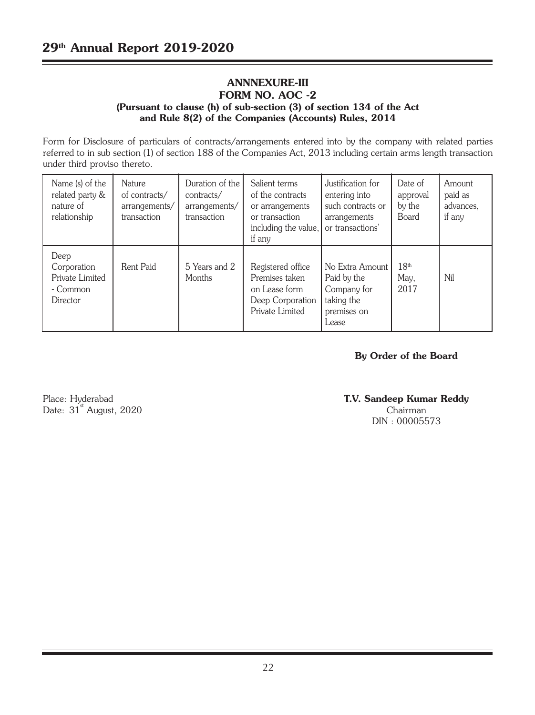## ANNNEXURE-III FORM NO. AOC -2 (Pursuant to clause (h) of sub-section (3) of section 134 of the Act and Rule 8(2) of the Companies (Accounts) Rules, 2014

Form for Disclosure of particulars of contracts/arrangements entered into by the company with related parties referred to in sub section (1) of section 188 of the Companies Act, 2013 including certain arms length transaction under third proviso thereto.

| Name (s) of the<br>related party &<br>nature of<br>relationship | Nature<br>of contracts/<br>arrangements/<br>transaction | Duration of the<br>contracts/<br>arrangements/<br>transaction | Salient terms<br>of the contracts<br>or arrangements<br>or transaction<br>including the value.<br>if any | Justification for<br>entering into<br>such contracts or<br>arrangements<br>or transactions' | Date of<br>approval<br>by the<br>Board | Amount<br>paid as<br>advances,<br>if any |
|-----------------------------------------------------------------|---------------------------------------------------------|---------------------------------------------------------------|----------------------------------------------------------------------------------------------------------|---------------------------------------------------------------------------------------------|----------------------------------------|------------------------------------------|
| Deep<br>Corporation<br>Private Limited<br>- Common<br>Director  | Rent Paid                                               | 5 Years and 2<br>Months                                       | Registered office<br>Premises taken<br>on Lease form<br>Deep Corporation<br>Private Limited              | No Extra Amount<br>Paid by the<br>Company for<br>taking the<br>premises on<br>Lease         | 18 <sup>th</sup><br>May,<br>2017       | Nil                                      |

By Order of the Board

Place: Hyderabad **T.V. Sandeep Kumar Reddy**<br>Date: 31<sup>st</sup> August, 2020 Date:  $31^{\text{st}}$  August, 2020

DIN : 00005573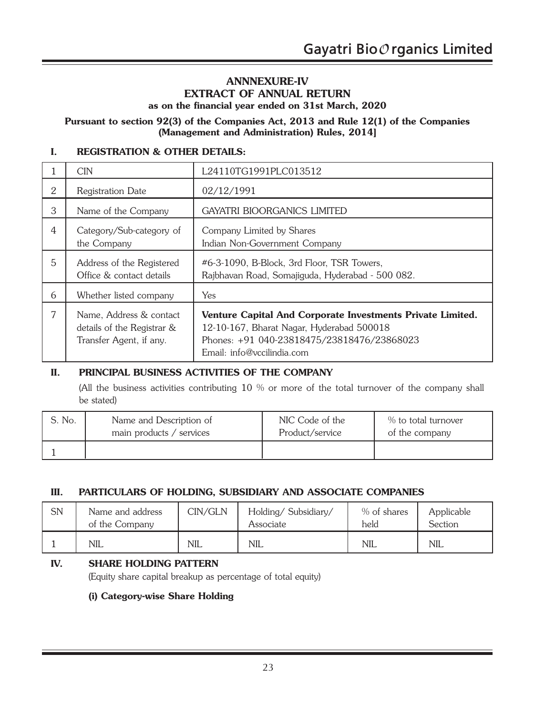# ANNNEXURE-IV EXTRACT OF ANNUAL RETURN

as on the financial year ended on 31st March, 2020

#### Pursuant to section 92(3) of the Companies Act, 2013 and Rule 12(1) of the Companies (Management and Administration) Rules, 2014]

# I. REGISTRATION & OTHER DETAILS:

|   | CIN                                                                              | L24110TG1991PLC013512                                                                                                                                                               |
|---|----------------------------------------------------------------------------------|-------------------------------------------------------------------------------------------------------------------------------------------------------------------------------------|
| 2 | Registration Date                                                                | 02/12/1991                                                                                                                                                                          |
| 3 | Name of the Company                                                              | GAYATRI BIOORGANICS LIMITED                                                                                                                                                         |
| 4 | Category/Sub-category of<br>the Company                                          | Company Limited by Shares<br>Indian Non-Government Company                                                                                                                          |
| 5 | Address of the Registered<br>Office & contact details                            | #6-3-1090, B-Block, 3rd Floor, TSR Towers,<br>Raibhavan Road, Somajiguda, Hyderabad - 500 082.                                                                                      |
| 6 | Whether listed company                                                           | Yes                                                                                                                                                                                 |
|   | Name, Address & contact<br>details of the Registrar &<br>Transfer Agent, if any. | Venture Capital And Corporate Investments Private Limited.<br>12-10-167, Bharat Nagar, Hyderabad 500018<br>Phones: +91 040-23818475/23818476/23868023<br>Email: info@vccilindia.com |

# II. PRINCIPAL BUSINESS ACTIVITIES OF THE COMPANY

(All the business activities contributing 10 % or more of the total turnover of the company shall be stated)

| S. No. | Name and Description of  | NIC Code of the | % to total turnover |  |
|--------|--------------------------|-----------------|---------------------|--|
|        | main products / services | Product/service | of the company      |  |
|        |                          |                 |                     |  |

# III. PARTICULARS OF HOLDING, SUBSIDIARY AND ASSOCIATE COMPANIES

| SN | Name and address<br>of the Company | CIN/GLN    | Holding/Subsidiary/<br>Associate | % of shares<br>held | Applicable<br>Section |
|----|------------------------------------|------------|----------------------------------|---------------------|-----------------------|
|    | <b>NIL</b>                         | <b>NIL</b> | <b>NIL</b>                       | NIL                 | <b>NIL</b>            |

# IV. SHARE HOLDING PATTERN

(Equity share capital breakup as percentage of total equity)

## (i) Category-wise Share Holding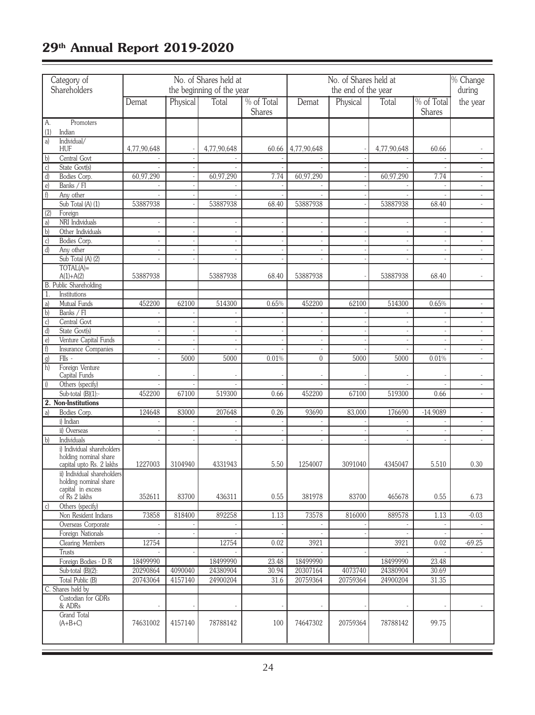#### Category of No. of Shares held at No. of Shares held at No. of Shares held at  $\%$  Change Shareholders the beginning of the vear the end of the vear during Shareholders the beginning of the year the end of the year during Demat Physical Total % of Total Demat Physical Total % of Total the year Shares | Shares | Shares A. Promoters<br>(1) Indian **Indian** a) Individual/<br>HUF HUF | 4,77,90,648 | - | 4,77,90,648 | 60.66 | 4,77,90,648 | - | 4,77,90,648 | 60.66 | b) Central Govt - - - - - - - - c) State Govt(s) - - - - - - - - d) Bodies Corp. | 60,97,290 | | 60,97,290 | /.74 | 60,97,290 | - | 60,97,290 | /.74 | e) Banks / FI - - - - - - - - f) Any other - - - - - - - - - Sub Iotal (A) (I) | 53887938 | - | 53887938 | 68.40 | 53887938 | - | 53887938 | 68.40 | - -(2) Foreign<br>a) NRI Individuals a) NRI Individuals - - - - - - - - b) Other Individuals - - - - - - - - c) Bodies Corp. - - - - - - - - d) Any other the set of the set of the set of the set of the set of the set of the set of the set of the set o Sub Iotal (A) (2) | - | - | - | - | - | - | - | - |  $TOTAL(A)=$ <br>A(1)+A(2) A(1)+A(2) | 53887938 | | 53887938 | 68.40 | 53887938 | - | 53887938 | 68.40 | -B. Public Shareholding 1. Institutions<br>a) Mutual Funds a) Mutual Funds 452200 62100 514300 0.65% 452200 62100 514300 0.65% b) Banks / FI - - - - - - - - c) Central Govt - - - - - - - - d) State Govt(s) | - | - | - | - | - | - | - | - | e) Venture Capital Funds - - - - - - - - f) Insurance Companies - - - - - - - - g) FIIs - - 5000 5000 0.01% 0 5000 5000 0.01% h) Foreign Venture Capital Funds - - - - - - - - i) Others (specify) - - - - - - - - - Sub-total (B)(1):- 452200 67100 519300 0.66 452200 67100 519300 0.66 - 2. Non-Institutions a) Bodies Corp. | 124648 | 83000 | 207648 | 0.26 | 93690 | 83,000 | 176690 | -14.9089 | i) Indian - - - - - - - - ii) Overseas - - - - - - - - b) Individuals - - - - - - - - i) Individual shareholders holding nominal share capital upto Rs. 2 lakhs 1227003 3104940 4331943 5.50 1254007 3091040 4345047 5.510 0.30 ii) Individual shareholders holding nominal share capital in excess<br>of Rs 2 lakhs of Rs 2 lakhs | 352611 | 83700 | 436311 | 0.55 | 381978 | 83700 | 465678 | 0.55 | 6.73 Others (specify) Non Resident Indians 73858 818400 892258 1.13 73578 816000 889578 1.13 -0.03 Overseas Corporate<br>Foreign Nationals Foreign Nationals - - - - - - - - - Clearing Members 12754 12754 12754 0.02 3921 3921 0.02 -69.25 Trusts - - - - - - - - - Foreign Bodies - D R 18499990 18499990 18499990 23.48 18499990 23.48 Sub-total (B)(2): 20290864 4090040 24380904 30.94 20307164 4073740 24380904 30.69 Total Public (B) 20743064 4157140 24900204 31.6 20759364 20759364 24900204 31.35 C. Shares held by Custodian for GDRs & ADRs - - - - - - - - - Grand Total<br>(A+B+C) (A+B+C) 74631002 4157140 78788142 100 74647302 20759364 78788142 99.75

# 29th Annual Report 2019-2020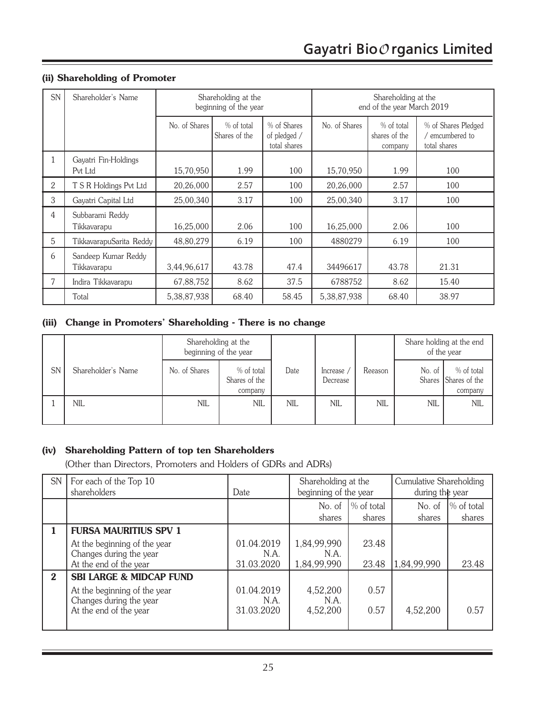| SN             | Shareholder's Name                 | Shareholding at the<br>beginning of the year |                             | Shareholding at the<br>end of the year March 2019 |               |                                          |                                                      |
|----------------|------------------------------------|----------------------------------------------|-----------------------------|---------------------------------------------------|---------------|------------------------------------------|------------------------------------------------------|
|                |                                    | No. of Shares                                | % of total<br>Shares of the | % of Shares<br>of pledged /<br>total shares       | No. of Shares | $%$ of total<br>shares of the<br>company | % of Shares Pledged<br>emcumbered to<br>total shares |
| 1              | Gayatri Fin-Holdings<br>Pvt Ltd    | 15,70,950                                    | 1.99                        | 100                                               | 15,70,950     | 1.99                                     | 100                                                  |
| 2              | T S R Holdings Pvt Ltd             | 20,26,000                                    | 2.57                        | 100                                               | 20,26,000     | 2.57                                     | 100                                                  |
| 3              | Gayatri Capital Ltd                | 25,00,340                                    | 3.17                        | 100                                               | 25,00,340     | 3.17                                     | 100                                                  |
| $\overline{4}$ | Subbarami Reddy<br>Tikkavarapu     | 16,25,000                                    | 2.06                        | 100                                               | 16,25,000     | 2.06                                     | 100                                                  |
| 5              | TikkavarapuSarita Reddy            | 48,80,279                                    | 6.19                        | 100                                               | 4880279       | 6.19                                     | 100                                                  |
| 6              | Sandeep Kumar Reddy<br>Tikkavarapu | 3,44,96,617                                  | 43.78                       | 47.4                                              | 34496617      | 43.78                                    | 21.31                                                |
| 7              | Indira Tikkavarapu                 | 67,88,752                                    | 8.62                        | 37.5                                              | 6788752       | 8.62                                     | 15.40                                                |
|                | Total                              | 5,38,87,938                                  | 68.40                       | 58.45                                             | 5,38,87,938   | 68.40                                    | 38.97                                                |

# (ii) Shareholding of Promoter

## (iii) Change in Promoters' Shareholding - There is no change

|           |                    | Shareholding at the<br>beginning of the year |                                        |      |                      |            | Share holding at the end<br>of the year |                                        |
|-----------|--------------------|----------------------------------------------|----------------------------------------|------|----------------------|------------|-----------------------------------------|----------------------------------------|
| <b>SN</b> | Shareholder's Name | No. of Shares                                | % of total<br>Shares of the<br>company | Date | Increase<br>Decrease | Reeason    | No. of<br><b>Shares</b>                 | % of total<br>Shares of the<br>company |
|           | <b>NIL</b>         | <b>NIL</b>                                   | <b>NIL</b>                             | NIL  | NIL                  | <b>NIL</b> | <b>NIL</b>                              | <b>NIL</b>                             |

#### (iv) Shareholding Pattern of top ten Shareholders

(Other than Directors, Promoters and Holders of GDRs and ADRs)

| <b>SN</b> | For each of the Top 10<br>shareholders                  | Date               | Shareholding at the<br>beginning of the year |       | Cumulative Shareholding<br>during the year |                      |
|-----------|---------------------------------------------------------|--------------------|----------------------------------------------|-------|--------------------------------------------|----------------------|
|           |                                                         |                    | % of total<br>No. of<br>shares<br>shares     |       | No. of<br>shares                           | % of total<br>shares |
|           | <b>FURSA MAURITIUS SPV 1</b>                            |                    |                                              |       |                                            |                      |
|           | At the beginning of the year<br>Changes during the year | 01.04.2019<br>N.A. | 1,84,99,990<br>N.A.                          | 23.48 |                                            |                      |
|           | At the end of the year                                  | 31.03.2020         | 1,84,99,990                                  | 23.48 | 1,84,99,990                                | 23.48                |
| $\bf{2}$  | <b>SBI LARGE &amp; MIDCAP FUND</b>                      |                    |                                              |       |                                            |                      |
|           | At the beginning of the year                            | 01.04.2019         | 4,52,200                                     | 0.57  |                                            |                      |
|           | Changes during the year<br>At the end of the year       | N.A.<br>31.03.2020 | N.A.<br>4,52,200                             | 0.57  | 4,52,200                                   | 0.57                 |
|           |                                                         |                    |                                              |       |                                            |                      |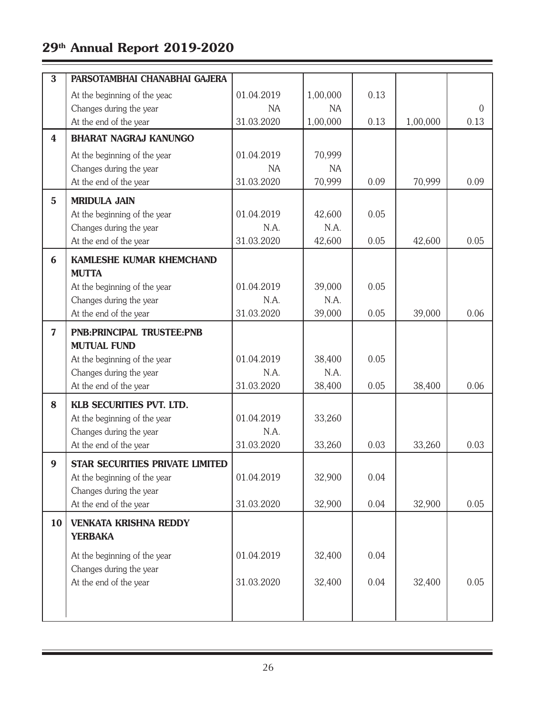# 29th Annual Report 2019-2020

<u> 1989 - Johann Barnett, mars et al.</u>

| 3                       | PARSOTAMBHAI CHANABHAI GAJERA                           |            |                |      |          |          |
|-------------------------|---------------------------------------------------------|------------|----------------|------|----------|----------|
|                         |                                                         | 01.04.2019 |                | 0.13 |          |          |
|                         | At the beginning of the yeac<br>Changes during the year | NA.        | 1,00,000<br>NA |      |          | $\Omega$ |
|                         | At the end of the year                                  | 31.03.2020 | 1,00,000       | 0.13 | 1,00,000 | 0.13     |
|                         |                                                         |            |                |      |          |          |
| $\overline{\mathbf{4}}$ | <b>BHARAT NAGRAJ KANUNGO</b>                            |            |                |      |          |          |
|                         | At the beginning of the year                            | 01.04.2019 | 70,999         |      |          |          |
|                         | Changes during the year                                 | NA.        | NA             |      |          |          |
|                         | At the end of the year                                  | 31.03.2020 | 70,999         | 0.09 | 70,999   | 0.09     |
| 5                       | <b>MRIDULA JAIN</b>                                     |            |                |      |          |          |
|                         | At the beginning of the year                            | 01.04.2019 | 42,600         | 0.05 |          |          |
|                         | Changes during the year                                 | N.A.       | N.A.           |      |          |          |
|                         | At the end of the year                                  | 31.03.2020 | 42,600         | 0.05 | 42,600   | 0.05     |
| 6                       | <b>KAMLESHE KUMAR KHEMCHAND</b>                         |            |                |      |          |          |
|                         | <b>MUTTA</b>                                            |            |                |      |          |          |
|                         | At the beginning of the year                            | 01.04.2019 | 39,000         | 0.05 |          |          |
|                         | Changes during the year                                 | N.A.       | N.A.           |      |          |          |
|                         | At the end of the year                                  | 31.03.2020 | 39,000         | 0.05 | 39,000   | 0.06     |
| $\overline{7}$          | PNB:PRINCIPAL TRUSTEE:PNB                               |            |                |      |          |          |
|                         | <b>MUTUAL FUND</b>                                      |            |                |      |          |          |
|                         | At the beginning of the year                            | 01.04.2019 | 38,400         | 0.05 |          |          |
|                         | Changes during the year                                 | N.A.       | N.A.           |      |          |          |
|                         | At the end of the year                                  | 31.03.2020 | 38,400         | 0.05 | 38,400   | 0.06     |
| 8                       | <b>KLB SECURITIES PVT. LTD.</b>                         |            |                |      |          |          |
|                         | At the beginning of the year                            | 01.04.2019 | 33,260         |      |          |          |
|                         | Changes during the year                                 | N.A.       |                |      |          |          |
|                         | At the end of the year                                  | 31.03.2020 | 33,260         | 0.03 | 33,260   | 0.03     |
|                         |                                                         |            |                |      |          |          |
| 9                       | <b>STAR SECURITIES PRIVATE LIMITED</b>                  |            |                |      |          |          |
|                         | At the beginning of the year<br>Changes during the year | 01.04.2019 | 32,900         | 0.04 |          |          |
|                         | At the end of the year                                  | 31.03.2020 | 32,900         | 0.04 | 32,900   | 0.05     |
|                         |                                                         |            |                |      |          |          |
| 10                      | <b>VENKATA KRISHNA REDDY</b>                            |            |                |      |          |          |
|                         | <b>YERBAKA</b>                                          |            |                |      |          |          |
|                         | At the beginning of the year                            | 01.04.2019 | 32,400         | 0.04 |          |          |
|                         | Changes during the year                                 |            |                |      |          |          |
|                         | At the end of the year                                  | 31.03.2020 | 32,400         | 0.04 | 32,400   | 0.05     |
|                         |                                                         |            |                |      |          |          |
|                         |                                                         |            |                |      |          |          |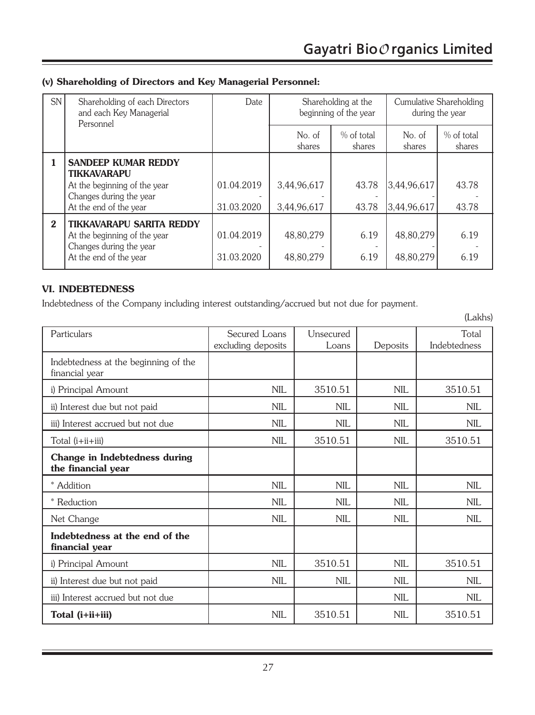| <b>SN</b>    | Shareholding of each Directors<br>and each Key Managerial<br>Personnel                                                                | Date                     | Shareholding at the<br>beginning of the year |                        | Cumulative Shareholding<br>during the year |                        |
|--------------|---------------------------------------------------------------------------------------------------------------------------------------|--------------------------|----------------------------------------------|------------------------|--------------------------------------------|------------------------|
|              |                                                                                                                                       |                          | No. of<br>shares                             | $%$ of total<br>shares | No. of<br>shares                           | $%$ of total<br>shares |
|              | <b>SANDEEP KUMAR REDDY</b><br><b>TIKKAVARAPU</b><br>At the beginning of the year<br>Changes during the year<br>At the end of the year | 01.04.2019<br>31.03.2020 | 3,44,96,617<br>3,44,96,617                   | 43.78<br>43.78         | 3,44,96,617<br>3,44,96,617                 | 43.78<br>43.78         |
| $\mathbf{2}$ | <b>TIKKAVARAPU SARITA REDDY</b><br>At the beginning of the year<br>Changes during the year<br>At the end of the year                  | 01.04.2019<br>31.03.2020 | 48,80,279<br>48,80,279                       | 6.19<br>6.19           | 48,80,279<br>48,80,279                     | 6.19<br>6.19           |

# (v) Shareholding of Directors and Key Managerial Personnel:

# VI. INDEBTEDNESS

Indebtedness of the Company including interest outstanding/accrued but not due for payment.

|                                                        |                                     |                    |            | (Lakhs)                      |
|--------------------------------------------------------|-------------------------------------|--------------------|------------|------------------------------|
| Particulars                                            | Secured Loans<br>excluding deposits | Unsecured<br>Loans | Deposits   | Total<br><b>Indebtedness</b> |
| Indebtedness at the beginning of the<br>financial year |                                     |                    |            |                              |
| i) Principal Amount                                    | <b>NIL</b>                          | 3510.51            | <b>NIL</b> | 3510.51                      |
| ii) Interest due but not paid                          | <b>NIL</b>                          | <b>NIL</b>         | <b>NIL</b> | <b>NIL</b>                   |
| iii) Interest accrued but not due                      | NII.                                | $NII$ .            | <b>NIL</b> | $NII$ .                      |
| Total (i+ii+iii)                                       | <b>NIL</b>                          | 3510.51            | <b>NIL</b> | 3510.51                      |
| Change in Indebtedness during<br>the financial year    |                                     |                    |            |                              |
| * Addition                                             | <b>NIL</b>                          | <b>NIL</b>         | <b>NIL</b> | <b>NIL</b>                   |
| * Reduction                                            | <b>NIL</b>                          | <b>NIL</b>         | <b>NIL</b> | <b>NIL</b>                   |
| Net Change                                             | <b>NIL</b>                          | <b>NIL</b>         | <b>NIL</b> | <b>NIL</b>                   |
| Indebtedness at the end of the<br>financial year       |                                     |                    |            |                              |
| i) Principal Amount                                    | <b>NIL</b>                          | 3510.51            | <b>NIL</b> | 3510.51                      |
| ii) Interest due but not paid                          | <b>NIL</b>                          | <b>NIL</b>         | <b>NIL</b> | <b>NIL</b>                   |
| iii) Interest accrued but not due                      |                                     |                    | <b>NIL</b> | NII.                         |
| Total (i+ii+iii)                                       | <b>NIL</b>                          | 3510.51            | <b>NIL</b> | 3510.51                      |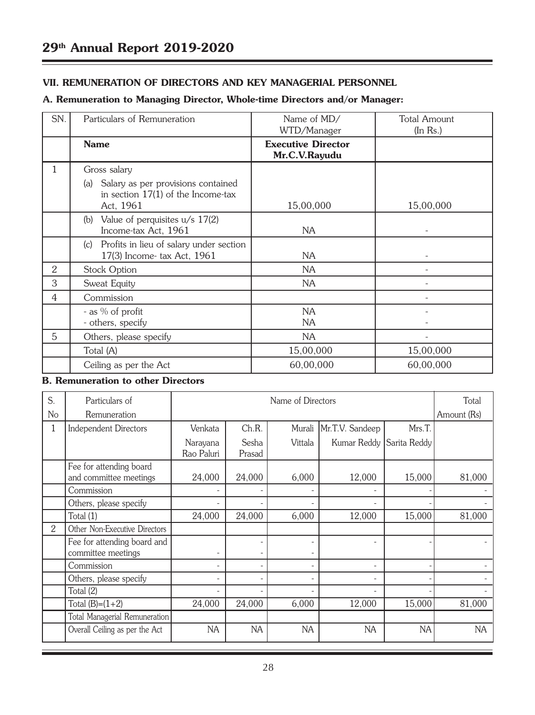## VII. REMUNERATION OF DIRECTORS AND KEY MANAGERIAL PERSONNEL

# A. Remuneration to Managing Director, Whole-time Directors and/or Manager:

| SN. | Particulars of Remuneration                                                                    | Name of MD/<br>WTD/Manager                 | <b>Total Amount</b><br>(In Rs.) |
|-----|------------------------------------------------------------------------------------------------|--------------------------------------------|---------------------------------|
|     | <b>Name</b>                                                                                    | <b>Executive Director</b><br>Mr.C.V.Rayudu |                                 |
| 1.  | Gross salary                                                                                   |                                            |                                 |
|     | Salary as per provisions contained<br>(a)<br>in section $17(1)$ of the Income-tax<br>Act, 1961 | 15,00,000                                  | 15,00,000                       |
|     | Value of perquisites $u/s$ 17(2)<br>(b)<br>Income-tax Act, 1961                                | <b>NA</b>                                  |                                 |
|     | Profits in lieu of salary under section<br>(c)<br>17(3) Income-tax Act, 1961                   | NA.                                        |                                 |
| 2   | <b>Stock Option</b>                                                                            | <b>NA</b>                                  |                                 |
| 3   | Sweat Equity                                                                                   | <b>NA</b>                                  |                                 |
| 4   | Commission                                                                                     |                                            |                                 |
|     | - as % of profit<br>- others, specify                                                          | <b>NA</b><br><b>NA</b>                     |                                 |
| 5   | Others, please specify                                                                         | <b>NA</b>                                  |                                 |
|     | Total (A)                                                                                      | 15,00,000                                  | 15,00,000                       |
|     | Ceiling as per the Act                                                                         | 60,00,000                                  | 60,00,000                       |

## B. Remuneration to other Directors

<u> 1989 - Johann Barnett, mars et al. 1989 - Anna anno 1989 - Anna anno 1989 - Anna anno 1989 - Anna anno 1989 -</u>

| S.             | Particulars of                                    | Name of Directors      |                 |           |                 | Total        |             |
|----------------|---------------------------------------------------|------------------------|-----------------|-----------|-----------------|--------------|-------------|
| N <sub>o</sub> | Remuneration                                      |                        |                 |           |                 |              | Amount (Rs) |
| 1              | <b>Independent Directors</b>                      | Venkata                | Ch.R.           | Murali    | Mr.T.V. Sandeep | Mrs.T.       |             |
|                |                                                   | Narayana<br>Rao Paluri | Sesha<br>Prasad | Vittala   | Kumar Reddy     | Sarita Reddy |             |
|                | Fee for attending board<br>and committee meetings | 24,000                 | 24,000          | 6,000     | 12,000          | 15,000       | 81,000      |
|                | Commission                                        |                        |                 |           |                 |              |             |
|                | Others, please specify                            | ٠                      |                 |           | ٠               |              |             |
|                | Total $(1)$                                       | 24,000                 | 24,000          | 6.000     | 12,000          | 15,000       | 81,000      |
| $\overline{2}$ | Other Non-Executive Directors                     |                        |                 |           |                 |              |             |
|                | Fee for attending board and<br>committee meetings |                        |                 |           |                 |              |             |
|                | Commission                                        |                        | Ξ.              |           |                 |              |             |
|                | Others, please specify                            |                        | ۰               |           |                 |              |             |
|                | Total $(2)$                                       |                        |                 |           |                 |              |             |
|                | Total $(B)=(1+2)$                                 | 24,000                 | 24.000          | 6.000     | 12,000          | 15.000       | 81,000      |
|                | Total Managerial Remuneration                     |                        |                 |           |                 |              |             |
|                | Overall Ceiling as per the Act                    | <b>NA</b>              | <b>NA</b>       | <b>NA</b> | <b>NA</b>       | <b>NA</b>    | <b>NA</b>   |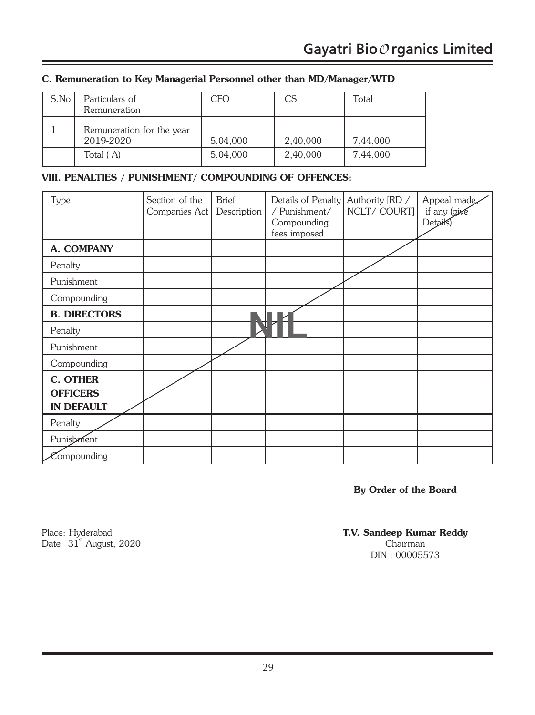| S.No | Particulars of<br>Remuneration         | CFO      | CS       | Total    |
|------|----------------------------------------|----------|----------|----------|
|      | Remuneration for the year<br>2019-2020 | 5,04,000 | 2,40,000 | 7.44,000 |
|      | Total (A)                              | 5,04,000 | 2,40,000 | 7,44,000 |

#### C. Remuneration to Key Managerial Personnel other than MD/Manager/WTD

#### VIII. PENALTIES / PUNISHMENT/ COMPOUNDING OF OFFENCES:

| Type                                                    | Section of the<br>Companies Act | Brief<br>Description | Details of Penalty<br>/ Punishment/<br>Compounding<br>fees imposed | Authority [RD /<br>NCLT/COURT] | Appeal made<br>if any (give<br>Details) |
|---------------------------------------------------------|---------------------------------|----------------------|--------------------------------------------------------------------|--------------------------------|-----------------------------------------|
| A. COMPANY                                              |                                 |                      |                                                                    |                                |                                         |
| Penalty                                                 |                                 |                      |                                                                    |                                |                                         |
| Punishment                                              |                                 |                      |                                                                    |                                |                                         |
| Compounding                                             |                                 |                      |                                                                    |                                |                                         |
| <b>B. DIRECTORS</b>                                     |                                 |                      |                                                                    |                                |                                         |
| Penalty                                                 |                                 |                      |                                                                    |                                |                                         |
| Punishment                                              |                                 |                      |                                                                    |                                |                                         |
| Compounding                                             |                                 |                      |                                                                    |                                |                                         |
| <b>C. OTHER</b><br><b>OFFICERS</b><br><b>IN DEFAULT</b> |                                 |                      |                                                                    |                                |                                         |
| Penalty                                                 |                                 |                      |                                                                    |                                |                                         |
| Punisbiment                                             |                                 |                      |                                                                    |                                |                                         |
| $\mathfrak{S}$ ompounding                               |                                 |                      |                                                                    |                                |                                         |

By Order of the Board

Date:  $31^{\text{st}}$  August, 2020 Chairman

Place: Hyderabad T.V. Sandeep Kumar Reddy DIN : 00005573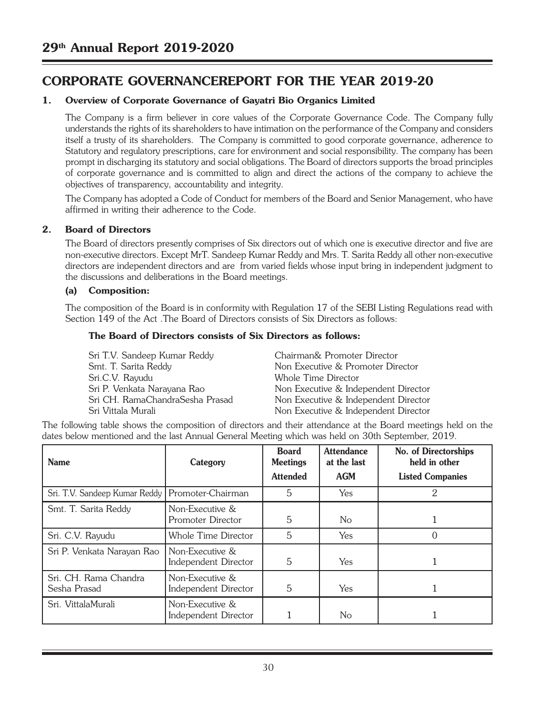# CORPORATE GOVERNANCEREPORT FOR THE YEAR 2019-20

## 1. Overview of Corporate Governance of Gayatri Bio Organics Limited

The Company is a firm believer in core values of the Corporate Governance Code. The Company fully understands the rights of its shareholders to have intimation on the performance of the Company and considers itself a trusty of its shareholders. The Company is committed to good corporate governance, adherence to Statutory and regulatory prescriptions, care for environment and social responsibility. The company has been prompt in discharging its statutory and social obligations. The Board of directors supports the broad principles of corporate governance and is committed to align and direct the actions of the company to achieve the objectives of transparency, accountability and integrity.

The Company has adopted a Code of Conduct for members of the Board and Senior Management, who have affirmed in writing their adherence to the Code.

## 2. Board of Directors

The Board of directors presently comprises of Six directors out of which one is executive director and five are non-executive directors. Except MrT. Sandeep Kumar Reddy and Mrs. T. Sarita Reddy all other non-executive directors are independent directors and are from varied fields whose input bring in independent judgment to the discussions and deliberations in the Board meetings.

#### (a) Composition:

The composition of the Board is in conformity with Regulation 17 of the SEBI Listing Regulations read with Section 149 of the Act .The Board of Directors consists of Six Directors as follows:

#### The Board of Directors consists of Six Directors as follows:

Sri T.V. Sandeep Kumar Reddy Chairman& Promoter Director Smt. T. Sarita Reddy Non Executive & Promoter Director Sri.C.V. Rayudu Whole Time Director Sri Vittala Murali **Non Executive & Independent Director** 

Sri P. Venkata Narayana Rao Non Executive & Independent Director Sri CH. RamaChandraSesha Prasad Non Executive & Independent Director Non Executive & Independent Director

The following table shows the composition of directors and their attendance at the Board meetings held on the dates below mentioned and the last Annual General Meeting which was held on 30th September, 2019.

| <b>Name</b><br>Category                                       |                                            | <b>Board</b><br><b>Meetings</b><br><b>Attended</b> | <b>Attendance</b><br>at the last<br><b>AGM</b> | No. of Directorships<br>held in other<br><b>Listed Companies</b> |
|---------------------------------------------------------------|--------------------------------------------|----------------------------------------------------|------------------------------------------------|------------------------------------------------------------------|
| Sri. T.V. Sandeep Kumar Reddy                                 | Promoter-Chairman                          | 5                                                  | Yes                                            | $\mathcal{D}$                                                    |
| Smt. T. Sarita Reddy                                          | Non-Executive &<br>Promoter Director       | 5                                                  | N <sub>o</sub>                                 |                                                                  |
| Sri. C.V. Rayudu                                              | Whole Time Director                        | 5                                                  | Yes                                            | $\Omega$                                                         |
| Sri P. Venkata Narayan Rao                                    | Non-Executive &<br>Independent Director    | 5                                                  | Yes                                            |                                                                  |
| Sri. CH. Rama Chandra<br>Sesha Prasad                         | Non-Executive $\&$<br>Independent Director | 5                                                  | Yes                                            |                                                                  |
| Sri. VittalaMurali<br>Non-Executive &<br>Independent Director |                                            |                                                    | No                                             |                                                                  |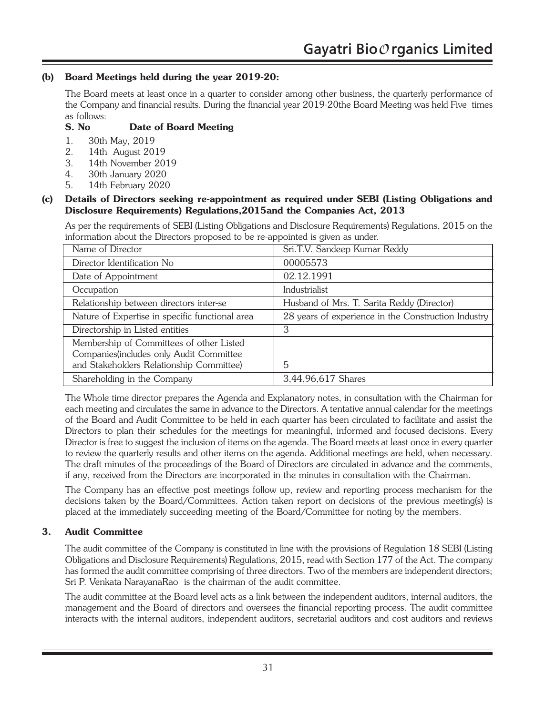#### (b) Board Meetings held during the year 2019-20:

The Board meets at least once in a quarter to consider among other business, the quarterly performance of the Company and financial results. During the financial year 2019-20the Board Meeting was held Five times as follows:<br>S No

#### Date of Board Meeting

- 1. 30th May, 2019
- 2. 14th August 2019<br>3. 14th November 20.
- 3. 14th November 2019
- 4. 30th January 2020
- 14th February 2020

#### (c) Details of Directors seeking re-appointment as required under SEBI (Listing Obligations and Disclosure Requirements) Regulations,2015and the Companies Act, 2013

As per the requirements of SEBI (Listing Obligations and Disclosure Requirements) Regulations, 2015 on the information about the Directors proposed to be re-appointed is given as under.

| Name of Director                                                                                                                | Sri.T.V. Sandeep Kumar Reddy                        |
|---------------------------------------------------------------------------------------------------------------------------------|-----------------------------------------------------|
| Director Identification No                                                                                                      | 00005573                                            |
| Date of Appointment                                                                                                             | 02.12.1991                                          |
| Occupation                                                                                                                      | Industrialist                                       |
| Relationship between directors inter-se                                                                                         | Husband of Mrs. T. Sarita Reddy (Director)          |
| Nature of Expertise in specific functional area                                                                                 | 28 years of experience in the Construction Industry |
| Directorship in Listed entities                                                                                                 | 3                                                   |
| Membership of Committees of other Listed<br>Companies(includes only Audit Committee<br>and Stakeholders Relationship Committee) | 5                                                   |
| Shareholding in the Company                                                                                                     | 3,44,96,617 Shares                                  |

The Whole time director prepares the Agenda and Explanatory notes, in consultation with the Chairman for each meeting and circulates the same in advance to the Directors. A tentative annual calendar for the meetings of the Board and Audit Committee to be held in each quarter has been circulated to facilitate and assist the Directors to plan their schedules for the meetings for meaningful, informed and focused decisions. Every Director is free to suggest the inclusion of items on the agenda. The Board meets at least once in every quarter to review the quarterly results and other items on the agenda. Additional meetings are held, when necessary. The draft minutes of the proceedings of the Board of Directors are circulated in advance and the comments, if any, received from the Directors are incorporated in the minutes in consultation with the Chairman.

The Company has an effective post meetings follow up, review and reporting process mechanism for the decisions taken by the Board/Committees. Action taken report on decisions of the previous meeting(s) is placed at the immediately succeeding meeting of the Board/Committee for noting by the members.

#### 3. Audit Committee

The audit committee of the Company is constituted in line with the provisions of Regulation 18 SEBI (Listing Obligations and Disclosure Requirements) Regulations, 2015, read with Section 177 of the Act. The company has formed the audit committee comprising of three directors. Two of the members are independent directors; Sri P. Venkata NarayanaRao is the chairman of the audit committee.

The audit committee at the Board level acts as a link between the independent auditors, internal auditors, the management and the Board of directors and oversees the financial reporting process. The audit committee interacts with the internal auditors, independent auditors, secretarial auditors and cost auditors and reviews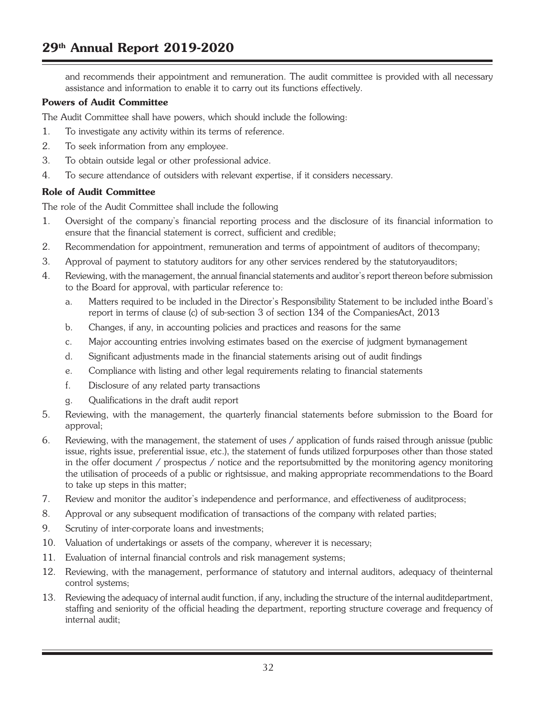and recommends their appointment and remuneration. The audit committee is provided with all necessary assistance and information to enable it to carry out its functions effectively.

# Powers of Audit Committee

The Audit Committee shall have powers, which should include the following:

- 1. To investigate any activity within its terms of reference.
- 2. To seek information from any employee.
- 3. To obtain outside legal or other professional advice.
- 4. To secure attendance of outsiders with relevant expertise, if it considers necessary.

# Role of Audit Committee

The role of the Audit Committee shall include the following

- 1. Oversight of the company's financial reporting process and the disclosure of its financial information to ensure that the financial statement is correct, sufficient and credible;
- 2. Recommendation for appointment, remuneration and terms of appointment of auditors of thecompany;
- 3. Approval of payment to statutory auditors for any other services rendered by the statutoryauditors;
- 4. Reviewing, with the management, the annual financial statements and auditor's report thereon before submission to the Board for approval, with particular reference to:
	- a. Matters required to be included in the Director's Responsibility Statement to be included inthe Board's report in terms of clause (c) of sub-section 3 of section 134 of the CompaniesAct, 2013
	- b. Changes, if any, in accounting policies and practices and reasons for the same
	- c. Major accounting entries involving estimates based on the exercise of judgment bymanagement
	- d. Significant adjustments made in the financial statements arising out of audit findings
	- e. Compliance with listing and other legal requirements relating to financial statements
	- f. Disclosure of any related party transactions
	- g. Qualifications in the draft audit report
- 5. Reviewing, with the management, the quarterly financial statements before submission to the Board for approval;
- 6. Reviewing, with the management, the statement of uses / application of funds raised through anissue (public issue, rights issue, preferential issue, etc.), the statement of funds utilized forpurposes other than those stated in the offer document / prospectus / notice and the reportsubmitted by the monitoring agency monitoring the utilisation of proceeds of a public or rightsissue, and making appropriate recommendations to the Board to take up steps in this matter;
- 7. Review and monitor the auditor's independence and performance, and effectiveness of auditprocess;
- 8. Approval or any subsequent modification of transactions of the company with related parties;
- 9. Scrutiny of inter-corporate loans and investments;
- 10. Valuation of undertakings or assets of the company, wherever it is necessary;
- 11. Evaluation of internal financial controls and risk management systems;
- 12. Reviewing, with the management, performance of statutory and internal auditors, adequacy of theinternal control systems;
- 13. Reviewing the adequacy of internal audit function, if any, including the structure of the internal auditdepartment, staffing and seniority of the official heading the department, reporting structure coverage and frequency of internal audit;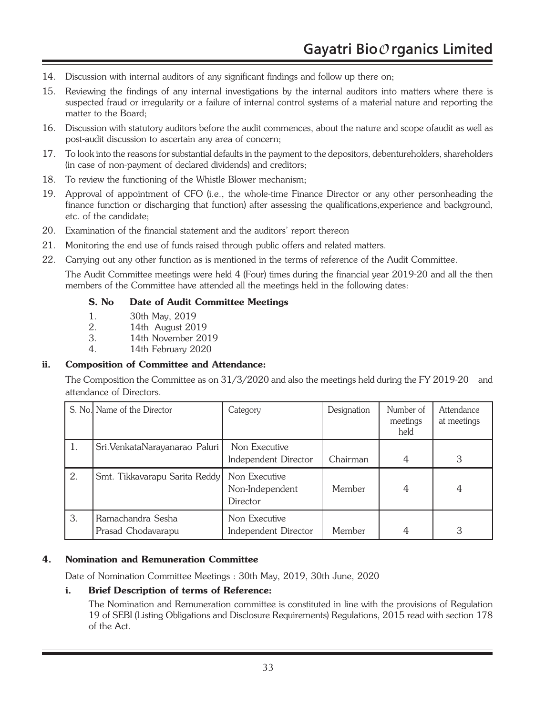- 14. Discussion with internal auditors of any significant findings and follow up there on;
- 15. Reviewing the findings of any internal investigations by the internal auditors into matters where there is suspected fraud or irregularity or a failure of internal control systems of a material nature and reporting the matter to the Board;
- 16. Discussion with statutory auditors before the audit commences, about the nature and scope ofaudit as well as post-audit discussion to ascertain any area of concern;
- 17. To look into the reasons for substantial defaults in the payment to the depositors, debentureholders, shareholders (in case of non-payment of declared dividends) and creditors;
- 18. To review the functioning of the Whistle Blower mechanism;
- 19. Approval of appointment of CFO (i.e., the whole-time Finance Director or any other personheading the finance function or discharging that function) after assessing the qualifications,experience and background, etc. of the candidate;
- 20. Examination of the financial statement and the auditors' report thereon
- 21. Monitoring the end use of funds raised through public offers and related matters.
- 22. Carrying out any other function as is mentioned in the terms of reference of the Audit Committee.

The Audit Committee meetings were held 4 (Four) times during the financial year 2019-20 and all the then members of the Committee have attended all the meetings held in the following dates:

## S. No Date of Audit Committee Meetings

- 1. 30th May, 2019
- 2. 14th August 2019<br>3. 14th November 20
- 3. 14th November 2019
- 4. 14th February 2020

## ii. Composition of Committee and Attendance:

The Composition the Committee as on 31/3/2020 and also the meetings held during the FY 2019-20 and attendance of Directors.

|    | S. No. Name of the Director             | Category                                     | Designation | Number of<br>meetings<br>held | Attendance<br>at meetings |
|----|-----------------------------------------|----------------------------------------------|-------------|-------------------------------|---------------------------|
| 1. | Sri.VenkataNarayanarao Paluri           | Non Executive<br>Independent Director        | Chairman    | 4                             | 3                         |
| 2. | Smt. Tikkavarapu Sarita Reddy           | Non Executive<br>Non-Independent<br>Director | Member      | 4                             | 4                         |
| 3. | Ramachandra Sesha<br>Prasad Chodavarapu | Non Executive<br>Independent Director        | Member      |                               | 3                         |

#### 4. Nomination and Remuneration Committee

Date of Nomination Committee Meetings : 30th May, 2019, 30th June, 2020

## i. Brief Description of terms of Reference:

The Nomination and Remuneration committee is constituted in line with the provisions of Regulation 19 of SEBI (Listing Obligations and Disclosure Requirements) Regulations, 2015 read with section 178 of the Act.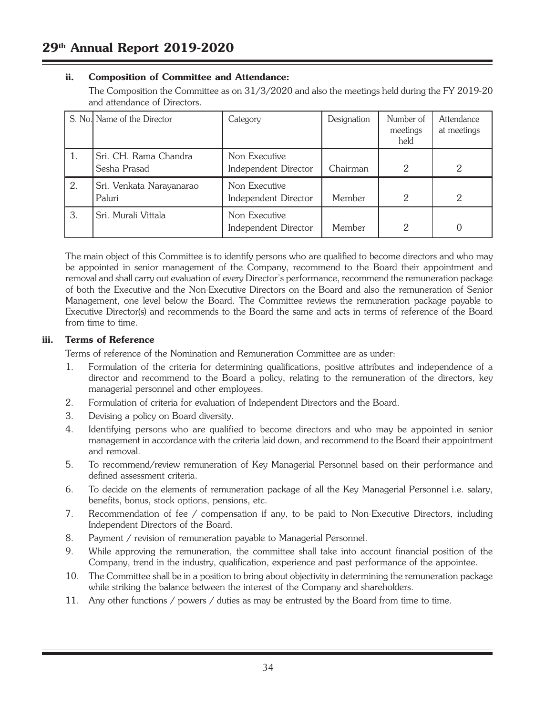#### ii. Composition of Committee and Attendance:

The Composition the Committee as on 31/3/2020 and also the meetings held during the FY 2019-20 and attendance of Directors.

|    | S. No. Name of the Director | Category                    | Designation | Number of<br>meetings<br>held | Attendance<br>at meetings |
|----|-----------------------------|-----------------------------|-------------|-------------------------------|---------------------------|
|    | Sri. CH. Rama Chandra       | Non Executive               |             |                               |                           |
|    | Sesha Prasad                | <b>Independent Director</b> | Chairman    | 2                             | Ω                         |
| 2. | Sri. Venkata Narayanarao    | Non Executive               |             |                               |                           |
|    | Paluri                      | <b>Independent Director</b> | Member      | 2                             | 2                         |
| 3. | Sri. Murali Vittala         | Non Executive               |             |                               |                           |
|    |                             | <b>Independent Director</b> | Member      | 2                             |                           |

The main object of this Committee is to identify persons who are qualified to become directors and who may be appointed in senior management of the Company, recommend to the Board their appointment and removal and shall carry out evaluation of every Director's performance, recommend the remuneration package of both the Executive and the Non-Executive Directors on the Board and also the remuneration of Senior Management, one level below the Board. The Committee reviews the remuneration package payable to Executive Director(s) and recommends to the Board the same and acts in terms of reference of the Board from time to time.

#### iii. Terms of Reference

Terms of reference of the Nomination and Remuneration Committee are as under:

- 1. Formulation of the criteria for determining qualifications, positive attributes and independence of a director and recommend to the Board a policy, relating to the remuneration of the directors, key managerial personnel and other employees.
- 2. Formulation of criteria for evaluation of Independent Directors and the Board.
- 3. Devising a policy on Board diversity.
- 4. Identifying persons who are qualified to become directors and who may be appointed in senior management in accordance with the criteria laid down, and recommend to the Board their appointment and removal.
- 5. To recommend/review remuneration of Key Managerial Personnel based on their performance and defined assessment criteria.
- 6. To decide on the elements of remuneration package of all the Key Managerial Personnel i.e. salary, benefits, bonus, stock options, pensions, etc.
- 7. Recommendation of fee / compensation if any, to be paid to Non-Executive Directors, including Independent Directors of the Board.
- 8. Payment / revision of remuneration payable to Managerial Personnel.
- 9. While approving the remuneration, the committee shall take into account financial position of the Company, trend in the industry, qualification, experience and past performance of the appointee.
- 10. The Committee shall be in a position to bring about objectivity in determining the remuneration package while striking the balance between the interest of the Company and shareholders.
- 11. Any other functions / powers / duties as may be entrusted by the Board from time to time.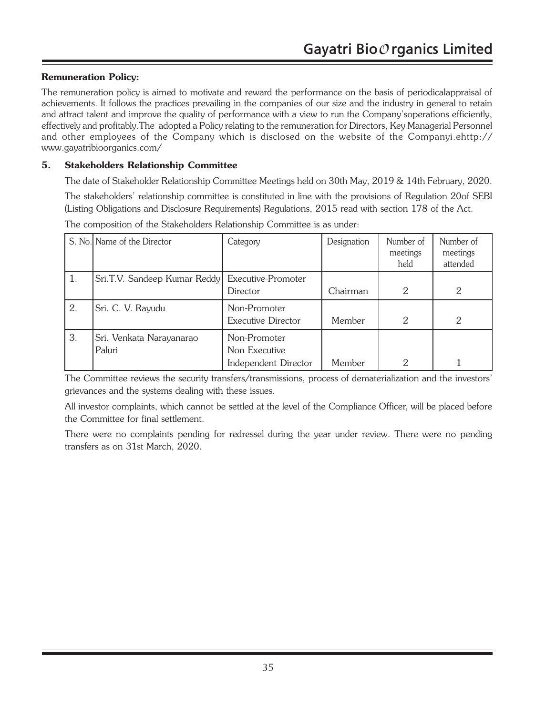#### Remuneration Policy:

The remuneration policy is aimed to motivate and reward the performance on the basis of periodicalappraisal of achievements. It follows the practices prevailing in the companies of our size and the industry in general to retain and attract talent and improve the quality of performance with a view to run the Company'soperations efficiently, effectively and profitably.The adopted a Policy relating to the remuneration for Directors, Key Managerial Personnel and other employees of the Company which is disclosed on the website of the Companyi.ehttp:// www.gayatribioorganics.com/

#### 5. Stakeholders Relationship Committee

The date of Stakeholder Relationship Committee Meetings held on 30th May, 2019 & 14th February, 2020.

The stakeholders' relationship committee is constituted in line with the provisions of Regulation 20of SEBI (Listing Obligations and Disclosure Requirements) Regulations, 2015 read with section 178 of the Act.

|    | S. No. Name of the Director                     | Category                                              | Designation | Number of<br>meetings<br>held | Number of<br>meetings<br>attended |
|----|-------------------------------------------------|-------------------------------------------------------|-------------|-------------------------------|-----------------------------------|
| 1. | Sri.T.V. Sandeep Kumar Reddy Executive-Promoter | Director                                              | Chairman    | 2                             | 2                                 |
| 2. | Sri. C. V. Rayudu                               | Non-Promoter<br>Executive Director                    | Member      | 2                             | 2                                 |
| 3. | Sri. Venkata Narayanarao<br>Paluri              | Non-Promoter<br>Non Executive<br>Independent Director | Member      | 2                             |                                   |

The composition of the Stakeholders Relationship Committee is as under:

The Committee reviews the security transfers/transmissions, process of dematerialization and the investors' grievances and the systems dealing with these issues.

All investor complaints, which cannot be settled at the level of the Compliance Officer, will be placed before the Committee for final settlement.

There were no complaints pending for redressel during the year under review. There were no pending transfers as on 31st March, 2020.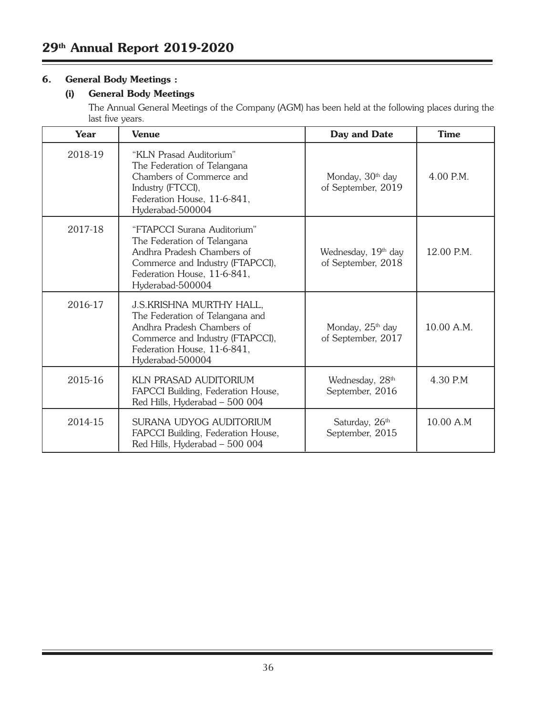#### 6. General Body Meetings :

#### (i) General Body Meetings

The Annual General Meetings of the Company (AGM) has been held at the following places during the last five years.

| Year    | <b>Venue</b>                                                                                                                                                                            | Day and Date                                          | <b>Time</b> |
|---------|-----------------------------------------------------------------------------------------------------------------------------------------------------------------------------------------|-------------------------------------------------------|-------------|
| 2018-19 | "KLN Prasad Auditorium"<br>The Federation of Telangana<br>Chambers of Commerce and<br>Industry (FTCCI),<br>Federation House, 11-6-841,<br>Hyderabad-500004                              | Monday, 30 <sup>th</sup> day<br>of September, 2019    | 4.00 P.M.   |
| 2017-18 | "FTAPCCI Surana Auditorium"<br>The Federation of Telangana<br>Andhra Pradesh Chambers of<br>Commerce and Industry (FTAPCCI),<br>Federation House, 11-6-841,<br>Hyderabad-500004         | Wednesday, 19 <sup>th</sup> day<br>of September, 2018 | 12.00 P.M.  |
| 2016-17 | <b>J.S.KRISHNA MURTHY HALL,</b><br>The Federation of Telangana and<br>Andhra Pradesh Chambers of<br>Commerce and Industry (FTAPCCI),<br>Federation House, 11-6-841,<br>Hyderabad-500004 | Monday, 25 <sup>th</sup> day<br>of September, 2017    | 10.00 A.M.  |
| 2015-16 | KLN PRASAD AUDITORIUM<br>FAPCCI Building, Federation House,<br>Red Hills, Hyderabad - 500 004                                                                                           | Wednesday, 28 <sup>th</sup><br>September, 2016        | 4.30 P.M    |
| 2014-15 | SURANA UDYOG AUDITORIUM<br>FAPCCI Building, Federation House,<br>Red Hills, Hyderabad - 500 004                                                                                         | Saturday, 26 <sup>th</sup><br>September, 2015         | 10.00 A.M   |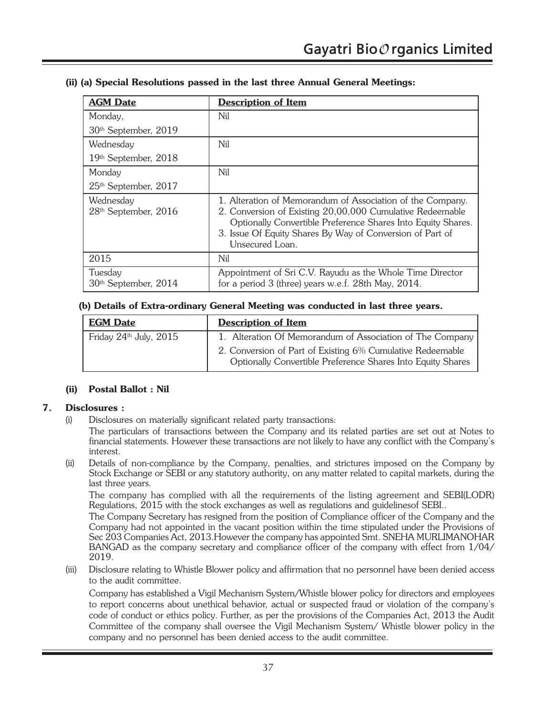| <b>AGM Date</b>                               | <b>Description of Item</b>                                                                                                                                                                                                                                              |
|-----------------------------------------------|-------------------------------------------------------------------------------------------------------------------------------------------------------------------------------------------------------------------------------------------------------------------------|
| Monday,                                       | Nil                                                                                                                                                                                                                                                                     |
| 30 <sup>th</sup> September, 2019              |                                                                                                                                                                                                                                                                         |
| Wednesday                                     | Nil                                                                                                                                                                                                                                                                     |
| 19 <sup>th</sup> September, 2018              |                                                                                                                                                                                                                                                                         |
| Monday                                        | Nil                                                                                                                                                                                                                                                                     |
| $25th$ September, 2017                        |                                                                                                                                                                                                                                                                         |
| Wednesday<br>28 <sup>th</sup> September, 2016 | 1. Alteration of Memorandum of Association of the Company.<br>2. Conversion of Existing 20,00,000 Cumulative Redeemable<br>Optionally Convertible Preference Shares Into Equity Shares.<br>3. Issue Of Equity Shares By Way of Conversion of Part of<br>Unsecured Loan. |
| 2015                                          | Nil                                                                                                                                                                                                                                                                     |
| Tuesday<br>30 <sup>th</sup> September, 2014   | Appointment of Sri C.V. Rayudu as the Whole Time Director<br>for a period 3 (three) years w.e.f. 28th May, 2014.                                                                                                                                                        |

#### (ii) (a) Special Resolutions passed in the last three Annual General Meetings:

#### (b) Details of Extra-ordinary General Meeting was conducted in last three years.

| <b>EGM Date</b>            | <b>Description of Item</b>                                                                                                |
|----------------------------|---------------------------------------------------------------------------------------------------------------------------|
| Friday $24th$ July, $2015$ | 1. Alteration Of Memorandum of Association of The Company                                                                 |
|                            | 2. Conversion of Part of Existing 6% Cumulative Redeemable<br>Optionally Convertible Preference Shares Into Equity Shares |

#### (ii) Postal Ballot : Nil

#### 7. Disclosures :

(i) Disclosures on materially significant related party transactions:

The particulars of transactions between the Company and its related parties are set out at Notes to financial statements. However these transactions are not likely to have any conflict with the Company's interest.

(ii) Details of non-compliance by the Company, penalties, and strictures imposed on the Company by Stock Exchange or SEBI or any statutory authority, on any matter related to capital markets, during the last three years.

The company has complied with all the requirements of the listing agreement and SEBI(LODR) Regulations, 2015 with the stock exchanges as well as regulations and guidelinesof SEBI..

The Company Secretary has resigned from the position of Compliance officer of the Company and the Company had not appointed in the vacant position within the time stipulated under the Provisions of Sec 203 Companies Act, 2013.However the company has appointed Smt. SNEHA MURLIMANOHAR BANGAD as the company secretary and compliance officer of the company with effect from 1/04/ 2019.

(iii) Disclosure relating to Whistle Blower policy and affirmation that no personnel have been denied access to the audit committee.

Company has established a Vigil Mechanism System/Whistle blower policy for directors and employees to report concerns about unethical behavior, actual or suspected fraud or violation of the company's code of conduct or ethics policy. Further, as per the provisions of the Companies Act, 2013 the Audit Committee of the company shall oversee the Vigil Mechanism System/ Whistle blower policy in the company and no personnel has been denied access to the audit committee.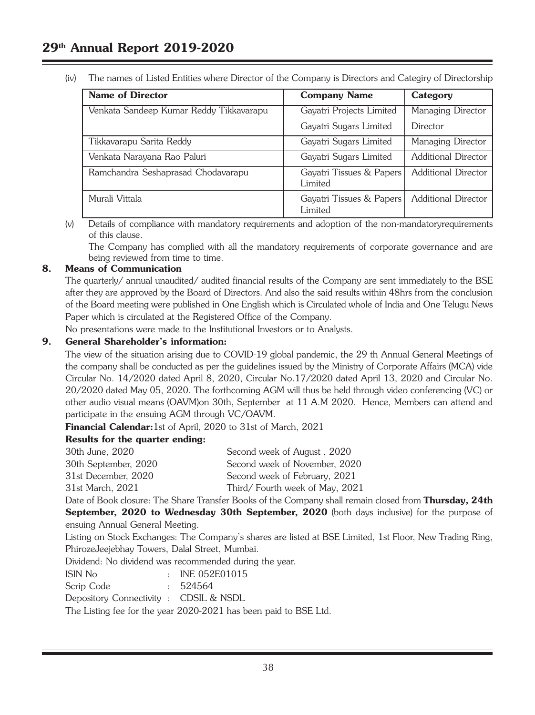(iv) The names of Listed Entities where Director of the Company is Directors and Categiry of Directorship

| Name of Director                        | <b>Company Name</b>                  | Category            |
|-----------------------------------------|--------------------------------------|---------------------|
| Venkata Sandeep Kumar Reddy Tikkavarapu | Gayatri Projects Limited             | Managing Director   |
|                                         | Gayatri Sugars Limited               | Director            |
| Tikkavarapu Sarita Reddy                | Gayatri Sugars Limited               | Managing Director   |
| Venkata Narayana Rao Paluri             | Gayatri Sugars Limited               | Additional Director |
| Ramchandra Seshaprasad Chodavarapu      | Gayatri Tissues & Papers<br>Limited  | Additional Director |
| Murali Vittala                          | Gayatri Tissues & Papers<br>I imited | Additional Director |

(v) Details of compliance with mandatory requirements and adoption of the non-mandatoryrequirements of this clause.

The Company has complied with all the mandatory requirements of corporate governance and are being reviewed from time to time.

#### 8. Means of Communication

The quarterly/ annual unaudited/ audited financial results of the Company are sent immediately to the BSE after they are approved by the Board of Directors. And also the said results within 48hrs from the conclusion of the Board meeting were published in One English which is Circulated whole of India and One Telugu News Paper which is circulated at the Registered Office of the Company.

No presentations were made to the Institutional Investors or to Analysts.

#### 9. General Shareholder's information:

The view of the situation arising due to COVID-19 global pandemic, the 29 th Annual General Meetings of the company shall be conducted as per the guidelines issued by the Ministry of Corporate Affairs (MCA) vide Circular No. 14/2020 dated April 8, 2020, Circular No.17/2020 dated April 13, 2020 and Circular No. 20/2020 dated May 05, 2020. The forthcoming AGM will thus be held through video conferencing (VC) or other audio visual means (OAVM)on 30th, September at 11 A.M 2020. Hence, Members can attend and participate in the ensuing AGM through VC/OAVM.

Financial Calendar:1st of April, 2020 to 31st of March, 2021

#### Results for the quarter ending:

| 30th June, 2020      | Second week of August, 2020    |
|----------------------|--------------------------------|
| 30th September, 2020 | Second week of November, 2020  |
| 31st December, 2020  | Second week of February, 2021  |
| 31st March, 2021     | Third/Fourth week of May, 2021 |

Date of Book closure: The Share Transfer Books of the Company shall remain closed from **Thursday, 24th** September, 2020 to Wednesday 30th September, 2020 (both days inclusive) for the purpose of

ensuing Annual General Meeting.

Listing on Stock Exchanges: The Company's shares are listed at BSE Limited, 1st Floor, New Trading Ring, PhirozeJeejebhay Towers, Dalal Street, Mumbai.

Dividend: No dividend was recommended during the year.

| ISIN No |  |  |  |  |  |  | INE 052E01015 |  |  |  |
|---------|--|--|--|--|--|--|---------------|--|--|--|
|         |  |  |  |  |  |  |               |  |  |  |

Scrip Code : 524564

Depository Connectivity : CDSIL & NSDL

The Listing fee for the year 2020-2021 has been paid to BSE Ltd.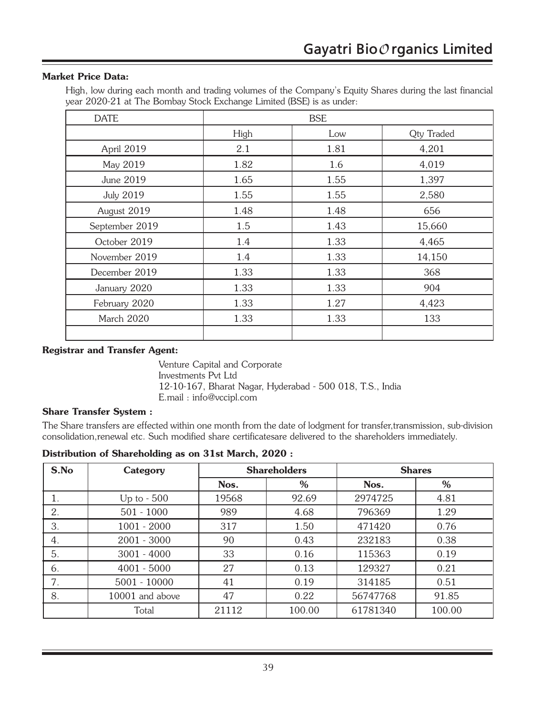#### Market Price Data:

High, low during each month and trading volumes of the Company's Equity Shares during the last financial year 2020-21 at The Bombay Stock Exchange Limited (BSE) is as under:

| <b>DATE</b>      | <b>BSE</b> |      |            |  |
|------------------|------------|------|------------|--|
|                  | High       | Low  | Qty Traded |  |
| April 2019       | 2.1        | 1.81 | 4,201      |  |
| May 2019         | 1.82       | 1.6  | 4,019      |  |
| June 2019        | 1.65       | 1.55 | 1,397      |  |
| <b>July 2019</b> | 1.55       | 1.55 | 2,580      |  |
| August 2019      | 1.48       | 1.48 | 656        |  |
| September 2019   | 1.5        | 1.43 | 15,660     |  |
| October 2019     | 1.4        | 1.33 | 4,465      |  |
| November 2019    | 1.4        | 1.33 | 14,150     |  |
| December 2019    | 1.33       | 1.33 | 368        |  |
| January 2020     | 1.33       | 1.33 | 904        |  |
| February 2020    | 1.33       | 1.27 | 4,423      |  |
| March 2020       | 1.33       | 1.33 | 133        |  |
|                  |            |      |            |  |

#### Registrar and Transfer Agent:

Venture Capital and Corporate Investments Pvt Ltd 12-10-167, Bharat Nagar, Hyderabad - 500 018, T.S., India E.mail : info@vccipl.com

#### Share Transfer System :

The Share transfers are effected within one month from the date of lodgment for transfer,transmission, sub-division consolidation,renewal etc. Such modified share certificatesare delivered to the shareholders immediately.

Distribution of Shareholding as on 31st March, 2020 :

| S.No | Category          | <b>Shareholders</b> |        |          | <b>Shares</b> |  |
|------|-------------------|---------------------|--------|----------|---------------|--|
|      |                   | Nos.                | %      | Nos.     | %             |  |
| 1.   | Up to $-500$      | 19568               | 92.69  | 2974725  | 4.81          |  |
| 2.   | $501 - 1000$      | 989                 | 4.68   | 796369   | 1.29          |  |
| 3.   | $1001 - 2000$     | 317                 | 1.50   | 471420   | 0.76          |  |
| 4.   | $2001 - 3000$     | 90                  | 0.43   | 232183   | 0.38          |  |
| 5.   | $3001 - 4000$     | 33                  | 0.16   | 115363   | 0.19          |  |
| 6.   | $4001 - 5000$     | 27                  | 0.13   | 129327   | 0.21          |  |
| 7.   | $5001 - 10000$    | 41                  | 0.19   | 314185   | 0.51          |  |
| 8.   | $10001$ and above | 47                  | 0.22   | 56747768 | 91.85         |  |
|      | Total             | 21112               | 100.00 | 61781340 | 100.00        |  |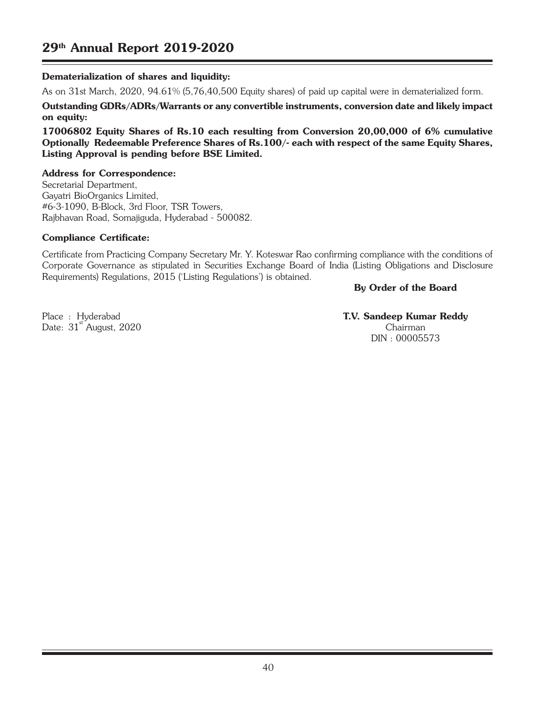### 29th Annual Report 2019-2020

#### Dematerialization of shares and liquidity:

As on 31st March, 2020, 94.61% (5,76,40,500 Equity shares) of paid up capital were in dematerialized form.

Outstanding GDRs/ADRs/Warrants or any convertible instruments, conversion date and likely impact on equity:

17006802 Equity Shares of Rs.10 each resulting from Conversion 20,00,000 of 6% cumulative Optionally Redeemable Preference Shares of Rs.100/- each with respect of the same Equity Shares, Listing Approval is pending before BSE Limited.

#### Address for Correspondence:

Secretarial Department, Gayatri BioOrganics Limited, #6-3-1090, B-Block, 3rd Floor, TSR Towers, Rajbhavan Road, Somajiguda, Hyderabad - 500082.

#### Compliance Certificate:

Certificate from Practicing Company Secretary Mr. Y. Koteswar Rao confirming compliance with the conditions of Corporate Governance as stipulated in Securities Exchange Board of India (Listing Obligations and Disclosure Requirements) Regulations, 2015 ('Listing Regulations') is obtained.

By Order of the Board

Date:  $31<sup>st</sup>$  August, 2020

Place : Hyderabad T.V. Sandeep Kumar Reddy DIN : 00005573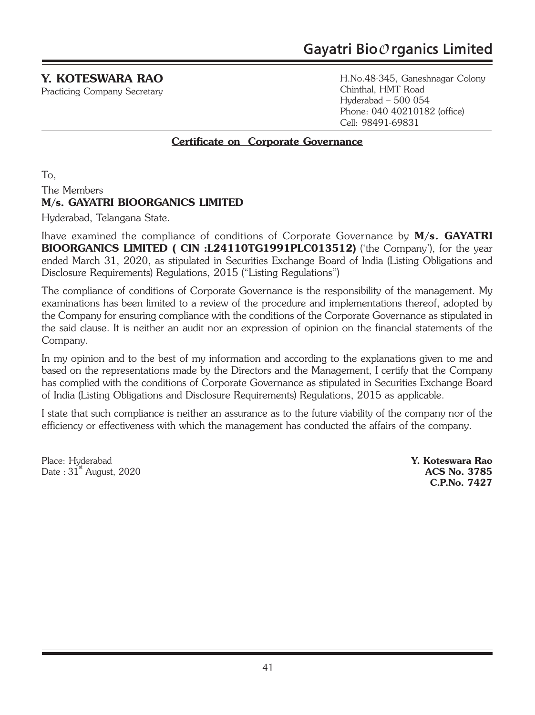### Y. KOTESWARA RAO

Practicing Company Secretary

H.No.48-345, Ganeshnagar Colony Chinthal, HMT Road Hyderabad – 500 054 Phone: 040 40210182 (office) Cell: 98491-69831

#### Certificate on Corporate Governance

To,

### The Members M/s. GAYATRI BIOORGANICS LIMITED

Hyderabad, Telangana State.

Ihave examined the compliance of conditions of Corporate Governance by M/s. GAYATRI BIOORGANICS LIMITED ( CIN :L24110TG1991PLC013512) ('the Company'), for the year ended March 31, 2020, as stipulated in Securities Exchange Board of India (Listing Obligations and Disclosure Requirements) Regulations, 2015 ("Listing Regulations")

The compliance of conditions of Corporate Governance is the responsibility of the management. My examinations has been limited to a review of the procedure and implementations thereof, adopted by the Company for ensuring compliance with the conditions of the Corporate Governance as stipulated in the said clause. It is neither an audit nor an expression of opinion on the financial statements of the Company.

In my opinion and to the best of my information and according to the explanations given to me and based on the representations made by the Directors and the Management, I certify that the Company has complied with the conditions of Corporate Governance as stipulated in Securities Exchange Board of India (Listing Obligations and Disclosure Requirements) Regulations, 2015 as applicable.

I state that such compliance is neither an assurance as to the future viability of the company nor of the efficiency or effectiveness with which the management has conducted the affairs of the company.

Place: Hyderabad **Y. Koteswara Rao** Date : 31<sup>st</sup> August, 2020 **ACS No. 3785** 

C.P.No. 7427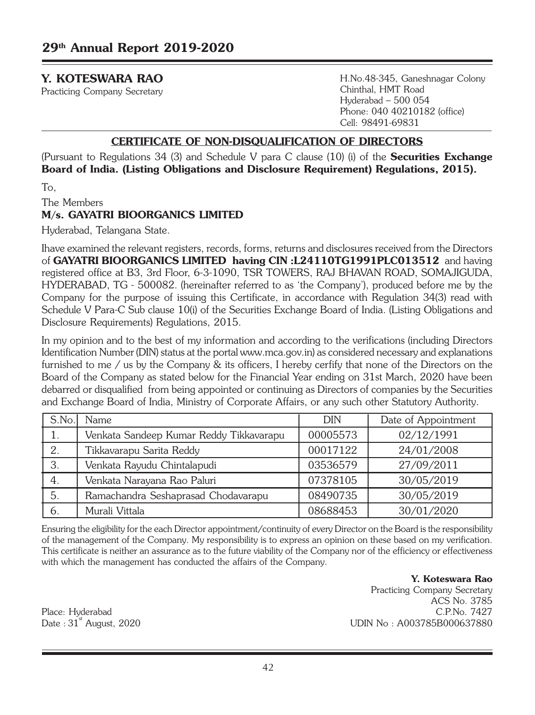### Y. KOTESWARA RAO

Practicing Company Secretary

H.No.48-345, Ganeshnagar Colony Chinthal, HMT Road Hyderabad – 500 054 Phone: 040 40210182 (office) Cell: 98491-69831

#### CERTIFICATE OF NON-DISQUALIFICATION OF DIRECTORS

(Pursuant to Regulations 34 (3) and Schedule V para C clause (10) (i) of the **Securities Exchange** Board of India. (Listing Obligations and Disclosure Requirement) Regulations, 2015).

To,

The Members

#### M/s. GAYATRI BIOORGANICS LIMITED

Hyderabad, Telangana State.

Ihave examined the relevant registers, records, forms, returns and disclosures received from the Directors of GAYATRI BIOORGANICS LIMITED having CIN :L24110TG1991PLC013512 and having registered office at B3, 3rd Floor, 6-3-1090, TSR TOWERS, RAJ BHAVAN ROAD, SOMAJIGUDA, HYDERABAD, TG - 500082. (hereinafter referred to as 'the Company'), produced before me by the Company for the purpose of issuing this Certificate, in accordance with Regulation 34(3) read with Schedule V Para-C Sub clause 10(i) of the Securities Exchange Board of India. (Listing Obligations and Disclosure Requirements) Regulations, 2015.

In my opinion and to the best of my information and according to the verifications (including Directors Identification Number (DIN) status at the portal www.mca.gov.in) as considered necessary and explanations furnished to me / us by the Company & its officers, I hereby cerfify that none of the Directors on the Board of the Company as stated below for the Financial Year ending on 31st March, 2020 have been debarred or disqualified from being appointed or continuing as Directors of companies by the Securities and Exchange Board of India, Ministry of Corporate Affairs, or any such other Statutory Authority.

| S.No. | Name                                    | <b>DIN</b> | Date of Appointment |
|-------|-----------------------------------------|------------|---------------------|
| 1.    | Venkata Sandeep Kumar Reddy Tikkavarapu | 00005573   | 02/12/1991          |
| 2.    | Tikkavarapu Sarita Reddy                | 00017122   | 24/01/2008          |
| 3.    | Venkata Rayudu Chintalapudi             | 03536579   | 27/09/2011          |
| 4.    | Venkata Narayana Rao Paluri             | 07378105   | 30/05/2019          |
| 5.    | Ramachandra Seshaprasad Chodavarapu     | 08490735   | 30/05/2019          |
| 6.    | Murali Vittala                          | 08688453   | 30/01/2020          |

Ensuring the eligibility for the each Director appointment/continuity of every Director on the Board is the responsibility of the management of the Company. My responsibility is to express an opinion on these based on my verification. This certificate is neither an assurance as to the future viability of the Company nor of the efficiency or effectiveness with which the management has conducted the affairs of the Company.

Y. Koteswara Rao Practicing Company Secretary ACS No. 3785 Place: Hyderabad C.P.No. 7427 Date : 31<sup>st</sup> August, 2020 UDIN No : A003785B000637880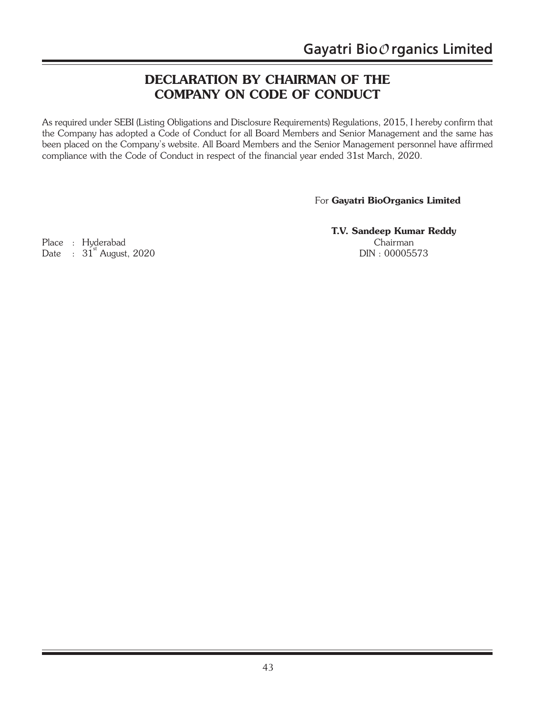### DECLARATION BY CHAIRMAN OF THE COMPANY ON CODE OF CONDUCT

As required under SEBI (Listing Obligations and Disclosure Requirements) Regulations, 2015, I hereby confirm that the Company has adopted a Code of Conduct for all Board Members and Senior Management and the same has been placed on the Company's website. All Board Members and the Senior Management personnel have affirmed compliance with the Code of Conduct in respect of the financial year ended 31st March, 2020.

For Gayatri BioOrganics Limited

Place : Hyderabad Chairman Date :  $31^{\text{st}}$  August, 2020

T.V. Sandeep Kumar Reddy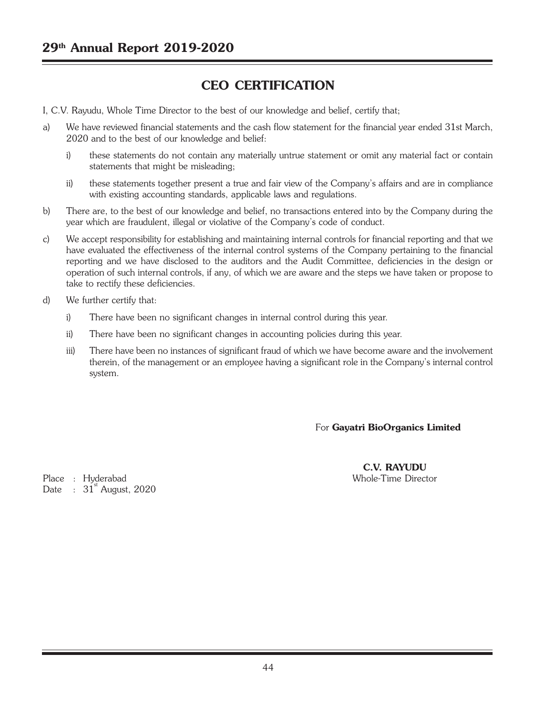### CEO CERTIFICATION

I, C.V. Rayudu, Whole Time Director to the best of our knowledge and belief, certify that;

- a) We have reviewed financial statements and the cash flow statement for the financial year ended 31st March, 2020 and to the best of our knowledge and belief:
	- i) these statements do not contain any materially untrue statement or omit any material fact or contain statements that might be misleading;
	- ii) these statements together present a true and fair view of the Company's affairs and are in compliance with existing accounting standards, applicable laws and regulations.
- b) There are, to the best of our knowledge and belief, no transactions entered into by the Company during the year which are fraudulent, illegal or violative of the Company's code of conduct.
- c) We accept responsibility for establishing and maintaining internal controls for financial reporting and that we have evaluated the effectiveness of the internal control systems of the Company pertaining to the financial reporting and we have disclosed to the auditors and the Audit Committee, deficiencies in the design or operation of such internal controls, if any, of which we are aware and the steps we have taken or propose to take to rectify these deficiencies.
- d) We further certify that:
	- i) There have been no significant changes in internal control during this year.
	- ii) There have been no significant changes in accounting policies during this year.
	- iii) There have been no instances of significant fraud of which we have become aware and the involvement therein, of the management or an employee having a significant role in the Company's internal control system.

#### For Gayatri BioOrganics Limited

Place : Hyderabad Whole-Time Director Date :  $31^{\text{st}}$  August, 2020

C.V. RAYUDU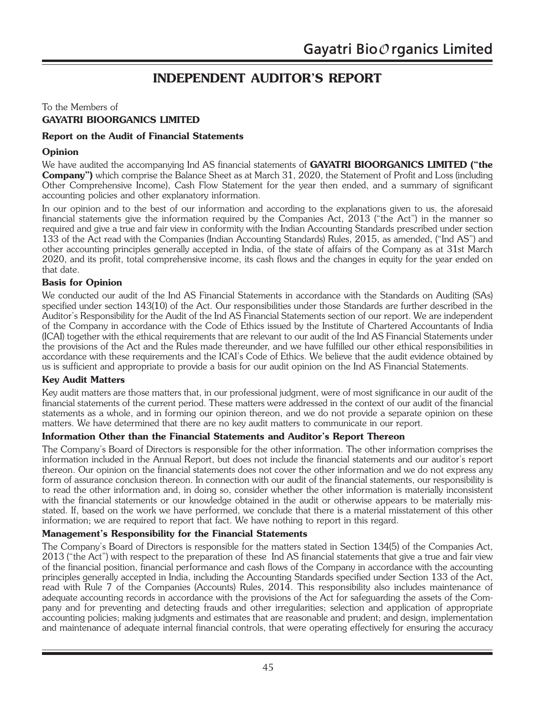### INDEPENDENT AUDITOR'S REPORT

#### To the Members of GAYATRI BIOORGANICS LIMITED

#### Report on the Audit of Financial Statements

#### **Opinion**

We have audited the accompanying Ind AS financial statements of **GAYATRI BIOORGANICS LIMITED ("the** Company") which comprise the Balance Sheet as at March 31, 2020, the Statement of Profit and Loss (including Other Comprehensive Income), Cash Flow Statement for the year then ended, and a summary of significant accounting policies and other explanatory information.

In our opinion and to the best of our information and according to the explanations given to us, the aforesaid financial statements give the information required by the Companies Act, 2013 ("the Act") in the manner so required and give a true and fair view in conformity with the Indian Accounting Standards prescribed under section 133 of the Act read with the Companies (Indian Accounting Standards) Rules, 2015, as amended, ("Ind AS") and other accounting principles generally accepted in India, of the state of affairs of the Company as at 31st March 2020, and its profit, total comprehensive income, its cash flows and the changes in equity for the year ended on that date.

#### Basis for Opinion

We conducted our audit of the Ind AS Financial Statements in accordance with the Standards on Auditing (SAs) specified under section 143(10) of the Act. Our responsibilities under those Standards are further described in the Auditor's Responsibility for the Audit of the Ind AS Financial Statements section of our report. We are independent of the Company in accordance with the Code of Ethics issued by the Institute of Chartered Accountants of India (ICAI) together with the ethical requirements that are relevant to our audit of the Ind AS Financial Statements under the provisions of the Act and the Rules made thereunder, and we have fulfilled our other ethical responsibilities in accordance with these requirements and the ICAI's Code of Ethics. We believe that the audit evidence obtained by us is sufficient and appropriate to provide a basis for our audit opinion on the Ind AS Financial Statements.

#### Key Audit Matters

Key audit matters are those matters that, in our professional judgment, were of most significance in our audit of the financial statements of the current period. These matters were addressed in the context of our audit of the financial statements as a whole, and in forming our opinion thereon, and we do not provide a separate opinion on these matters. We have determined that there are no key audit matters to communicate in our report.

#### Information Other than the Financial Statements and Auditor's Report Thereon

The Company's Board of Directors is responsible for the other information. The other information comprises the information included in the Annual Report, but does not include the financial statements and our auditor's report thereon. Our opinion on the financial statements does not cover the other information and we do not express any form of assurance conclusion thereon. In connection with our audit of the financial statements, our responsibility is to read the other information and, in doing so, consider whether the other information is materially inconsistent with the financial statements or our knowledge obtained in the audit or otherwise appears to be materially misstated. If, based on the work we have performed, we conclude that there is a material misstatement of this other information; we are required to report that fact. We have nothing to report in this regard.

#### Management's Responsibility for the Financial Statements

The Company's Board of Directors is responsible for the matters stated in Section 134(5) of the Companies Act, 2013 ("the Act") with respect to the preparation of these Ind AS financial statements that give a true and fair view of the financial position, financial performance and cash flows of the Company in accordance with the accounting principles generally accepted in India, including the Accounting Standards specified under Section 133 of the Act, read with Rule 7 of the Companies (Accounts) Rules, 2014. This responsibility also includes maintenance of adequate accounting records in accordance with the provisions of the Act for safeguarding the assets of the Company and for preventing and detecting frauds and other irregularities; selection and application of appropriate accounting policies; making judgments and estimates that are reasonable and prudent; and design, implementation and maintenance of adequate internal financial controls, that were operating effectively for ensuring the accuracy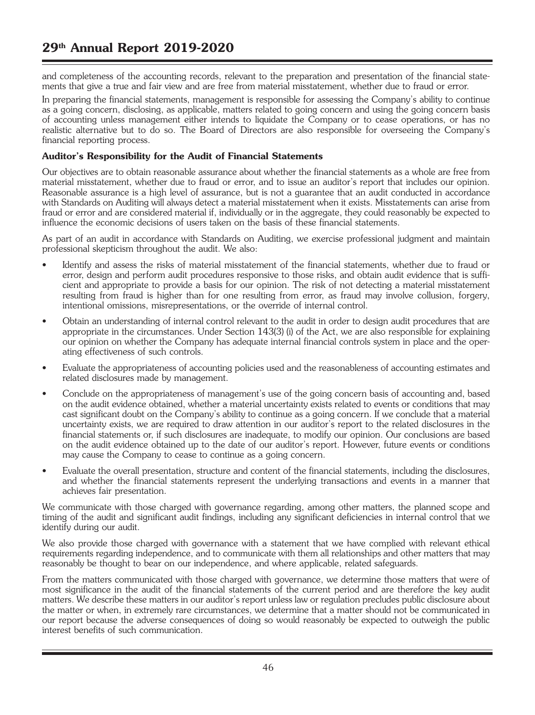and completeness of the accounting records, relevant to the preparation and presentation of the financial statements that give a true and fair view and are free from material misstatement, whether due to fraud or error.

In preparing the financial statements, management is responsible for assessing the Company's ability to continue as a going concern, disclosing, as applicable, matters related to going concern and using the going concern basis of accounting unless management either intends to liquidate the Company or to cease operations, or has no realistic alternative but to do so. The Board of Directors are also responsible for overseeing the Company's financial reporting process.

#### Auditor's Responsibility for the Audit of Financial Statements

Our objectives are to obtain reasonable assurance about whether the financial statements as a whole are free from material misstatement, whether due to fraud or error, and to issue an auditor's report that includes our opinion. Reasonable assurance is a high level of assurance, but is not a guarantee that an audit conducted in accordance with Standards on Auditing will always detect a material misstatement when it exists. Misstatements can arise from fraud or error and are considered material if, individually or in the aggregate, they could reasonably be expected to influence the economic decisions of users taken on the basis of these financial statements.

As part of an audit in accordance with Standards on Auditing, we exercise professional judgment and maintain professional skepticism throughout the audit. We also:

- Identify and assess the risks of material misstatement of the financial statements, whether due to fraud or error, design and perform audit procedures responsive to those risks, and obtain audit evidence that is sufficient and appropriate to provide a basis for our opinion. The risk of not detecting a material misstatement resulting from fraud is higher than for one resulting from error, as fraud may involve collusion, forgery, intentional omissions, misrepresentations, or the override of internal control.
- Obtain an understanding of internal control relevant to the audit in order to design audit procedures that are appropriate in the circumstances. Under Section 143(3) (i) of the Act, we are also responsible for explaining our opinion on whether the Company has adequate internal financial controls system in place and the operating effectiveness of such controls.
- Evaluate the appropriateness of accounting policies used and the reasonableness of accounting estimates and related disclosures made by management.
- Conclude on the appropriateness of management's use of the going concern basis of accounting and, based on the audit evidence obtained, whether a material uncertainty exists related to events or conditions that may cast significant doubt on the Company's ability to continue as a going concern. If we conclude that a material uncertainty exists, we are required to draw attention in our auditor's report to the related disclosures in the financial statements or, if such disclosures are inadequate, to modify our opinion. Our conclusions are based on the audit evidence obtained up to the date of our auditor's report. However, future events or conditions may cause the Company to cease to continue as a going concern.
- Evaluate the overall presentation, structure and content of the financial statements, including the disclosures, and whether the financial statements represent the underlying transactions and events in a manner that achieves fair presentation.

We communicate with those charged with governance regarding, among other matters, the planned scope and timing of the audit and significant audit findings, including any significant deficiencies in internal control that we identify during our audit.

We also provide those charged with governance with a statement that we have complied with relevant ethical requirements regarding independence, and to communicate with them all relationships and other matters that may reasonably be thought to bear on our independence, and where applicable, related safeguards.

From the matters communicated with those charged with governance, we determine those matters that were of most significance in the audit of the financial statements of the current period and are therefore the key audit matters. We describe these matters in our auditor's report unless law or regulation precludes public disclosure about the matter or when, in extremely rare circumstances, we determine that a matter should not be communicated in our report because the adverse consequences of doing so would reasonably be expected to outweigh the public interest benefits of such communication.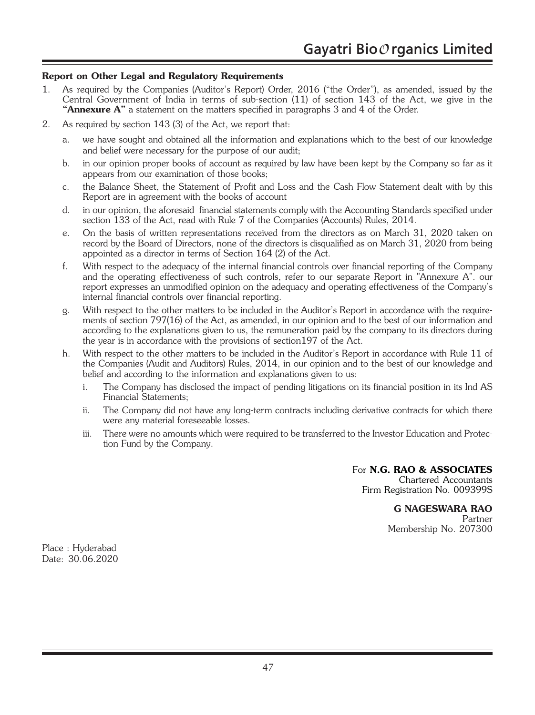#### Report on Other Legal and Regulatory Requirements

- 1. As required by the Companies (Auditor's Report) Order, 2016 ("the Order"), as amended, issued by the Central Government of India in terms of sub-section (11) of section 143 of the Act, we give in the "Annexure A" a statement on the matters specified in paragraphs 3 and 4 of the Order.
- 2. As required by section 143 (3) of the Act, we report that:
	- a. we have sought and obtained all the information and explanations which to the best of our knowledge and belief were necessary for the purpose of our audit;
	- b. in our opinion proper books of account as required by law have been kept by the Company so far as it appears from our examination of those books;
	- c. the Balance Sheet, the Statement of Profit and Loss and the Cash Flow Statement dealt with by this Report are in agreement with the books of account
	- d. in our opinion, the aforesaid financial statements comply with the Accounting Standards specified under section 133 of the Act, read with Rule 7 of the Companies (Accounts) Rules, 2014.
	- e. On the basis of written representations received from the directors as on March 31, 2020 taken on record by the Board of Directors, none of the directors is disqualified as on March 31, 2020 from being appointed as a director in terms of Section 164 (2) of the Act.
	- f. With respect to the adequacy of the internal financial controls over financial reporting of the Company and the operating effectiveness of such controls, refer to our separate Report in "Annexure A". our report expresses an unmodified opinion on the adequacy and operating effectiveness of the Company's internal financial controls over financial reporting.
	- g. With respect to the other matters to be included in the Auditor's Report in accordance with the requirements of section 797(16) of the Act, as amended, in our opinion and to the best of our information and according to the explanations given to us, the remuneration paid by the company to its directors during the year is in accordance with the provisions of section197 of the Act.
	- h. With respect to the other matters to be included in the Auditor's Report in accordance with Rule 11 of the Companies (Audit and Auditors) Rules, 2014, in our opinion and to the best of our knowledge and belief and according to the information and explanations given to us:
		- i. The Company has disclosed the impact of pending litigations on its financial position in its Ind AS Financial Statements;
		- ii. The Company did not have any long-term contracts including derivative contracts for which there were any material foreseeable losses.
		- iii. There were no amounts which were required to be transferred to the Investor Education and Protection Fund by the Company.

For **N.G. RAO & ASSOCIATES** Chartered Accountants Firm Registration No. 009399S

#### G NAGESWARA RAO

Partner Membership No. 207300

Place : Hyderabad Date: 30.06.2020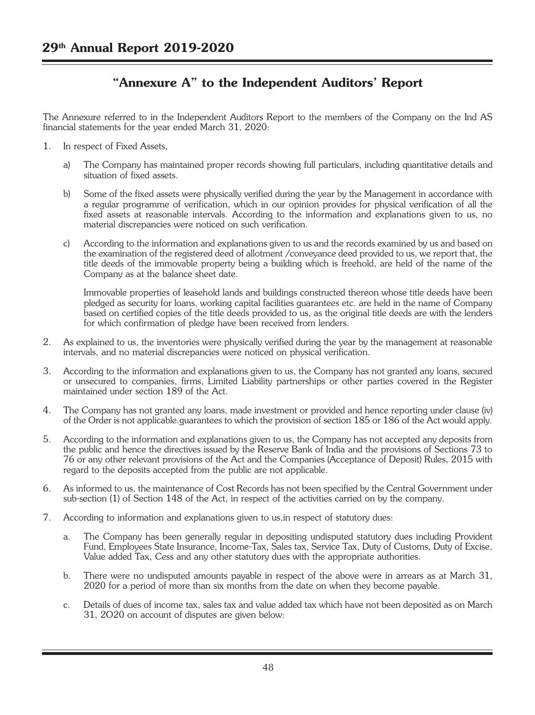### "Annexure A" to the Independent Auditors' Report

The Annexure referred to in the Independent Auditors Report to the members of the Company on the Ind AS financial statements for the year ended March 31, 2020:

- 1. In respect of Fixed Assets,
	- a) The Company has maintained proper records showing full particulars, including quantitative details and situation of fixed assets.
	- b) Some of the fixed assets were physically verified during the year by the Management in accordance with a regular programme of verification, which in our opinion provides for physical verification of all the fixed assets at reasonable intervals. According to the information and explanations given to us, no material discrepancies were noticed on such verification.
	- c) According to the information and explanations given to us and the records examined by us and based on the examination of the registered deed of allotment /conveyance deed provided to us, we report that, the title deeds of the immovable property being a building which is freehold, are held of the name of the Company as at the balance sheet date.

Immovable properties of leasehold lands and buildings constructed thereon whose title deeds have been pledged as security for loans, working capital facilities guarantees etc. are held in the name of Company based on certified copies of the title deeds provided to us, as the original title deeds are with the lenders for which confirmation of pledge have been received from lenders.

- 2. As explained to us, the inventories were physically verified during the year by the management at reasonable intervals, and no material discrepancies were noticed on physical verification.
- 3. According to the information and explanations given to us, the Company has not granted any loans, secured or unsecured to companies, firms, Limited Liability partnerships or other parties covered in the Register maintained under section 189 of the Act.
- 4. The Company has not granted any loans, made investment or provided and hence reporting under clause (iv) of the Order is not applicable.guarantees to which the provision of section 185 or 186 of the Act would apply.
- 5. According to the information and explanations given to us, the Company has not accepted any deposits from the public and hence the directives issued by the Reserve Bank of India and the provisions of Sections 73 to 76 or any other relevant provisions of the Act and the Companies (Acceptance of Deposit) Rules, 2015 with regard to the deposits accepted from the public are not applicable.
- 6. As informed to us, the maintenance of Cost Records has not been specified by the Central Government under sub-section (1) of Section 148 of the Act, in respect of the activities carried on by the company.
- 7. According to information and explanations given to us,in respect of statutory dues:
	- a. The Company has been generally regular in depositing undisputed statutory dues including Provident Fund, Employees State Insurance, Income-Tax, Sales tax, Service Tax, Duty of Customs, Duty of Excise, Value added Tax, Cess and any other statutory dues with the appropriate authorities.
	- b. There were no undisputed amounts payable in respect of the above were in arrears as at March 31, 2020 for a period of more than six months from the date on when they become payable.
	- c. Details of dues of income tax, sales tax and value added tax which have not been deposited as on March 31, 2O20 on account of disputes are given below: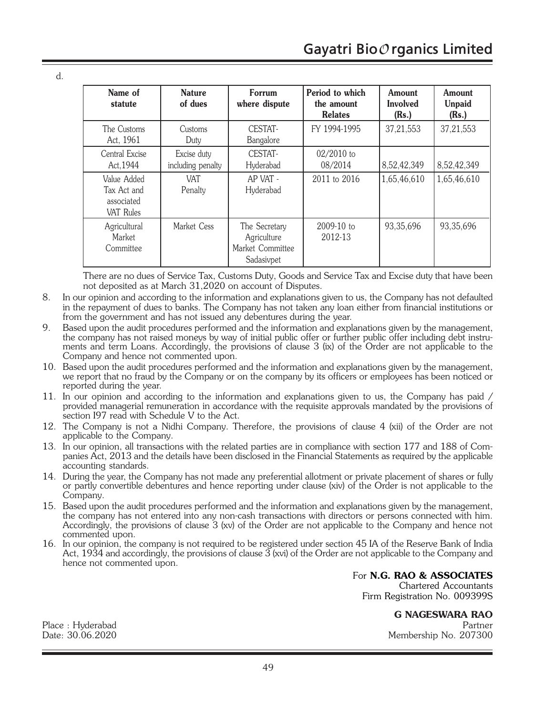d.

| Name of<br>statute                                    | <b>Nature</b><br>of dues         | Forrum<br>where dispute                                        | Period to which<br>the amount<br><b>Relates</b> | Amount<br><b>Involved</b><br>(Rs.) | Amount<br><b>Unpaid</b><br>(Rs.) |
|-------------------------------------------------------|----------------------------------|----------------------------------------------------------------|-------------------------------------------------|------------------------------------|----------------------------------|
| The Customs<br>Act, 1961                              | Customs<br>Duty                  | CESTAT-<br>Bangalore                                           | FY 1994-1995                                    | 37,21,553                          | 37, 21, 553                      |
| Central Excise<br>Act. 1944                           | Excise duty<br>including penalty | CESTAT-<br>Hyderabad                                           | $02/2010$ to<br>08/2014                         | 8,52,42,349                        | 8,52,42,349                      |
| Value Added<br>Tax Act and<br>associated<br>VAT Rules | <b>VAT</b><br>Penalty            | AP VAT -<br>Hyderabad                                          | 2011 to 2016                                    | 1.65.46.610                        | 1,65,46,610                      |
| Agricultural<br>Market<br>Committee                   | Market Cess                      | The Secretary<br>Agriculture<br>Market Committee<br>Sadasivpet | $2009-10$ to<br>2012-13                         | 93, 35, 696                        | 93, 35, 696                      |

There are no dues of Service Tax, Customs Duty, Goods and Service Tax and Excise duty that have been not deposited as at March 31,2020 on account of Disputes.

- 8. In our opinion and according to the information and explanations given to us, the Company has not defaulted in the repayment of dues to banks. The Company has not taken any loan either from financial institutions or from the government and has not issued any debentures during the year.
- 9. Based upon the audit procedures performed and the information and explanations given by the management, the company has not raised moneys by way of initial public offer or further public offer including debt instruments and term Loans. Accordingly, the provisions of clause 3 (ix) of the Order are not applicable to the Company and hence not commented upon.
- 10. Based upon the audit procedures performed and the information and explanations given by the management, we report that no fraud by the Company or on the company by its officers or employees has been noticed or reported during the year.
- 11. In our opinion and according to the information and explanations given to us, the Company has paid / provided managerial remuneration in accordance with the requisite approvals mandated by the provisions of section I97 read with Schedule V to the Act.
- 12. The Company is not a Nidhi Company. Therefore, the provisions of clause 4 (xii) of the Order are not applicable to the Company.
- 13. In our opinion, all transactions with the related parties are in compliance with section 177 and 188 of Companies Act, 2013 and the details have been disclosed in the Financial Statements as required by the applicable accounting standards.
- 14. During the year, the Company has not made any preferential allotment or private placement of shares or fully or partly convertible debentures and hence reporting under clause (xiv) of the Order is not applicable to the Company.
- 15. Based upon the audit procedures performed and the information and explanations given by the management, the company has not entered into any non-cash transactions with directors or persons connected with him. Accordingly, the provisions of clause 3 (xv) of the Order are not applicable to the Company and hence not commented upon.
- 16. In our opinion, the company is not required to be registered under section 45 IA of the Reserve Bank of India Act, 1934 and accordingly, the provisions of clause  $\tilde{3}$  (xvi) of the Order are not applicable to the Company and hence not commented upon.

For **N.G. RAO & ASSOCIATES** 

Chartered Accountants Firm Registration No. 009399S

## G NAGESWARA RAO

Place : Hyderabad Partner Membership No. 207300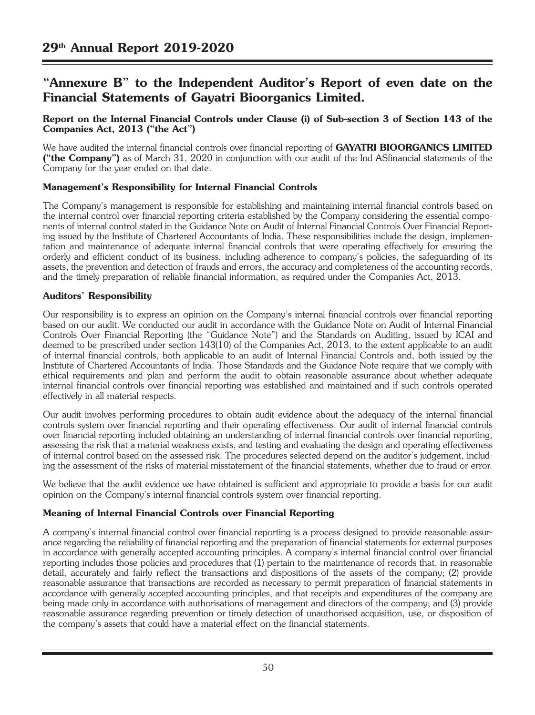### "Annexure B" to the Independent Auditor's Report of even date on the Financial Statements of Gayatri Bioorganics Limited.

#### Report on the Internal Financial Controls under Clause (i) of Sub-section 3 of Section 143 of the Companies Act, 2013 ("the Act")

We have audited the internal financial controls over financial reporting of GAYATRI BIOORGANICS LIMITED ("the Company") as of March 31, 2020 in conjunction with our audit of the Ind ASfinancial statements of the Company for the year ended on that date.

#### Management's Responsibility for Internal Financial Controls

The Company's management is responsible for establishing and maintaining internal financial controls based on the internal control over financial reporting criteria established by the Company considering the essential components of internal control stated in the Guidance Note on Audit of Internal Financial Controls Over Financial Reporting issued by the Institute of Chartered Accountants of India. These responsibilities include the design, implementation and maintenance of adequate internal financial controls that were operating effectively for ensuring the orderly and efficient conduct of its business, including adherence to company's policies, the safeguarding of its assets, the prevention and detection of frauds and errors, the accuracy and completeness of the accounting records, and the timely preparation of reliable financial information, as required under the Companies Act, 2013.

#### Auditors' Responsibility

Our responsibility is to express an opinion on the Company's internal financial controls over financial reporting based on our audit. We conducted our audit in accordance with the Guidance Note on Audit of Internal Financial Controls Over Financial Reporting (the "Guidance Note") and the Standards on Auditing, issued by ICAI and deemed to be prescribed under section 143(10) of the Companies Act, 2013, to the extent applicable to an audit of internal financial controls, both applicable to an audit of Internal Financial Controls and, both issued by the Institute of Chartered Accountants of India. Those Standards and the Guidance Note require that we comply with ethical requirements and plan and perform the audit to obtain reasonable assurance about whether adequate internal financial controls over financial reporting was established and maintained and if such controls operated effectively in all material respects.

Our audit involves performing procedures to obtain audit evidence about the adequacy of the internal financial controls system over financial reporting and their operating effectiveness. Our audit of internal financial controls over financial reporting included obtaining an understanding of internal financial controls over financial reporting, assessing the risk that a material weakness exists, and testing and evaluating the design and operating effectiveness of internal control based on the assessed risk. The procedures selected depend on the auditor's judgement, including the assessment of the risks of material misstatement of the financial statements, whether due to fraud or error.

We believe that the audit evidence we have obtained is sufficient and appropriate to provide a basis for our audit opinion on the Company's internal financial controls system over financial reporting.

#### Meaning of Internal Financial Controls over Financial Reporting

A company's internal financial control over financial reporting is a process designed to provide reasonable assurance regarding the reliability of financial reporting and the preparation of financial statements for external purposes in accordance with generally accepted accounting principles. A company's internal financial control over financial reporting includes those policies and procedures that (1) pertain to the maintenance of records that, in reasonable detail, accurately and fairly reflect the transactions and dispositions of the assets of the company; (2) provide reasonable assurance that transactions are recorded as necessary to permit preparation of financial statements in accordance with generally accepted accounting principles, and that receipts and expenditures of the company are being made only in accordance with authorisations of management and directors of the company; and (3) provide reasonable assurance regarding prevention or timely detection of unauthorised acquisition, use, or disposition of the company's assets that could have a material effect on the financial statements.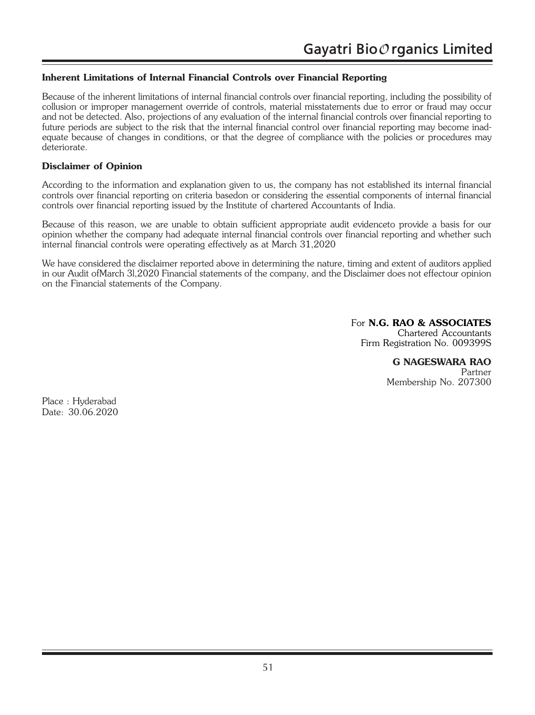#### Inherent Limitations of Internal Financial Controls over Financial Reporting

Because of the inherent limitations of internal financial controls over financial reporting, including the possibility of collusion or improper management override of controls, material misstatements due to error or fraud may occur and not be detected. Also, projections of any evaluation of the internal financial controls over financial reporting to future periods are subject to the risk that the internal financial control over financial reporting may become inadequate because of changes in conditions, or that the degree of compliance with the policies or procedures may deteriorate.

#### Disclaimer of Opinion

According to the information and explanation given to us, the company has not established its internal financial controls over financial reporting on criteria basedon or considering the essential components of internal financial controls over financial reporting issued by the Institute of chartered Accountants of India.

Because of this reason, we are unable to obtain sufficient appropriate audit evidenceto provide a basis for our opinion whether the company had adequate internal financial controls over financial reporting and whether such internal financial controls were operating effectively as at March 31,2020

We have considered the disclaimer reported above in determining the nature, timing and extent of auditors applied in our Audit ofMarch 3l,2020 Financial statements of the company, and the Disclaimer does not effectour opinion on the Financial statements of the Company.

> For N.G. RAO & ASSOCIATES Chartered Accountants Firm Registration No. 009399S

> > G NAGESWARA RAO Partner Membership No. 207300

Place : Hyderabad Date: 30.06.2020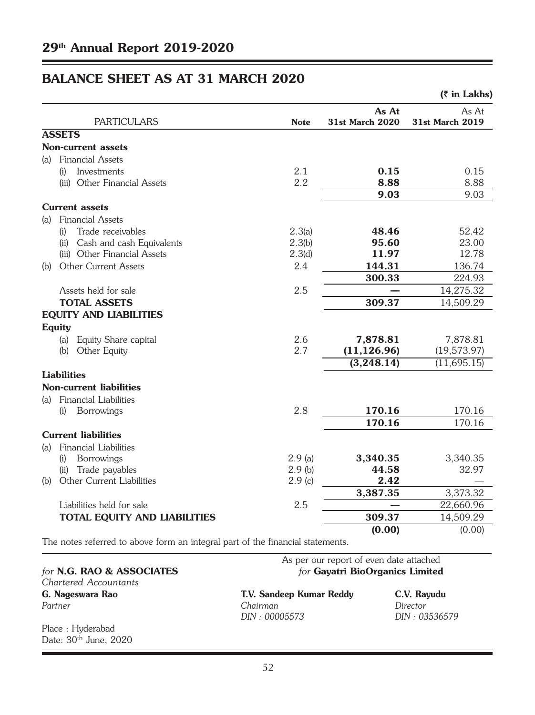### BALANCE SHEET AS AT 31 MARCH 2020

|                                     |             |                                 | (₹ in Lakhs)                    |
|-------------------------------------|-------------|---------------------------------|---------------------------------|
| <b>PARTICULARS</b>                  | <b>Note</b> | As At<br><b>31st March 2020</b> | As At<br><b>31st March 2019</b> |
| <b>ASSETS</b>                       |             |                                 |                                 |
| <b>Non-current assets</b>           |             |                                 |                                 |
| <b>Financial Assets</b><br>(a)      |             |                                 |                                 |
| Investments<br>(i)                  | 2.1         | 0.15                            | 0.15                            |
| (iii) Other Financial Assets        | 2.2         | 8.88                            | 8.88                            |
|                                     |             | 9.03                            | 9.03                            |
| <b>Current assets</b>               |             |                                 |                                 |
| <b>Financial Assets</b><br>(a)      |             |                                 |                                 |
| Trade receivables<br>(i)            | 2.3(a)      | 48.46                           | 52.42                           |
| (ii)<br>Cash and cash Equivalents   | 2.3(b)      | 95.60                           | 23.00                           |
| (iii) Other Financial Assets        | 2.3(d)      | 11.97                           | 12.78                           |
| <b>Other Current Assets</b><br>(b)  | 2.4         | 144.31                          | 136.74                          |
|                                     |             | 300.33                          | 224.93                          |
| Assets held for sale                | 2.5         |                                 | 14,275.32                       |
| <b>TOTAL ASSETS</b>                 |             | 309.37                          | 14,509.29                       |
| <b>EQUITY AND LIABILITIES</b>       |             |                                 |                                 |
| <b>Equity</b>                       |             |                                 |                                 |
| Equity Share capital<br>(a)         | 2.6         | 7,878.81                        | 7,878.81                        |
| Other Equity<br>(b)                 | 2.7         | (11, 126.96)                    | (19,573.97)                     |
|                                     |             | (3,248.14)                      | (11,695.15)                     |
| <b>Liabilities</b>                  |             |                                 |                                 |
| <b>Non-current liabilities</b>      |             |                                 |                                 |
| Financial Liabilities<br>(a)        |             |                                 |                                 |
| (i)<br><b>Borrowings</b>            | 2.8         | 170.16                          | 170.16                          |
|                                     |             | 170.16                          | 170.16                          |
| <b>Current liabilities</b>          |             |                                 |                                 |
| <b>Financial Liabilities</b><br>(a) |             |                                 |                                 |
| Borrowings<br>(i)                   | 2.9(a)      | 3,340.35                        | 3,340.35                        |
| Trade payables<br>(ii)              | 2.9(b)      | 44.58                           | 32.97                           |
| Other Current Liabilities<br>(b)    | 2.9(c)      | 2.42                            |                                 |
|                                     |             | 3,387.35                        | 3,373.32                        |
| Liabilities held for sale           | 2.5         |                                 | 22,660.96                       |
| TOTAL EQUITY AND LIABILITIES        |             | 309.37                          | 14,509.29                       |
|                                     |             | (0.00)                          | (0.00)                          |

The notes referred to above form an integral part of the financial statements.

|                           | As per our report of even date attached |               |  |  |
|---------------------------|-----------------------------------------|---------------|--|--|
| for N.G. RAO & ASSOCIATES | for Gayatri BioOrganics Limited         |               |  |  |
| Chartered Accountants     |                                         |               |  |  |
| G. Nageswara Rao          | T.V. Sandeep Kumar Reddy                | C.V. Rayudu   |  |  |
| Partner                   | Chairman                                | Director      |  |  |
|                           | DIN: 00005573                           | DIN: 03536579 |  |  |
| Place · Huderahad         |                                         |               |  |  |

Place : Hyderabad Date: 30th June, 2020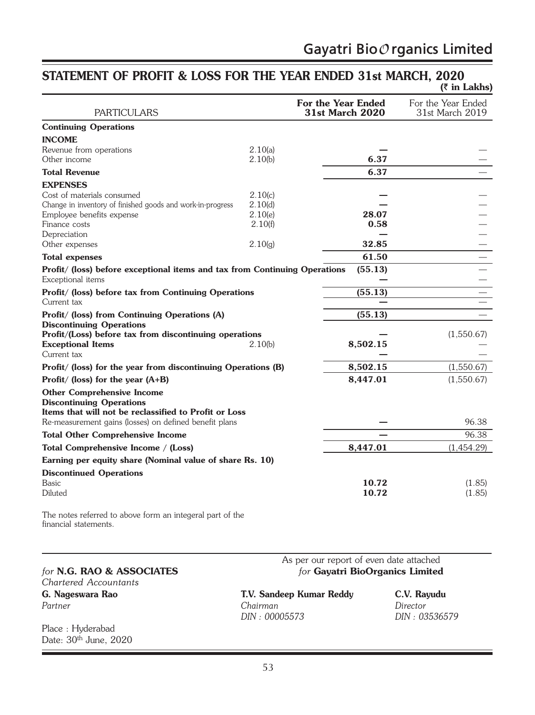### STATEMENT OF PROFIT & LOSS FOR THE YEAR ENDED 31st MARCH, 2020

|                                                                                           |         |                                              | (₹ in Lakhs)                          |
|-------------------------------------------------------------------------------------------|---------|----------------------------------------------|---------------------------------------|
| <b>PARTICULARS</b>                                                                        |         | For the Year Ended<br><b>31st March 2020</b> | For the Year Ended<br>31st March 2019 |
| <b>Continuing Operations</b>                                                              |         |                                              |                                       |
| <b>INCOME</b>                                                                             |         |                                              |                                       |
| Revenue from operations                                                                   | 2.10(a) |                                              |                                       |
| Other income                                                                              | 2.10(b) | 6.37                                         |                                       |
| <b>Total Revenue</b>                                                                      |         | 6.37                                         |                                       |
| <b>EXPENSES</b>                                                                           |         |                                              |                                       |
| Cost of materials consumed                                                                | 2.10(c) |                                              |                                       |
| Change in inventory of finished goods and work-in-progress                                | 2.10(d) |                                              |                                       |
| Employee benefits expense                                                                 | 2.10(e) | 28.07                                        |                                       |
| Finance costs                                                                             | 2.10(f) | 0.58                                         |                                       |
| Depreciation                                                                              |         | 32.85                                        |                                       |
| Other expenses                                                                            | 2.10(g) |                                              |                                       |
| <b>Total expenses</b>                                                                     |         | 61.50                                        |                                       |
| Profit/ (loss) before exceptional items and tax from Continuing Operations                |         | (55.13)                                      |                                       |
| Exceptional items                                                                         |         |                                              |                                       |
| Profit/ (loss) before tax from Continuing Operations                                      |         | (55.13)                                      |                                       |
| Current tax                                                                               |         |                                              |                                       |
| Profit/ (loss) from Continuing Operations (A)                                             |         | (55.13)                                      |                                       |
| <b>Discontinuing Operations</b><br>Profit/(Loss) before tax from discontinuing operations |         |                                              | (1,550.67)                            |
| <b>Exceptional Items</b>                                                                  | 2.10(b) | 8,502.15                                     |                                       |
| Current tax                                                                               |         |                                              |                                       |
| Profit/ (loss) for the year from discontinuing Operations (B)                             |         | 8,502.15                                     | (1,550.67)                            |
| Profit/ (loss) for the year $(A+B)$                                                       |         | 8,447.01                                     | (1,550.67)                            |
| <b>Other Comprehensive Income</b>                                                         |         |                                              |                                       |
| <b>Discontinuing Operations</b>                                                           |         |                                              |                                       |
| Items that will not be reclassified to Profit or Loss                                     |         |                                              |                                       |
| Re-measurement gains (losses) on defined benefit plans                                    |         |                                              | 96.38                                 |
| <b>Total Other Comprehensive Income</b>                                                   |         |                                              | 96.38                                 |
| Total Comprehensive Income / (Loss)                                                       |         | 8,447.01                                     | (1,454.29)                            |
| Earning per equity share (Nominal value of share Rs. 10)                                  |         |                                              |                                       |
| <b>Discontinued Operations</b>                                                            |         |                                              |                                       |
| <b>Basic</b>                                                                              |         | 10.72                                        | (1.85)                                |
| Diluted                                                                                   |         | 10.72                                        | (1.85)                                |
|                                                                                           |         |                                              |                                       |

The notes referred to above form an integeral part of the financial statements.

|                                      | As per our report of even date attached |               |  |  |
|--------------------------------------|-----------------------------------------|---------------|--|--|
| for <b>N.G. RAO &amp; ASSOCIATES</b> | for Gayatri BioOrganics Limited         |               |  |  |
| Chartered Accountants                |                                         |               |  |  |
| G. Nageswara Rao                     | T.V. Sandeep Kumar Reddy                | C.V. Rayudu   |  |  |
| Partner                              | Chairman                                | Director      |  |  |
|                                      | DIN: 00005573                           | DIN: 03536579 |  |  |
| Place: Hyderabad                     |                                         |               |  |  |
| Date: $30th$ June, $2020$            |                                         |               |  |  |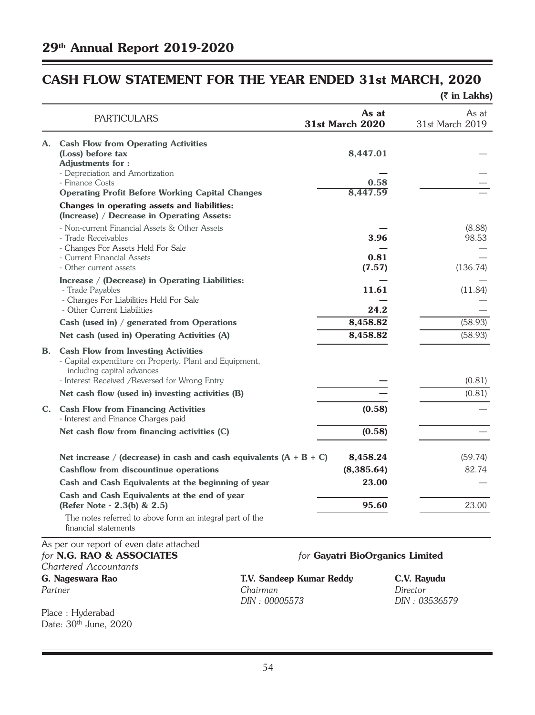### CASH FLOW STATEMENT FOR THE YEAR ENDED 31st MARCH, 2020

 $(3 \in \mathbb{Z}^2)$  in Lakhs)

|    |                                                                                                                                                                                       |                                                       |                                 | $\sqrt{111}$ laterates                   |
|----|---------------------------------------------------------------------------------------------------------------------------------------------------------------------------------------|-------------------------------------------------------|---------------------------------|------------------------------------------|
|    | <b>PARTICULARS</b>                                                                                                                                                                    |                                                       | As at<br><b>31st March 2020</b> | As at<br>31st March 2019                 |
| A. | <b>Cash Flow from Operating Activities</b><br>(Loss) before tax<br>Adjustments for:                                                                                                   |                                                       | 8,447.01                        |                                          |
|    | - Depreciation and Amortization<br>- Finance Costs                                                                                                                                    |                                                       | 0.58<br>8.447.59                |                                          |
|    | <b>Operating Profit Before Working Capital Changes</b><br>Changes in operating assets and liabilities:<br>(Increase) / Decrease in Operating Assets:                                  |                                                       |                                 |                                          |
|    | - Non-current Financial Assets & Other Assets<br>- Trade Receivables<br>- Changes For Assets Held For Sale<br>- Current Financial Assets                                              |                                                       | 3.96<br>0.81                    | (8.88)<br>98.53                          |
|    | - Other current assets<br>Increase / (Decrease) in Operating Liabilities:<br>- Trade Payables<br>- Changes For Liabilities Held For Sale<br>- Other Current Liabilities               |                                                       | (7.57)<br>11.61<br>24.2         | (136.74)<br>(11.84)                      |
|    | Cash (used in) / generated from Operations                                                                                                                                            |                                                       | 8,458.82                        | (58.93)                                  |
|    | Net cash (used in) Operating Activities (A)                                                                                                                                           |                                                       | 8,458.82                        | (58.93)                                  |
| В. | <b>Cash Flow from Investing Activities</b><br>- Capital expenditure on Property, Plant and Equipment,<br>including capital advances<br>- Interest Received / Reversed for Wrong Entry |                                                       |                                 | (0.81)                                   |
|    | Net cash flow (used in) investing activities (B)                                                                                                                                      |                                                       |                                 | (0.81)                                   |
| C. | <b>Cash Flow from Financing Activities</b><br>- Interest and Finance Charges paid                                                                                                     |                                                       | (0.58)                          |                                          |
|    | Net cash flow from financing activities (C)                                                                                                                                           |                                                       | (0.58)                          |                                          |
|    | Net increase / (decrease) in cash and cash equivalents $(A + B + C)$<br>Cashflow from discountinue operations                                                                         |                                                       | 8,458.24<br>(8,385.64)          | (59.74)<br>82.74                         |
|    | Cash and Cash Equivalents at the beginning of year                                                                                                                                    |                                                       | 23.00                           |                                          |
|    | Cash and Cash Equivalents at the end of year<br>(Refer Note - 2.3(b) & 2.5)                                                                                                           |                                                       | 95.60                           | 23.00                                    |
|    | The notes referred to above form an integral part of the<br>financial statements                                                                                                      |                                                       |                                 |                                          |
|    | As per our report of even date attached<br>for <b>N.G. RAO &amp; ASSOCIATES</b><br><b>Chartered Accountants</b>                                                                       |                                                       | for Gayatri BioOrganics Limited |                                          |
|    | G. Nageswara Rao<br>Partner                                                                                                                                                           | T.V. Sandeep Kumar Reddy<br>Chairman<br>DIN: 00005573 |                                 | C.V. Rayudu<br>Director<br>DIN: 03536579 |
|    | Place : Hyderabad<br>Date: 30 <sup>th</sup> June, 2020                                                                                                                                |                                                       |                                 |                                          |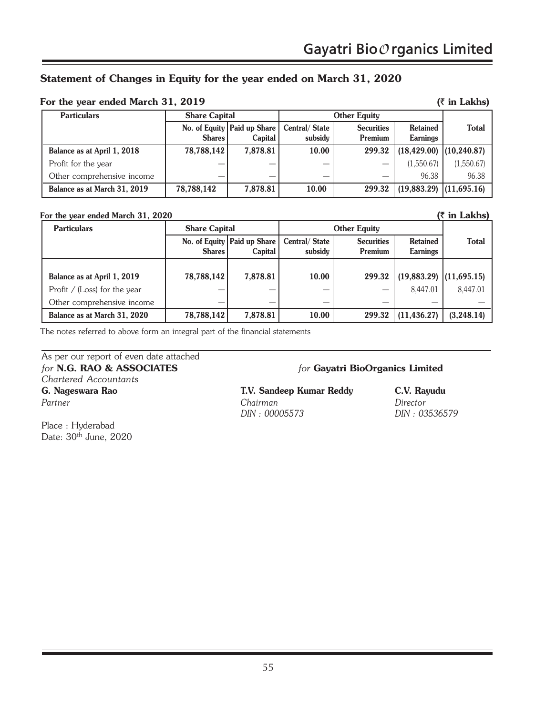### Statement of Changes in Equity for the year ended on March 31, 2020

#### For the year ended March 31, 2019 ( $\bar{z}$  in Lakhs)

| <b>Particulars</b>           | <b>Share Capital</b> |                                            | <b>Other Equity</b>      |                              |                                    |              |
|------------------------------|----------------------|--------------------------------------------|--------------------------|------------------------------|------------------------------------|--------------|
|                              | Shares               | No. of Equity   Paid up Share  <br>Capital | Central/State<br>subsidy | <b>Securities</b><br>Premium | <b>Retained</b><br><b>Earnings</b> | <b>Total</b> |
| Balance as at April 1, 2018  | 78,788,142           | 7,878.81                                   | 10.00                    | 299.32                       | $(18, 429.00)$ $(10, 240.87)$      |              |
| Profit for the year          |                      | _                                          |                          |                              | (1.550.67)                         | (1.550.67)   |
| Other comprehensive income   |                      |                                            |                          |                              | 96.38                              | 96.38        |
| Balance as at March 31, 2019 | 78,788,142           | 7,878.81                                   | 10.00                    | 299.32                       | $(19,883.29)$ $(11,695.16)$        |              |

#### For the year ended March 31, 2020  $\zeta$  in Lakhs)

| <b>Particulars</b>           | <b>Share Capital</b> |                                          |                          | <b>Other Equity</b>          |                                    |              |
|------------------------------|----------------------|------------------------------------------|--------------------------|------------------------------|------------------------------------|--------------|
|                              | Shares I             | No. of Equity   Paid up Share<br>Capital | Central/State<br>subsidy | <b>Securities</b><br>Premium | <b>Retained</b><br><b>Earnings</b> | <b>Total</b> |
|                              |                      |                                          |                          |                              |                                    |              |
| Balance as at April 1, 2019  | 78,788,142           | 7.878.81                                 | 10.00                    | 299.32                       | $(19,883.29)$ $(11,695.15)$        |              |
| Profit / (Loss) for the year |                      |                                          |                          |                              | 8.447.01                           | 8.447.01     |
| Other comprehensive income   |                      | _                                        |                          |                              |                                    |              |
| Balance as at March 31, 2020 | 78,788,142           | 7,878.81                                 | 10.00                    | 299.32                       | (11, 436.27)                       | (3,248.14)   |

The notes referred to above form an integral part of the financial statements

As per our report of even date attached<br>for **N.G. RAO & ASSOCIATES** Chartered Accountants G. Nageswara Rao T.V. Sandeep Kumar Reddy C.V. Rayudu Partner Chairman Director

#### for Gayatri BioOrganics Limited

DIN : 00005573 DIN : 03536579

Place : Hyderabad Date: 30<sup>th</sup> June, 2020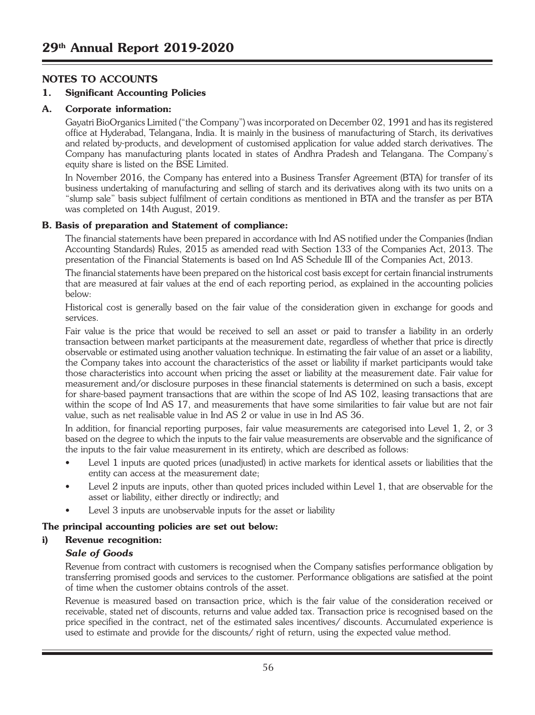#### NOTES TO ACCOUNTS

#### 1. Significant Accounting Policies

#### A. Corporate information:

Gayatri BioOrganics Limited ("the Company") was incorporated on December 02, 1991 and has its registered office at Hyderabad, Telangana, India. It is mainly in the business of manufacturing of Starch, its derivatives and related by-products, and development of customised application for value added starch derivatives. The Company has manufacturing plants located in states of Andhra Pradesh and Telangana. The Company's equity share is listed on the BSE Limited.

In November 2016, the Company has entered into a Business Transfer Agreement (BTA) for transfer of its business undertaking of manufacturing and selling of starch and its derivatives along with its two units on a "slump sale" basis subject fulfilment of certain conditions as mentioned in BTA and the transfer as per BTA was completed on 14th August, 2019.

#### B. Basis of preparation and Statement of compliance:

The financial statements have been prepared in accordance with Ind AS notified under the Companies (Indian Accounting Standards) Rules, 2015 as amended read with Section 133 of the Companies Act, 2013. The presentation of the Financial Statements is based on Ind AS Schedule III of the Companies Act, 2013.

The financial statements have been prepared on the historical cost basis except for certain financial instruments that are measured at fair values at the end of each reporting period, as explained in the accounting policies below:

Historical cost is generally based on the fair value of the consideration given in exchange for goods and services.

Fair value is the price that would be received to sell an asset or paid to transfer a liability in an orderly transaction between market participants at the measurement date, regardless of whether that price is directly observable or estimated using another valuation technique. In estimating the fair value of an asset or a liability, the Company takes into account the characteristics of the asset or liability if market participants would take those characteristics into account when pricing the asset or liability at the measurement date. Fair value for measurement and/or disclosure purposes in these financial statements is determined on such a basis, except for share-based payment transactions that are within the scope of Ind AS 102, leasing transactions that are within the scope of Ind AS 17, and measurements that have some similarities to fair value but are not fair value, such as net realisable value in Ind AS 2 or value in use in Ind AS 36.

In addition, for financial reporting purposes, fair value measurements are categorised into Level 1, 2, or 3 based on the degree to which the inputs to the fair value measurements are observable and the significance of the inputs to the fair value measurement in its entirety, which are described as follows:

- Level 1 inputs are quoted prices (unadjusted) in active markets for identical assets or liabilities that the entity can access at the measurement date;
- Level 2 inputs are inputs, other than quoted prices included within Level 1, that are observable for the asset or liability, either directly or indirectly; and
- Level 3 inputs are unobservable inputs for the asset or liability

#### The principal accounting policies are set out below:

#### i) Revenue recognition:

#### Sale of Goods

Revenue from contract with customers is recognised when the Company satisfies performance obligation by transferring promised goods and services to the customer. Performance obligations are satisfied at the point of time when the customer obtains controls of the asset.

Revenue is measured based on transaction price, which is the fair value of the consideration received or receivable, stated net of discounts, returns and value added tax. Transaction price is recognised based on the price specified in the contract, net of the estimated sales incentives/ discounts. Accumulated experience is used to estimate and provide for the discounts/ right of return, using the expected value method.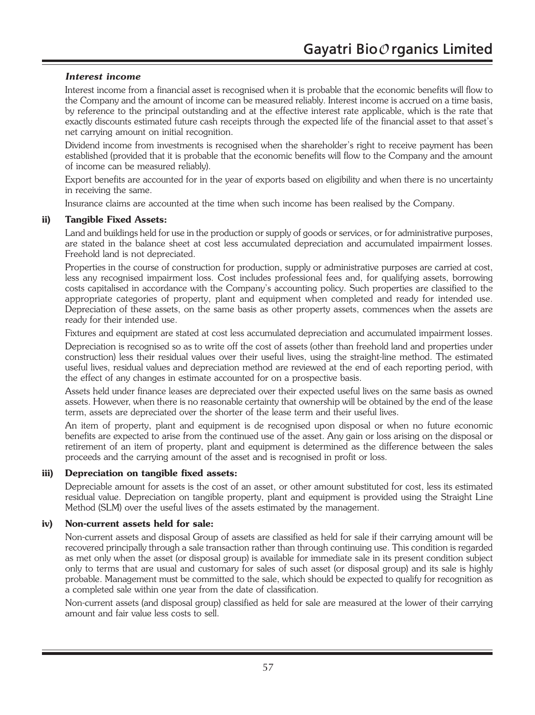#### Interest income

Interest income from a financial asset is recognised when it is probable that the economic benefits will flow to the Company and the amount of income can be measured reliably. Interest income is accrued on a time basis, by reference to the principal outstanding and at the effective interest rate applicable, which is the rate that exactly discounts estimated future cash receipts through the expected life of the financial asset to that asset's net carrying amount on initial recognition.

Dividend income from investments is recognised when the shareholder's right to receive payment has been established (provided that it is probable that the economic benefits will flow to the Company and the amount of income can be measured reliably).

Export benefits are accounted for in the year of exports based on eligibility and when there is no uncertainty in receiving the same.

Insurance claims are accounted at the time when such income has been realised by the Company.

#### ii) Tangible Fixed Assets:

Land and buildings held for use in the production or supply of goods or services, or for administrative purposes, are stated in the balance sheet at cost less accumulated depreciation and accumulated impairment losses. Freehold land is not depreciated.

Properties in the course of construction for production, supply or administrative purposes are carried at cost, less any recognised impairment loss. Cost includes professional fees and, for qualifying assets, borrowing costs capitalised in accordance with the Company's accounting policy. Such properties are classified to the appropriate categories of property, plant and equipment when completed and ready for intended use. Depreciation of these assets, on the same basis as other property assets, commences when the assets are ready for their intended use.

Fixtures and equipment are stated at cost less accumulated depreciation and accumulated impairment losses.

Depreciation is recognised so as to write off the cost of assets (other than freehold land and properties under construction) less their residual values over their useful lives, using the straight-line method. The estimated useful lives, residual values and depreciation method are reviewed at the end of each reporting period, with the effect of any changes in estimate accounted for on a prospective basis.

Assets held under finance leases are depreciated over their expected useful lives on the same basis as owned assets. However, when there is no reasonable certainty that ownership will be obtained by the end of the lease term, assets are depreciated over the shorter of the lease term and their useful lives.

An item of property, plant and equipment is de recognised upon disposal or when no future economic benefits are expected to arise from the continued use of the asset. Any gain or loss arising on the disposal or retirement of an item of property, plant and equipment is determined as the difference between the sales proceeds and the carrying amount of the asset and is recognised in profit or loss.

#### iii) Depreciation on tangible fixed assets:

Depreciable amount for assets is the cost of an asset, or other amount substituted for cost, less its estimated residual value. Depreciation on tangible property, plant and equipment is provided using the Straight Line Method (SLM) over the useful lives of the assets estimated by the management.

#### iv) Non-current assets held for sale:

Non-current assets and disposal Group of assets are classified as held for sale if their carrying amount will be recovered principally through a sale transaction rather than through continuing use. This condition is regarded as met only when the asset (or disposal group) is available for immediate sale in its present condition subject only to terms that are usual and customary for sales of such asset (or disposal group) and its sale is highly probable. Management must be committed to the sale, which should be expected to qualify for recognition as a completed sale within one year from the date of classification.

Non-current assets (and disposal group) classified as held for sale are measured at the lower of their carrying amount and fair value less costs to sell.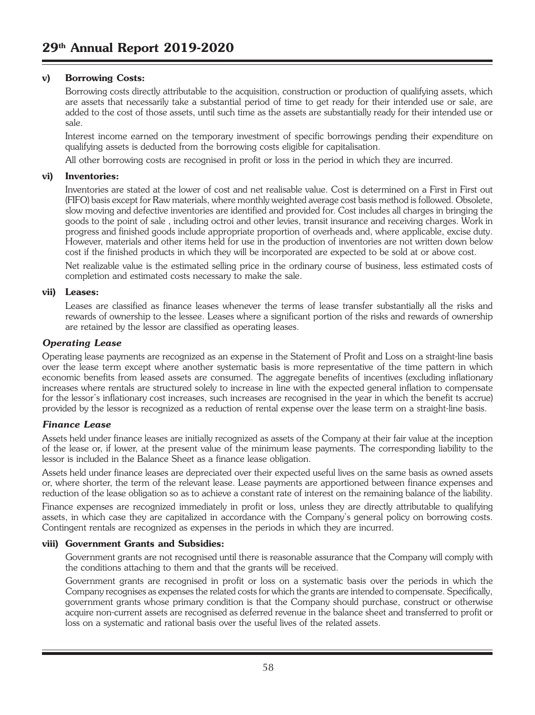#### v) Borrowing Costs:

Borrowing costs directly attributable to the acquisition, construction or production of qualifying assets, which are assets that necessarily take a substantial period of time to get ready for their intended use or sale, are added to the cost of those assets, until such time as the assets are substantially ready for their intended use or sale.

Interest income earned on the temporary investment of specific borrowings pending their expenditure on qualifying assets is deducted from the borrowing costs eligible for capitalisation.

All other borrowing costs are recognised in profit or loss in the period in which they are incurred.

#### vi) Inventories:

Inventories are stated at the lower of cost and net realisable value. Cost is determined on a First in First out (FIFO) basis except for Raw materials, where monthly weighted average cost basis method is followed. Obsolete, slow moving and defective inventories are identified and provided for. Cost includes all charges in bringing the goods to the point of sale , including octroi and other levies, transit insurance and receiving charges. Work in progress and finished goods include appropriate proportion of overheads and, where applicable, excise duty. However, materials and other items held for use in the production of inventories are not written down below cost if the finished products in which they will be incorporated are expected to be sold at or above cost.

Net realizable value is the estimated selling price in the ordinary course of business, less estimated costs of completion and estimated costs necessary to make the sale.

#### vii) Leases:

Leases are classified as finance leases whenever the terms of lease transfer substantially all the risks and rewards of ownership to the lessee. Leases where a significant portion of the risks and rewards of ownership are retained by the lessor are classified as operating leases.

#### Operating Lease

Operating lease payments are recognized as an expense in the Statement of Profit and Loss on a straight-line basis over the lease term except where another systematic basis is more representative of the time pattern in which economic benefits from leased assets are consumed. The aggregate benefits of incentives (excluding inflationary increases where rentals are structured solely to increase in line with the expected general inflation to compensate for the lessor's inflationary cost increases, such increases are recognised in the year in which the benefit ts accrue) provided by the lessor is recognized as a reduction of rental expense over the lease term on a straight-line basis.

#### Finance Lease

Assets held under finance leases are initially recognized as assets of the Company at their fair value at the inception of the lease or, if lower, at the present value of the minimum lease payments. The corresponding liability to the lessor is included in the Balance Sheet as a finance lease obligation.

Assets held under finance leases are depreciated over their expected useful lives on the same basis as owned assets or, where shorter, the term of the relevant lease. Lease payments are apportioned between finance expenses and reduction of the lease obligation so as to achieve a constant rate of interest on the remaining balance of the liability.

Finance expenses are recognized immediately in profit or loss, unless they are directly attributable to qualifying assets, in which case they are capitalized in accordance with the Company's general policy on borrowing costs. Contingent rentals are recognized as expenses in the periods in which they are incurred.

#### viii) Government Grants and Subsidies:

Government grants are not recognised until there is reasonable assurance that the Company will comply with the conditions attaching to them and that the grants will be received.

Government grants are recognised in profit or loss on a systematic basis over the periods in which the Company recognises as expenses the related costs for which the grants are intended to compensate. Specifically, government grants whose primary condition is that the Company should purchase, construct or otherwise acquire non-current assets are recognised as deferred revenue in the balance sheet and transferred to profit or loss on a systematic and rational basis over the useful lives of the related assets.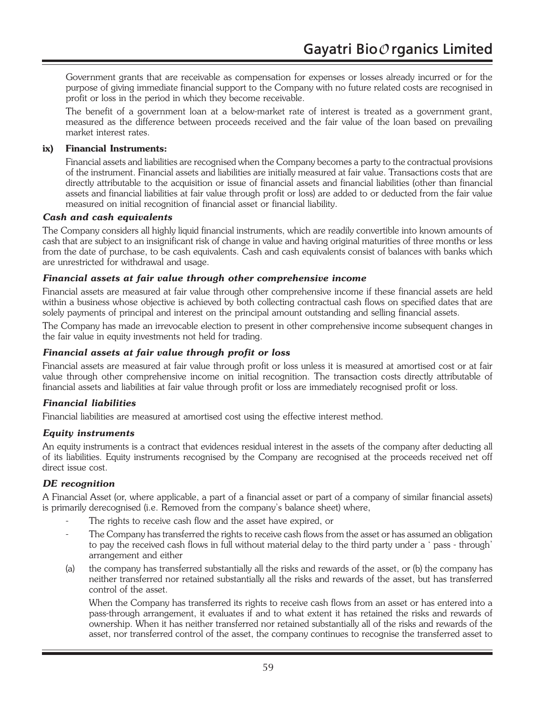Government grants that are receivable as compensation for expenses or losses already incurred or for the purpose of giving immediate financial support to the Company with no future related costs are recognised in profit or loss in the period in which they become receivable.

The benefit of a government loan at a below-market rate of interest is treated as a government grant, measured as the difference between proceeds received and the fair value of the loan based on prevailing market interest rates.

#### ix) Financial Instruments:

Financial assets and liabilities are recognised when the Company becomes a party to the contractual provisions of the instrument. Financial assets and liabilities are initially measured at fair value. Transactions costs that are directly attributable to the acquisition or issue of financial assets and financial liabilities (other than financial assets and financial liabilities at fair value through profit or loss) are added to or deducted from the fair value measured on initial recognition of financial asset or financial liability.

#### Cash and cash equivalents

The Company considers all highly liquid financial instruments, which are readily convertible into known amounts of cash that are subject to an insignificant risk of change in value and having original maturities of three months or less from the date of purchase, to be cash equivalents. Cash and cash equivalents consist of balances with banks which are unrestricted for withdrawal and usage.

#### Financial assets at fair value through other comprehensive income

Financial assets are measured at fair value through other comprehensive income if these financial assets are held within a business whose objective is achieved by both collecting contractual cash flows on specified dates that are solely payments of principal and interest on the principal amount outstanding and selling financial assets.

The Company has made an irrevocable election to present in other comprehensive income subsequent changes in the fair value in equity investments not held for trading.

#### Financial assets at fair value through profit or loss

Financial assets are measured at fair value through profit or loss unless it is measured at amortised cost or at fair value through other comprehensive income on initial recognition. The transaction costs directly attributable of financial assets and liabilities at fair value through profit or loss are immediately recognised profit or loss.

#### Financial liabilities

Financial liabilities are measured at amortised cost using the effective interest method.

#### Equity instruments

An equity instruments is a contract that evidences residual interest in the assets of the company after deducting all of its liabilities. Equity instruments recognised by the Company are recognised at the proceeds received net off direct issue cost.

#### DE recognition

A Financial Asset (or, where applicable, a part of a financial asset or part of a company of similar financial assets) is primarily derecognised (i.e. Removed from the company's balance sheet) where,

- The rights to receive cash flow and the asset have expired, or
- The Company has transferred the rights to receive cash flows from the asset or has assumed an obligation to pay the received cash flows in full without material delay to the third party under a ' pass - through' arrangement and either
- (a) the company has transferred substantially all the risks and rewards of the asset, or (b) the company has neither transferred nor retained substantially all the risks and rewards of the asset, but has transferred control of the asset.

When the Company has transferred its rights to receive cash flows from an asset or has entered into a pass-through arrangement, it evaluates if and to what extent it has retained the risks and rewards of ownership. When it has neither transferred nor retained substantially all of the risks and rewards of the asset, nor transferred control of the asset, the company continues to recognise the transferred asset to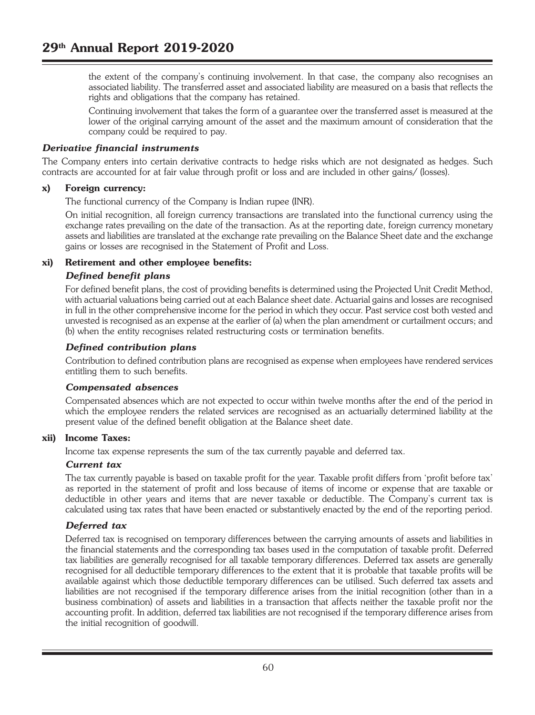the extent of the company's continuing involvement. In that case, the company also recognises an associated liability. The transferred asset and associated liability are measured on a basis that reflects the rights and obligations that the company has retained.

Continuing involvement that takes the form of a guarantee over the transferred asset is measured at the lower of the original carrying amount of the asset and the maximum amount of consideration that the company could be required to pay.

#### Derivative financial instruments

The Company enters into certain derivative contracts to hedge risks which are not designated as hedges. Such contracts are accounted for at fair value through profit or loss and are included in other gains/ (losses).

#### x) Foreign currency:

The functional currency of the Company is Indian rupee (INR).

On initial recognition, all foreign currency transactions are translated into the functional currency using the exchange rates prevailing on the date of the transaction. As at the reporting date, foreign currency monetary assets and liabilities are translated at the exchange rate prevailing on the Balance Sheet date and the exchange gains or losses are recognised in the Statement of Profit and Loss.

#### xi) Retirement and other employee benefits:

#### Defined benefit plans

For defined benefit plans, the cost of providing benefits is determined using the Projected Unit Credit Method, with actuarial valuations being carried out at each Balance sheet date. Actuarial gains and losses are recognised in full in the other comprehensive income for the period in which they occur. Past service cost both vested and unvested is recognised as an expense at the earlier of (a) when the plan amendment or curtailment occurs; and (b) when the entity recognises related restructuring costs or termination benefits.

#### Defined contribution plans

Contribution to defined contribution plans are recognised as expense when employees have rendered services entitling them to such benefits.

#### Compensated absences

Compensated absences which are not expected to occur within twelve months after the end of the period in which the employee renders the related services are recognised as an actuarially determined liability at the present value of the defined benefit obligation at the Balance sheet date.

#### xii) Income Taxes:

Income tax expense represents the sum of the tax currently payable and deferred tax.

#### Current tax

The tax currently payable is based on taxable profit for the year. Taxable profit differs from 'profit before tax' as reported in the statement of profit and loss because of items of income or expense that are taxable or deductible in other years and items that are never taxable or deductible. The Company's current tax is calculated using tax rates that have been enacted or substantively enacted by the end of the reporting period.

#### Deferred tax

Deferred tax is recognised on temporary differences between the carrying amounts of assets and liabilities in the financial statements and the corresponding tax bases used in the computation of taxable profit. Deferred tax liabilities are generally recognised for all taxable temporary differences. Deferred tax assets are generally recognised for all deductible temporary differences to the extent that it is probable that taxable profits will be available against which those deductible temporary differences can be utilised. Such deferred tax assets and liabilities are not recognised if the temporary difference arises from the initial recognition (other than in a business combination) of assets and liabilities in a transaction that affects neither the taxable profit nor the accounting profit. In addition, deferred tax liabilities are not recognised if the temporary difference arises from the initial recognition of goodwill.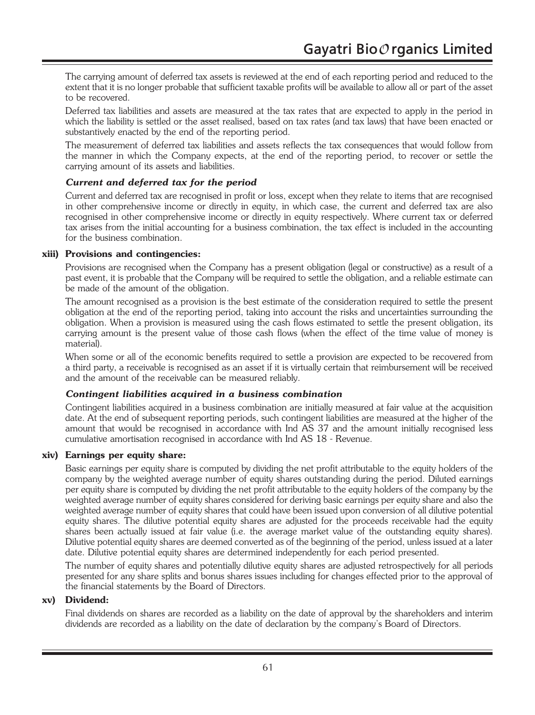The carrying amount of deferred tax assets is reviewed at the end of each reporting period and reduced to the extent that it is no longer probable that sufficient taxable profits will be available to allow all or part of the asset to be recovered.

Deferred tax liabilities and assets are measured at the tax rates that are expected to apply in the period in which the liability is settled or the asset realised, based on tax rates (and tax laws) that have been enacted or substantively enacted by the end of the reporting period.

The measurement of deferred tax liabilities and assets reflects the tax consequences that would follow from the manner in which the Company expects, at the end of the reporting period, to recover or settle the carrying amount of its assets and liabilities.

#### Current and deferred tax for the period

Current and deferred tax are recognised in profit or loss, except when they relate to items that are recognised in other comprehensive income or directly in equity, in which case, the current and deferred tax are also recognised in other comprehensive income or directly in equity respectively. Where current tax or deferred tax arises from the initial accounting for a business combination, the tax effect is included in the accounting for the business combination.

#### xiii) Provisions and contingencies:

Provisions are recognised when the Company has a present obligation (legal or constructive) as a result of a past event, it is probable that the Company will be required to settle the obligation, and a reliable estimate can be made of the amount of the obligation.

The amount recognised as a provision is the best estimate of the consideration required to settle the present obligation at the end of the reporting period, taking into account the risks and uncertainties surrounding the obligation. When a provision is measured using the cash flows estimated to settle the present obligation, its carrying amount is the present value of those cash flows (when the effect of the time value of money is material).

When some or all of the economic benefits required to settle a provision are expected to be recovered from a third party, a receivable is recognised as an asset if it is virtually certain that reimbursement will be received and the amount of the receivable can be measured reliably.

#### Contingent liabilities acquired in a business combination

Contingent liabilities acquired in a business combination are initially measured at fair value at the acquisition date. At the end of subsequent reporting periods, such contingent liabilities are measured at the higher of the amount that would be recognised in accordance with Ind AS 37 and the amount initially recognised less cumulative amortisation recognised in accordance with Ind AS 18 - Revenue.

#### xiv) Earnings per equity share:

Basic earnings per equity share is computed by dividing the net profit attributable to the equity holders of the company by the weighted average number of equity shares outstanding during the period. Diluted earnings per equity share is computed by dividing the net profit attributable to the equity holders of the company by the weighted average number of equity shares considered for deriving basic earnings per equity share and also the weighted average number of equity shares that could have been issued upon conversion of all dilutive potential equity shares. The dilutive potential equity shares are adjusted for the proceeds receivable had the equity shares been actually issued at fair value (i.e. the average market value of the outstanding equity shares). Dilutive potential equity shares are deemed converted as of the beginning of the period, unless issued at a later date. Dilutive potential equity shares are determined independently for each period presented.

The number of equity shares and potentially dilutive equity shares are adjusted retrospectively for all periods presented for any share splits and bonus shares issues including for changes effected prior to the approval of the financial statements by the Board of Directors.

#### xv) Dividend:

Final dividends on shares are recorded as a liability on the date of approval by the shareholders and interim dividends are recorded as a liability on the date of declaration by the company's Board of Directors.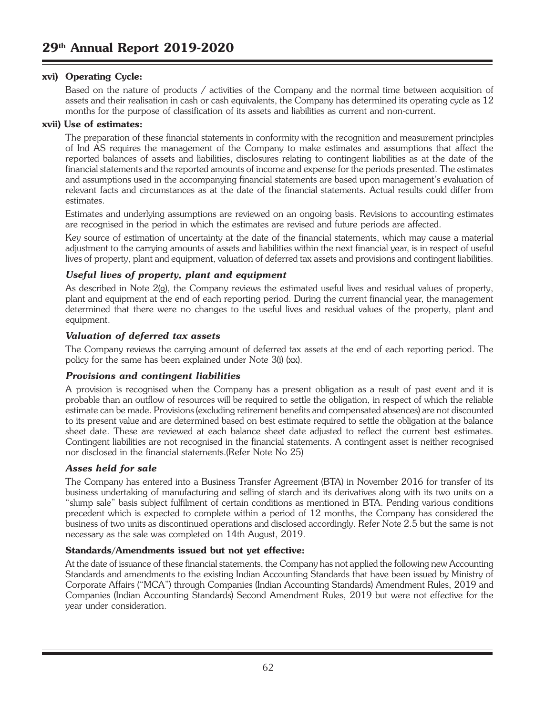#### xvi) Operating Cycle:

Based on the nature of products / activities of the Company and the normal time between acquisition of assets and their realisation in cash or cash equivalents, the Company has determined its operating cycle as 12 months for the purpose of classification of its assets and liabilities as current and non-current.

#### xvii) Use of estimates:

The preparation of these financial statements in conformity with the recognition and measurement principles of Ind AS requires the management of the Company to make estimates and assumptions that affect the reported balances of assets and liabilities, disclosures relating to contingent liabilities as at the date of the financial statements and the reported amounts of income and expense for the periods presented. The estimates and assumptions used in the accompanying financial statements are based upon management's evaluation of relevant facts and circumstances as at the date of the financial statements. Actual results could differ from estimates.

Estimates and underlying assumptions are reviewed on an ongoing basis. Revisions to accounting estimates are recognised in the period in which the estimates are revised and future periods are affected.

Key source of estimation of uncertainty at the date of the financial statements, which may cause a material adjustment to the carrying amounts of assets and liabilities within the next financial year, is in respect of useful lives of property, plant and equipment, valuation of deferred tax assets and provisions and contingent liabilities.

#### Useful lives of property, plant and equipment

As described in Note 2(g), the Company reviews the estimated useful lives and residual values of property, plant and equipment at the end of each reporting period. During the current financial year, the management determined that there were no changes to the useful lives and residual values of the property, plant and equipment.

#### Valuation of deferred tax assets

The Company reviews the carrying amount of deferred tax assets at the end of each reporting period. The policy for the same has been explained under Note 3(i) (xx).

#### Provisions and contingent liabilities

A provision is recognised when the Company has a present obligation as a result of past event and it is probable than an outflow of resources will be required to settle the obligation, in respect of which the reliable estimate can be made. Provisions (excluding retirement benefits and compensated absences) are not discounted to its present value and are determined based on best estimate required to settle the obligation at the balance sheet date. These are reviewed at each balance sheet date adjusted to reflect the current best estimates. Contingent liabilities are not recognised in the financial statements. A contingent asset is neither recognised nor disclosed in the financial statements.(Refer Note No 25)

#### Asses held for sale

The Company has entered into a Business Transfer Agreement (BTA) in November 2016 for transfer of its business undertaking of manufacturing and selling of starch and its derivatives along with its two units on a "slump sale" basis subject fulfilment of certain conditions as mentioned in BTA. Pending various conditions precedent which is expected to complete within a period of 12 months, the Company has considered the business of two units as discontinued operations and disclosed accordingly. Refer Note 2.5 but the same is not necessary as the sale was completed on 14th August, 2019.

#### Standards/Amendments issued but not yet effective:

At the date of issuance of these financial statements, the Company has not applied the following new Accounting Standards and amendments to the existing Indian Accounting Standards that have been issued by Ministry of Corporate Affairs ("MCA") through Companies (Indian Accounting Standards) Amendment Rules, 2019 and Companies (Indian Accounting Standards) Second Amendment Rules, 2019 but were not effective for the year under consideration.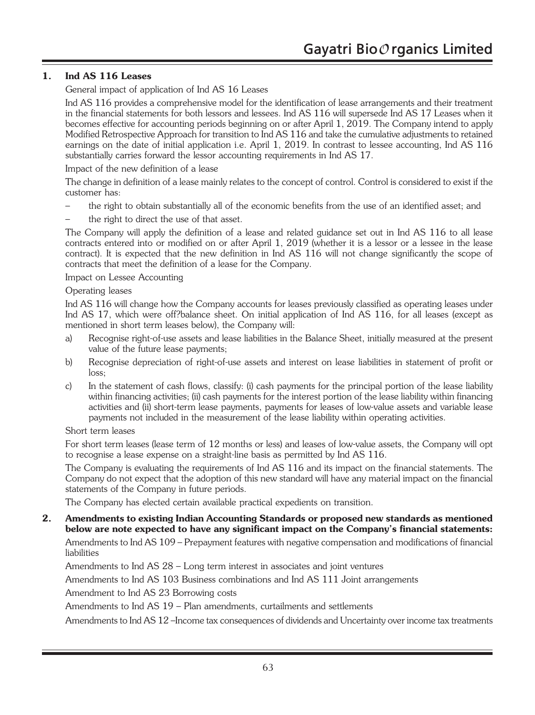#### 1. Ind AS 116 Leases

General impact of application of Ind AS 16 Leases

Ind AS 116 provides a comprehensive model for the identification of lease arrangements and their treatment in the financial statements for both lessors and lessees. Ind AS 116 will supersede Ind AS 17 Leases when it becomes effective for accounting periods beginning on or after April 1, 2019. The Company intend to apply Modified Retrospective Approach for transition to Ind AS 116 and take the cumulative adjustments to retained earnings on the date of initial application i.e. April 1, 2019. In contrast to lessee accounting, Ind AS 116 substantially carries forward the lessor accounting requirements in Ind AS 17.

Impact of the new definition of a lease

The change in definition of a lease mainly relates to the concept of control. Control is considered to exist if the customer has:

- the right to obtain substantially all of the economic benefits from the use of an identified asset; and
- the right to direct the use of that asset.

The Company will apply the definition of a lease and related guidance set out in Ind AS 116 to all lease contracts entered into or modified on or after April 1, 2019 (whether it is a lessor or a lessee in the lease contract). It is expected that the new definition in Ind AS 116 will not change significantly the scope of contracts that meet the definition of a lease for the Company.

#### Impact on Lessee Accounting

#### Operating leases

Ind AS 116 will change how the Company accounts for leases previously classified as operating leases under Ind AS 17, which were off?balance sheet. On initial application of Ind AS 116, for all leases (except as mentioned in short term leases below), the Company will:

- a) Recognise right-of-use assets and lease liabilities in the Balance Sheet, initially measured at the present value of the future lease payments;
- b) Recognise depreciation of right-of-use assets and interest on lease liabilities in statement of profit or loss;
- c) In the statement of cash flows, classify: (i) cash payments for the principal portion of the lease liability within financing activities; (ii) cash payments for the interest portion of the lease liability within financing activities and (ii) short-term lease payments, payments for leases of low-value assets and variable lease payments not included in the measurement of the lease liability within operating activities.

#### Short term leases

For short term leases (lease term of 12 months or less) and leases of low-value assets, the Company will opt to recognise a lease expense on a straight-line basis as permitted by Ind AS 116.

The Company is evaluating the requirements of Ind AS 116 and its impact on the financial statements. The Company do not expect that the adoption of this new standard will have any material impact on the financial statements of the Company in future periods.

The Company has elected certain available practical expedients on transition.

#### 2. Amendments to existing Indian Accounting Standards or proposed new standards as mentioned below are note expected to have any significant impact on the Company's financial statements:

Amendments to Ind AS 109 – Prepayment features with negative compensation and modifications of financial liabilities

Amendments to Ind AS 28 – Long term interest in associates and joint ventures

Amendments to Ind AS 103 Business combinations and Ind AS 111 Joint arrangements

Amendment to Ind AS 23 Borrowing costs

Amendments to Ind AS 19 – Plan amendments, curtailments and settlements

Amendments to Ind AS 12 –Income tax consequences of dividends and Uncertainty over income tax treatments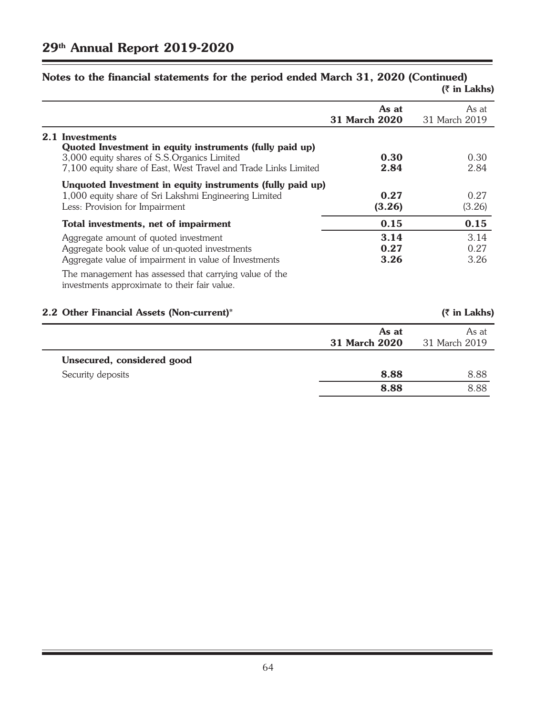### Notes to the financial statements for the period ended March 31, 2020 (Continued)

 $(\bar{z}$  in Lakhs)

|                                                                                                                                                                                              | As at<br><b>31 March 2020</b> | As at<br>31 March 2019 |
|----------------------------------------------------------------------------------------------------------------------------------------------------------------------------------------------|-------------------------------|------------------------|
| 2.1 Investments<br>Quoted Investment in equity instruments (fully paid up)<br>3,000 equity shares of S.S.Organics Limited<br>7,100 equity share of East, West Travel and Trade Links Limited | 0.30<br>2.84                  | 0.30<br>2.84           |
| Unquoted Investment in equity instruments (fully paid up)<br>1,000 equity share of Sri Lakshmi Engineering Limited<br>Less: Provision for Impairment                                         | 0.27<br>(3.26)                | 0.27<br>(3.26)         |
| Total investments, net of impairment                                                                                                                                                         | 0.15                          | 0.15                   |
| Aggregate amount of guoted investment<br>Aggregate book value of un-quoted investments<br>Aggregate value of impairment in value of Investments                                              | 3.14<br>0.27<br>3.26          | 3.14<br>0.27<br>3.26   |
| The management has assessed that carrying value of the<br>investments approximate to their fair value.                                                                                       |                               |                        |
| 2.2 Other Financial Assets (Non-current)*                                                                                                                                                    |                               | (₹ in Lakhs)           |

|                            | As at<br>31 March 2020 | As at<br>31 March 2019 |
|----------------------------|------------------------|------------------------|
| Unsecured, considered good |                        |                        |
| Security deposits          | 8.88                   | 8.88                   |
|                            | 8.88                   | 8.88                   |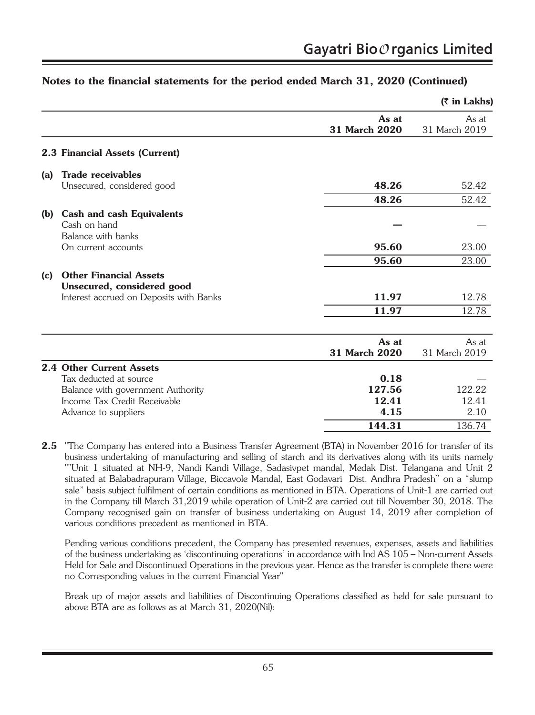|     |                                                                       |                        | (₹ in Lakhs)           |
|-----|-----------------------------------------------------------------------|------------------------|------------------------|
|     |                                                                       | As at<br>31 March 2020 | As at<br>31 March 2019 |
|     | 2.3 Financial Assets (Current)                                        |                        |                        |
| (a) | <b>Trade receivables</b>                                              |                        |                        |
|     | Unsecured, considered good                                            | 48.26                  | 52.42                  |
|     |                                                                       | 48.26                  | 52.42                  |
| (b) | <b>Cash and cash Equivalents</b>                                      |                        |                        |
|     | Cash on hand                                                          |                        |                        |
|     | Balance with banks                                                    |                        |                        |
|     | On current accounts                                                   | 95.60                  | 23.00                  |
|     |                                                                       | 95.60                  | 23.00                  |
| (c) | <b>Other Financial Assets</b>                                         |                        |                        |
|     | Unsecured, considered good<br>Interest accrued on Deposits with Banks | 11.97                  | 12.78                  |
|     |                                                                       | 11.97                  | 12.78                  |
|     |                                                                       |                        |                        |
|     |                                                                       | As at                  | As at                  |
|     |                                                                       | 31 March 2020          | 31 March 2019          |
|     | 2.4 Other Current Assets                                              |                        |                        |
|     | Tax deducted at source                                                | 0.18                   |                        |
|     | Balance with government Authority                                     | 127.56                 | 122.22                 |
|     | Income Tax Credit Receivable                                          | 12.41<br>4.15          | 12.41<br>2.10          |
|     | Advance to suppliers                                                  |                        |                        |
|     |                                                                       | 144.31                 | 136.74                 |

#### Notes to the financial statements for the period ended March 31, 2020 (Continued)

2.5 "The Company has entered into a Business Transfer Agreement (BTA) in November 2016 for transfer of its business undertaking of manufacturing and selling of starch and its derivatives along with its units namely ""Unit 1 situated at NH-9, Nandi Kandi Village, Sadasivpet mandal, Medak Dist. Telangana and Unit 2 situated at Balabadrapuram Village, Biccavole Mandal, East Godavari Dist. Andhra Pradesh" on a "slump sale" basis subject fulfilment of certain conditions as mentioned in BTA. Operations of Unit-1 are carried out in the Company till March 31,2019 while operation of Unit-2 are carried out till November 30, 2018. The Company recognised gain on transfer of business undertaking on August 14, 2019 after completion of various conditions precedent as mentioned in BTA.

Pending various conditions precedent, the Company has presented revenues, expenses, assets and liabilities of the business undertaking as 'discontinuing operations' in accordance with Ind AS 105 – Non-current Assets Held for Sale and Discontinued Operations in the previous year. Hence as the transfer is complete there were no Corresponding values in the current Financial Year"

Break up of major assets and liabilities of Discontinuing Operations classified as held for sale pursuant to above BTA are as follows as at March 31, 2020(Nil):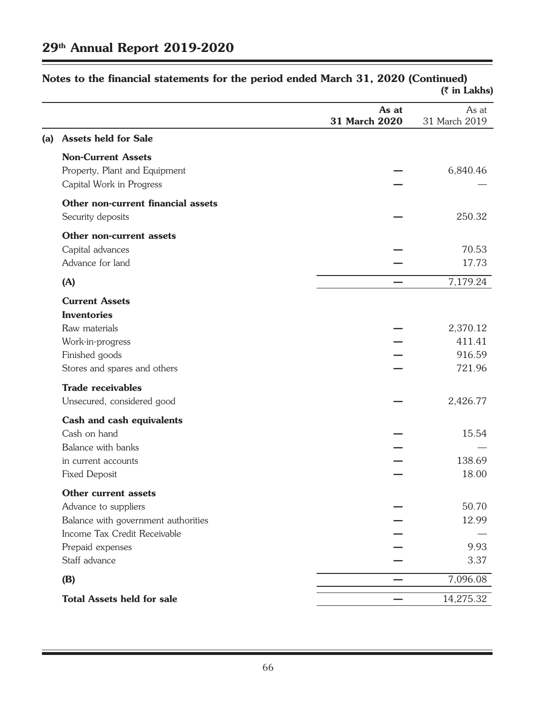Ė

|                                     | As at<br>31 March 2020 | As at<br>31 March 2019 |
|-------------------------------------|------------------------|------------------------|
| (a) Assets held for Sale            |                        |                        |
| <b>Non-Current Assets</b>           |                        |                        |
| Property, Plant and Equipment       |                        | 6,840.46               |
| Capital Work in Progress            |                        |                        |
| Other non-current financial assets  |                        |                        |
| Security deposits                   |                        | 250.32                 |
| Other non-current assets            |                        |                        |
| Capital advances                    |                        | 70.53                  |
| Advance for land                    |                        | 17.73                  |
| (A)                                 |                        | 7,179.24               |
| <b>Current Assets</b>               |                        |                        |
| <b>Inventories</b>                  |                        |                        |
| Raw materials                       |                        | 2,370.12               |
| Work-in-progress                    |                        | 411.41                 |
| Finished goods                      |                        | 916.59                 |
| Stores and spares and others        |                        | 721.96                 |
| <b>Trade receivables</b>            |                        |                        |
| Unsecured, considered good          |                        | 2,426.77               |
| Cash and cash equivalents           |                        |                        |
| Cash on hand                        |                        | 15.54                  |
| Balance with banks                  |                        |                        |
| in current accounts                 |                        | 138.69                 |
| <b>Fixed Deposit</b>                |                        | 18.00                  |
| Other current assets                |                        |                        |
| Advance to suppliers                |                        | 50.70                  |
| Balance with government authorities |                        | 12.99                  |
| Income Tax Credit Receivable        |                        |                        |
| Prepaid expenses                    |                        | 9.93                   |
| Staff advance                       |                        | 3.37                   |
| (B)                                 |                        | 7,096.08               |
| <b>Total Assets held for sale</b>   |                        | 14,275.32              |

#### Notes to the financial statements for the period ended March 31, 2020 (Continued)  $($ ₹ in Lakhs)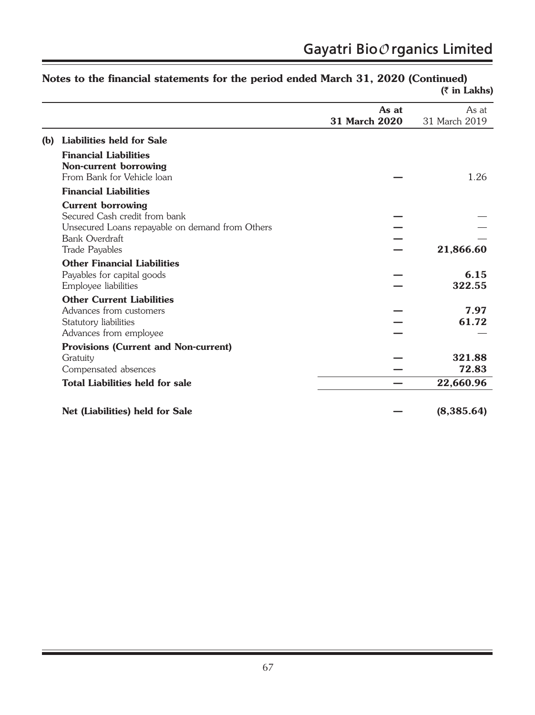|                                                                                                                                                         | As at<br>31 March 2020 | As at<br>31 March 2019 |
|---------------------------------------------------------------------------------------------------------------------------------------------------------|------------------------|------------------------|
| Liabilities held for Sale<br>(b)                                                                                                                        |                        |                        |
| <b>Financial Liabilities</b><br>Non-current borrowing<br>From Bank for Vehicle loan                                                                     |                        | 1.26                   |
| <b>Financial Liabilities</b>                                                                                                                            |                        |                        |
| <b>Current borrowing</b><br>Secured Cash credit from bank<br>Unsecured Loans repayable on demand from Others<br>Bank Overdraft<br><b>Trade Payables</b> |                        | 21,866.60              |
| <b>Other Financial Liabilities</b><br>Payables for capital goods<br>Employee liabilities                                                                |                        | 6.15<br>322.55         |
| <b>Other Current Liabilities</b><br>Advances from customers<br>Statutory liabilities<br>Advances from employee                                          |                        | 7.97<br>61.72          |
| <b>Provisions (Current and Non-current)</b><br>Gratuity<br>Compensated absences                                                                         |                        | 321.88<br>72.83        |
| <b>Total Liabilities held for sale</b>                                                                                                                  |                        | 22,660.96              |
| Net (Liabilities) held for Sale                                                                                                                         |                        | (8,385.64)             |

#### Notes to the financial statements for the period ended March 31, 2020 (Continued)  $($ ₹ in Lakhs)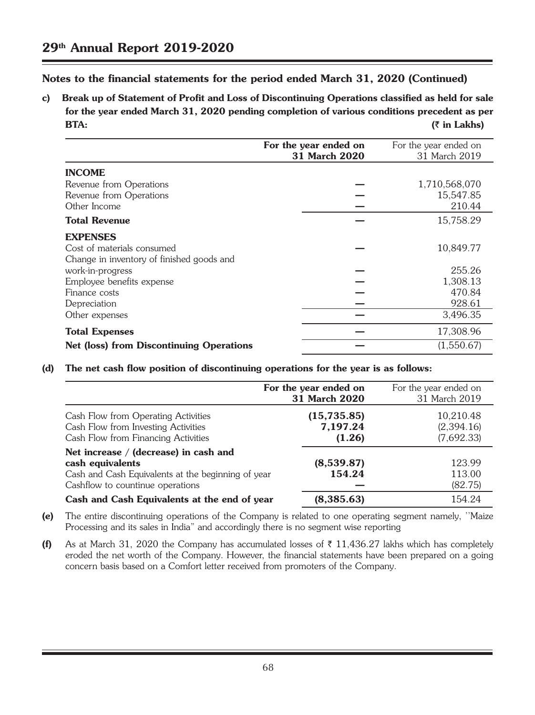Notes to the financial statements for the period ended March 31, 2020 (Continued)

c) Break up of Statement of Profit and Loss of Discontinuing Operations classified as held for sale for the year ended March 31, 2020 pending completion of various conditions precedent as per  $BTA:$  ( $\bar{\tau}$  in Lakhs)

|                                                 | For the year ended on | For the year ended on |
|-------------------------------------------------|-----------------------|-----------------------|
|                                                 | <b>31 March 2020</b>  | 31 March 2019         |
| <b>INCOME</b>                                   |                       |                       |
| Revenue from Operations                         |                       | 1,710,568,070         |
| Revenue from Operations                         |                       | 15,547.85             |
| Other Income                                    |                       | 210.44                |
| <b>Total Revenue</b>                            |                       | 15,758.29             |
| <b>EXPENSES</b>                                 |                       |                       |
| Cost of materials consumed                      |                       | 10,849.77             |
| Change in inventory of finished goods and       |                       |                       |
| work-in-progress                                |                       | 255.26                |
| Employee benefits expense                       |                       | 1,308.13              |
| Finance costs                                   |                       | 470.84                |
| Depreciation                                    |                       | 928.61                |
| Other expenses                                  |                       | 3,496.35              |
| <b>Total Expenses</b>                           |                       | 17,308.96             |
| <b>Net (loss) from Discontinuing Operations</b> |                       | (1,550.67)            |

#### (d) The net cash flow position of discontinuing operations for the year is as follows:

|                                                                                                                                                     | For the year ended on<br>31 March 2020 | For the year ended on<br>31 March 2019 |
|-----------------------------------------------------------------------------------------------------------------------------------------------------|----------------------------------------|----------------------------------------|
| Cash Flow from Operating Activities<br>Cash Flow from Investing Activities<br>Cash Flow from Financing Activities                                   | (15, 735.85)<br>7,197.24<br>(1.26)     | 10,210.48<br>(2,394.16)<br>(7,692.33)  |
| Net increase / (decrease) in cash and<br>cash equivalents<br>Cash and Cash Equivalents at the beginning of year<br>Cashflow to countinue operations | (8,539.87)<br>154.24                   | 123.99<br>113.00<br>(82.75)            |
| Cash and Cash Equivalents at the end of year                                                                                                        | (8,385.63)                             | 154.24                                 |

- (e) The entire discontinuing operations of the Company is related to one operating segment namely, ''Maize Processing and its sales in India" and accordingly there is no segment wise reporting
- (f) As at March 31, 2020 the Company has accumulated losses of  $\bar{\tau}$  11,436.27 lakhs which has completely eroded the net worth of the Company. However, the financial statements have been prepared on a going concern basis based on a Comfort letter received from promoters of the Company.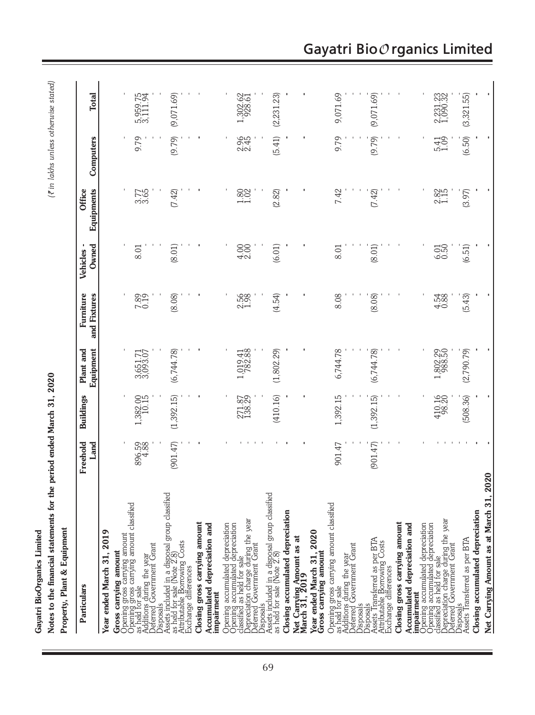| Particulars                                                                                                                                                    | Freehold<br>Land | <b>Buildings</b> | Plant and<br>Equipment | and Fixtures<br>Furniture | Owned<br>Vehicles   | <b>Office</b><br>Equipments | Computers | <b>Total</b>         |
|----------------------------------------------------------------------------------------------------------------------------------------------------------------|------------------|------------------|------------------------|---------------------------|---------------------|-----------------------------|-----------|----------------------|
| 19<br>Year ended March 31, 20                                                                                                                                  |                  |                  |                        |                           |                     |                             |           |                      |
|                                                                                                                                                                |                  |                  |                        |                           |                     |                             |           |                      |
| <b>Gross carrying amount</b><br>Opening gross carrying amount<br>exheld for sale<br>asheld for sale                                                            | 896.59<br>4.88   | 1,382.00         | 3,651.71               | 7.89                      | 8.01                | 3.775                       | 9.79      | 5,959.75<br>3.111.94 |
| Additions during the year<br>Deferred Government Grant                                                                                                         |                  |                  |                        |                           |                     |                             |           |                      |
| Disposals                                                                                                                                                      |                  |                  |                        |                           |                     |                             |           |                      |
| Assets included in a disposal group classified<br>as held for sale (Note 2.8)<br>Attributable Borrowing Costs<br>Exchange differences                          | (901.47)         | (1,392.15)       | (6, 744.78)            | (8.08)                    | (8.01)              | (7.42)                      | (9.79)    | (9,071.69)           |
| Closing gross carrying amount                                                                                                                                  |                  |                  |                        |                           |                     |                             |           |                      |
| and<br>Accumulated depreciation<br>impairment                                                                                                                  |                  |                  |                        |                           |                     |                             |           |                      |
|                                                                                                                                                                |                  |                  |                        |                           |                     |                             |           |                      |
| Opening accumulated depreciation<br>Opening accumulated depreciation<br>classified as held for sale                                                            |                  | 271.87           | 1,019.41               | 2.56                      | $\frac{4.00}{2.00}$ | $1.80$<br>$1.02$            | 2.45      | 302.62               |
| Depreciation charge during the year<br>Deferred Government Grant                                                                                               |                  |                  |                        |                           |                     |                             |           |                      |
| Assets included in a disposal group classified<br>as held for sale (Note 2.8)<br><b>Disposals</b>                                                              |                  |                  |                        |                           |                     |                             |           |                      |
| Closing accumulated depreciation                                                                                                                               |                  | (410.16)         | (1,802.29)             | (4.54)                    | (6.01)              | (2.82)                      | (5.41)    | (2, 231.23)          |
| Net Carrying Amount as at<br>March 31, 2019                                                                                                                    |                  |                  |                        |                           |                     |                             |           |                      |
|                                                                                                                                                                |                  |                  |                        |                           |                     |                             |           |                      |
| Year ended March 31, 2020<br>Gross carrying amount                                                                                                             |                  |                  |                        |                           |                     |                             |           |                      |
| Opening gross carrying amount classified<br>as held for sale                                                                                                   | 901.47           | 1,392.15         | 6,744.78               | 8.08                      | 8.01                | 7.42                        | 9.79      | 9,071.69             |
| Additions during the year<br>Deferred Government Grant                                                                                                         |                  |                  |                        |                           |                     |                             |           |                      |
|                                                                                                                                                                |                  |                  |                        |                           |                     |                             |           |                      |
|                                                                                                                                                                | (901.47)         | (1,392.15)       | (6,744.78)             | (8.08)                    | (8.01)              | (7.42)                      | (9.79)    | (9,071.69)           |
| Disposals<br>Auspos Tansferred as per BTA<br>Attibutable Borrowing Costs<br>Exchange differences                                                               |                  |                  |                        |                           |                     |                             |           |                      |
| Closing gross carrying amount                                                                                                                                  |                  |                  |                        |                           |                     |                             |           |                      |
| and<br>Accumulated depreciation<br>impairment                                                                                                                  |                  |                  |                        |                           |                     |                             |           |                      |
|                                                                                                                                                                |                  |                  |                        |                           |                     |                             |           |                      |
| Opening accumulated depreciation<br>Copening accumulated depreciation<br>Dassitied as held for sale<br>Dessitied Government Grant<br>Deterred Government Grant |                  | 410.16<br>98.20  | 1,802.50               | 4588                      | 6.50                | 2.82                        | 5.41      | 2,231.23<br>1,090.32 |
| <b>Disposals</b>                                                                                                                                               |                  |                  |                        |                           |                     |                             |           |                      |
| Assets Transferred as per BTA                                                                                                                                  |                  | (508.36)         | (2,790.79)             | (5.43)                    | (6.51)              | (3.97)                      | (6.50)    | (3,321.55)           |
| Closing accumulated depreciation                                                                                                                               |                  |                  |                        |                           |                     |                             |           |                      |
| Net Carrying Amount as at March 31, 2020                                                                                                                       |                  |                  |                        |                           |                     |                             |           |                      |

Gayatri BioOrganics Limited

Gayatri BioOrganics Limited

# Gayatri Bio $O$  rganics Limited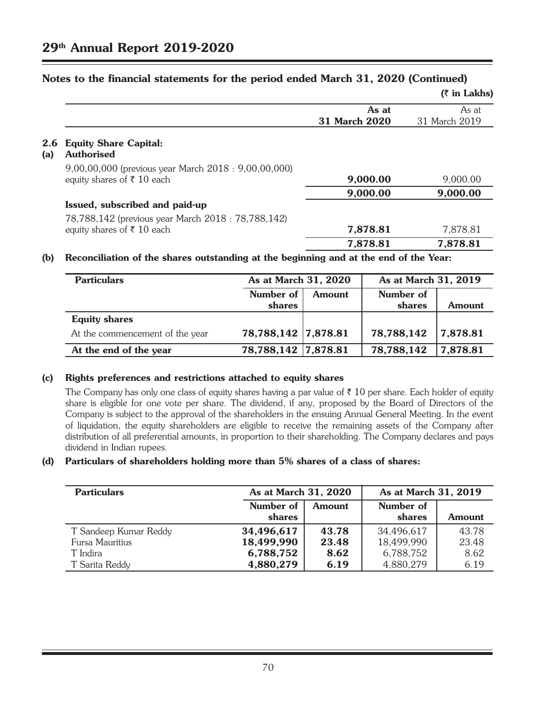$($ ₹ in Lakhs)

|            |                                                                                              | As at         | As at         |
|------------|----------------------------------------------------------------------------------------------|---------------|---------------|
|            |                                                                                              | 31 March 2020 | 31 March 2019 |
| 2.6<br>(a) | <b>Equity Share Capital:</b><br><b>Authorised</b>                                            |               |               |
|            | 9,00,00,000 (previous year March 2018: 9,00,00,000)<br>equity shares of $\bar{\tau}$ 10 each | 9,000.00      | 9,000.00      |
|            |                                                                                              | 9,000.00      | 9,000.00      |
|            | Issued, subscribed and paid-up                                                               |               |               |
|            | 78,788,142 (previous year March 2018: 78,788,142)                                            |               |               |
|            | equity shares of $\bar{\tau}$ 10 each                                                        | 7,878.81      | 7,878.81      |
|            |                                                                                              | 7.878.81      | 7.878.81      |

#### (b) Reconciliation of the shares outstanding at the beginning and at the end of the Year:

| As at March 31, 2020<br><b>Particulars</b> |                            |  |            | As at March 31, 2019 |  |
|--------------------------------------------|----------------------------|--|------------|----------------------|--|
|                                            | Number of<br><b>Amount</b> |  | Number of  |                      |  |
|                                            | shares                     |  | shares     | Amount               |  |
| <b>Equity shares</b>                       |                            |  |            |                      |  |
| At the commencement of the year            | 78,788,142 7,878.81        |  | 78,788,142 | 7,878.81             |  |
| At the end of the year                     | 78,788,142 7,878.81        |  | 78,788,142 | 7.878.81             |  |

#### (c) Rights preferences and restrictions attached to equity shares

The Company has only one class of equity shares having a par value of  $\bar{\tau}$  10 per share. Each holder of equity share is eligible for one vote per share. The dividend, if any, proposed by the Board of Directors of the Company is subject to the approval of the shareholders in the ensuing Annual General Meeting. In the event of liquidation, the equity shareholders are eligible to receive the remaining assets of the Company after distribution of all preferential amounts, in proportion to their shareholding. The Company declares and pays dividend in Indian rupees.

#### (d) Particulars of shareholders holding more than 5% shares of a class of shares:

| <b>Particulars</b>    | As at March 31, 2020 |               | As at March 31, 2019 |        |  |
|-----------------------|----------------------|---------------|----------------------|--------|--|
|                       | Number of            | <b>Amount</b> | Number of            |        |  |
|                       | shares               |               | shares               | Amount |  |
| T Sandeep Kumar Reddy | 34,496,617           | 43.78         | 34,496,617           | 43.78  |  |
| Fursa Mauritius       | 18,499,990           | 23.48         | 18,499,990           | 23.48  |  |
| T Indira              | 6,788,752            | 8.62          | 6,788,752            | 8.62   |  |
| T Sarita Reddy        | 4,880,279            | 6.19          | 4,880,279            | 6.19   |  |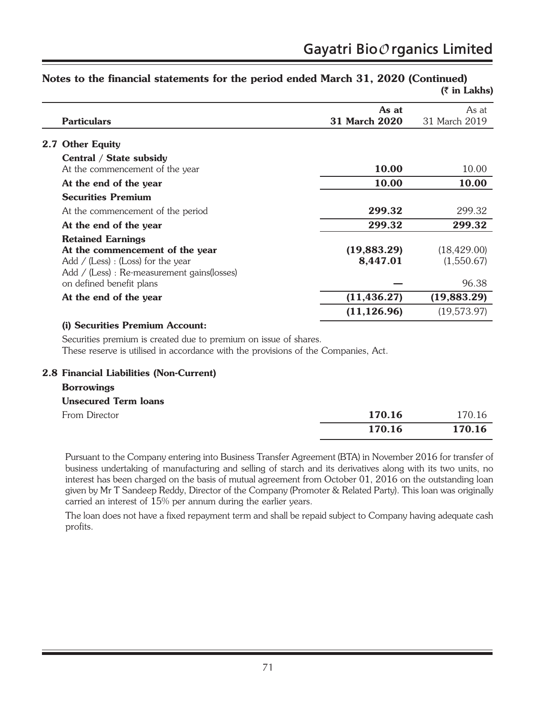| As at         | As at         |
|---------------|---------------|
| 31 March 2020 | 31 March 2019 |
|               |               |
|               |               |
| 10.00         | 10.00         |
| 10.00         | 10.00         |
|               |               |
| 299.32        | 299.32        |
| 299.32        | 299.32        |
|               |               |
| (19,883.29)   | (18, 429.00)  |
| 8,447.01      | (1,550.67)    |
|               |               |
|               | 96.38         |
| (11, 436.27)  | (19,883.29)   |
| (11, 126.96)  | (19.573.97)   |
|               |               |

#### (i) Securities Premium Account:

Securities premium is created due to premium on issue of shares.

These reserve is utilised in accordance with the provisions of the Companies, Act.

#### 2.8 Financial Liabilities (Non-Current)

# **Borrowings**

| Unsecured Term loans |        |        |
|----------------------|--------|--------|
| From Director        | 170.16 | 170.16 |
|                      | 170.16 | 170.16 |

Pursuant to the Company entering into Business Transfer Agreement (BTA) in November 2016 for transfer of business undertaking of manufacturing and selling of starch and its derivatives along with its two units, no interest has been charged on the basis of mutual agreement from October 01, 2016 on the outstanding loan given by Mr T Sandeep Reddy, Director of the Company (Promoter & Related Party). This loan was originally carried an interest of 15% per annum during the earlier years.

The loan does not have a fixed repayment term and shall be repaid subject to Company having adequate cash profits.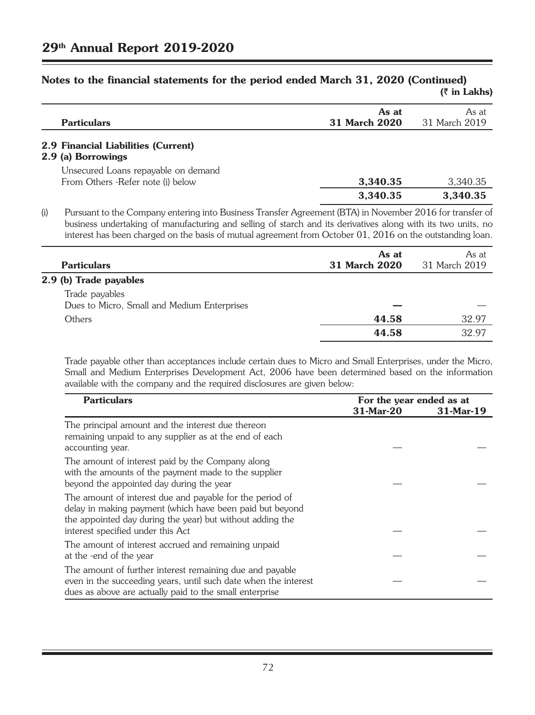|                                                           | As at         | As at         |
|-----------------------------------------------------------|---------------|---------------|
| <b>Particulars</b>                                        | 31 March 2020 | 31 March 2019 |
| 2.9 Financial Liabilities (Current)<br>2.9 (a) Borrowings |               |               |
| Unsecured Loans repayable on demand                       |               |               |
| From Others -Refer note (i) below                         | 3,340.35      | 3,340.35      |
|                                                           | 3,340.35      | 3,340.35      |
|                                                           |               |               |

(i) Pursuant to the Company entering into Business Transfer Agreement (BTA) in November 2016 for transfer of business undertaking of manufacturing and selling of starch and its derivatives along with its two units, no interest has been charged on the basis of mutual agreement from October 01, 2016 on the outstanding loan.

| <b>Particulars</b>                                            | As at<br>31 March 2020 | As at<br>31 March 2019 |
|---------------------------------------------------------------|------------------------|------------------------|
| 2.9 (b) Trade payables                                        |                        |                        |
| Trade payables<br>Dues to Micro, Small and Medium Enterprises |                        |                        |
| Others                                                        | 44.58                  | 32.97                  |
|                                                               | 44.58                  | 32.97                  |

Trade payable other than acceptances include certain dues to Micro and Small Enterprises, under the Micro, Small and Medium Enterprises Development Act, 2006 have been determined based on the information available with the company and the required disclosures are given below:

| <b>Particulars</b>                                                                                                                                                                                                     | For the year ended as at |           |  |
|------------------------------------------------------------------------------------------------------------------------------------------------------------------------------------------------------------------------|--------------------------|-----------|--|
|                                                                                                                                                                                                                        | <b>31-Mar-20</b>         | 31-Mar-19 |  |
| The principal amount and the interest due thereon<br>remaining unpaid to any supplier as at the end of each<br>accounting year.                                                                                        |                          |           |  |
| The amount of interest paid by the Company along<br>with the amounts of the payment made to the supplier<br>beyond the appointed day during the year                                                                   |                          |           |  |
| The amount of interest due and payable for the period of<br>delay in making payment (which have been paid but beyond<br>the appointed day during the year) but without adding the<br>interest specified under this Act |                          |           |  |
| The amount of interest accrued and remaining unpaid<br>at the -end of the year                                                                                                                                         |                          |           |  |
| The amount of further interest remaining due and payable<br>even in the succeeding years, until such date when the interest<br>dues as above are actually paid to the small enterprise                                 |                          |           |  |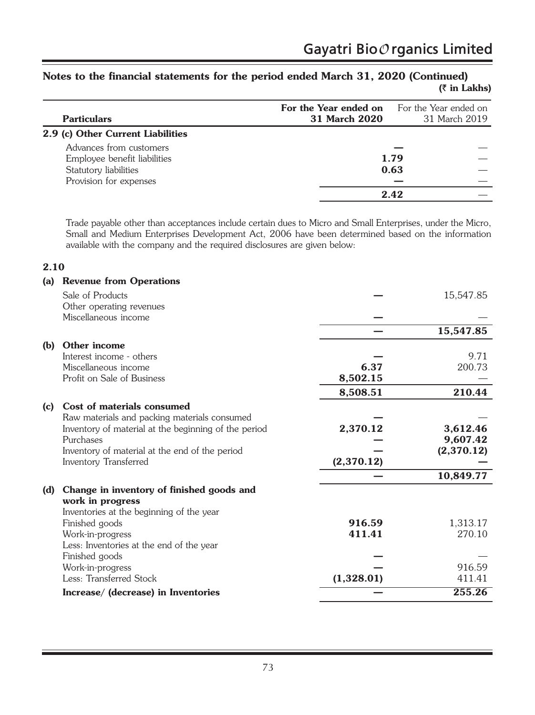| <b>Particulars</b>                                                                                         | For the Year ended on<br>31 March 2020 | For the Year ended on<br>31 March 2019 |
|------------------------------------------------------------------------------------------------------------|----------------------------------------|----------------------------------------|
| 2.9 (c) Other Current Liabilities                                                                          |                                        |                                        |
| Advances from customers<br>Employee benefit liabilities<br>Statutory liabilities<br>Provision for expenses |                                        | 1.79<br>0.63                           |
|                                                                                                            |                                        | 2.42                                   |
|                                                                                                            |                                        |                                        |

Trade payable other than acceptances include certain dues to Micro and Small Enterprises, under the Micro, Small and Medium Enterprises Development Act, 2006 have been determined based on the information available with the company and the required disclosures are given below:

# 2.10

| (a) | <b>Revenue from Operations</b>                       |            |            |
|-----|------------------------------------------------------|------------|------------|
|     | Sale of Products                                     |            | 15,547.85  |
|     | Other operating revenues                             |            |            |
|     | Miscellaneous income                                 |            |            |
|     |                                                      |            | 15,547.85  |
| (b) | Other income                                         |            |            |
|     | Interest income - others                             |            | 9.71       |
|     | Miscellaneous income                                 | 6.37       | 200.73     |
|     | Profit on Sale of Business                           | 8,502.15   |            |
|     |                                                      | 8,508.51   | 210.44     |
| (c) | Cost of materials consumed                           |            |            |
|     | Raw materials and packing materials consumed         |            |            |
|     | Inventory of material at the beginning of the period | 2,370.12   | 3,612.46   |
|     | Purchases                                            |            | 9,607.42   |
|     | Inventory of material at the end of the period       |            | (2,370.12) |
|     | <b>Inventory Transferred</b>                         | (2,370.12) |            |
|     |                                                      |            | 10,849.77  |
| (d) | Change in inventory of finished goods and            |            |            |
|     | work in progress                                     |            |            |
|     | Inventories at the beginning of the year             |            |            |
|     | Finished goods                                       | 916.59     | 1,313.17   |
|     | Work-in-progress                                     | 411.41     | 270.10     |
|     | Less: Inventories at the end of the year             |            |            |
|     | Finished goods                                       |            |            |
|     | Work-in-progress                                     |            | 916.59     |
|     | Less: Transferred Stock                              | (1,328.01) | 411.41     |
|     | Increase/ (decrease) in Inventories                  |            | 255.26     |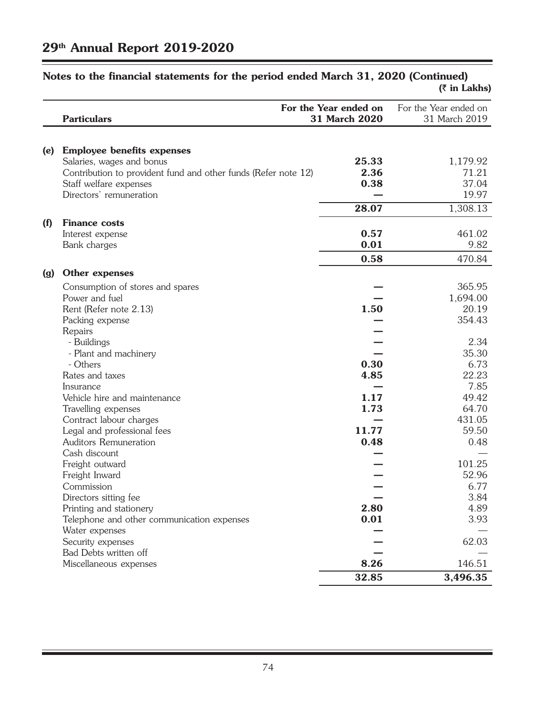|     |                                                                |                                        | (₹ in Lakhs)                           |
|-----|----------------------------------------------------------------|----------------------------------------|----------------------------------------|
|     | <b>Particulars</b>                                             | For the Year ended on<br>31 March 2020 | For the Year ended on<br>31 March 2019 |
|     |                                                                |                                        |                                        |
|     | (e) Employee benefits expenses                                 |                                        |                                        |
|     | Salaries, wages and bonus                                      | 25.33                                  | 1,179.92                               |
|     | Contribution to provident fund and other funds (Refer note 12) | 2.36                                   | 71.21                                  |
|     | Staff welfare expenses                                         | 0.38                                   | 37.04                                  |
|     | Directors' remuneration                                        |                                        | 19.97                                  |
|     |                                                                | 28.07                                  | 1,308.13                               |
| (f) | <b>Finance costs</b>                                           |                                        |                                        |
|     | Interest expense                                               | 0.57                                   | 461.02                                 |
|     | Bank charges                                                   | 0.01                                   | 9.82                                   |
|     |                                                                | 0.58                                   | 470.84                                 |
| (g) | Other expenses                                                 |                                        |                                        |
|     | Consumption of stores and spares                               |                                        | 365.95                                 |
|     | Power and fuel                                                 |                                        | 1,694.00                               |
|     | Rent (Refer note 2.13)                                         | 1.50                                   | 20.19                                  |
|     | Packing expense                                                |                                        | 354.43                                 |
|     | Repairs                                                        |                                        |                                        |
|     | - Buildings                                                    |                                        | 2.34                                   |
|     | - Plant and machinery                                          |                                        | 35.30                                  |
|     | - Others                                                       | 0.30                                   | 6.73                                   |
|     | Rates and taxes                                                | 4.85                                   | 22.23                                  |
|     | Insurance                                                      |                                        | 7.85                                   |
|     | Vehicle hire and maintenance                                   | 1.17<br>1.73                           | 49.42<br>64.70                         |
|     | Travelling expenses<br>Contract labour charges                 |                                        | 431.05                                 |
|     | Legal and professional fees                                    | 11.77                                  | 59.50                                  |
|     | Auditors Remuneration                                          | 0.48                                   | 0.48                                   |
|     | Cash discount                                                  |                                        |                                        |
|     | Freight outward                                                |                                        | 101.25                                 |
|     | Freight Inward                                                 |                                        | 52.96                                  |
|     | Commission                                                     |                                        | 6.77                                   |
|     | Directors sitting fee                                          |                                        | 3.84                                   |
|     | Printing and stationery                                        | 2.80                                   | 4.89                                   |
|     | Telephone and other communication expenses                     | 0.01                                   | 3.93                                   |
|     | Water expenses                                                 |                                        |                                        |
|     | Security expenses                                              |                                        | 62.03                                  |
|     | Bad Debts written off                                          |                                        |                                        |
|     | Miscellaneous expenses                                         | 8.26                                   | 146.51                                 |
|     |                                                                | 32.85                                  | 3,496.35                               |

# 29th Annual Report 2019-2020

# Notes to the financial statements for the period ended March 31, 2020 (Continued)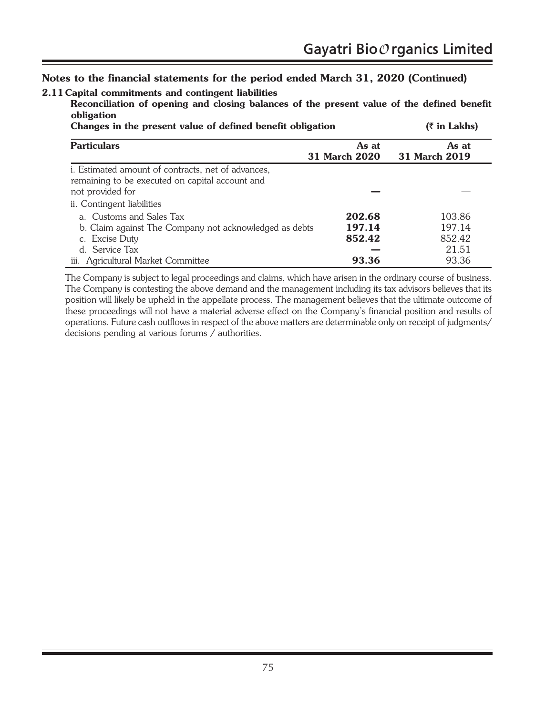# 2.11 Capital commitments and contingent liabilities

Reconciliation of opening and closing balances of the present value of the defined benefit obligation

| Changes in the present value of defined benefit obligation                                                                |                  | $(3 \in \mathsf{Lakhs})$      |  |
|---------------------------------------------------------------------------------------------------------------------------|------------------|-------------------------------|--|
| <b>Particulars</b><br>As at<br><b>31 March 2020</b>                                                                       |                  | As at<br><b>31 March 2019</b> |  |
| i. Estimated amount of contracts, net of advances,<br>remaining to be executed on capital account and<br>not provided for |                  |                               |  |
| ii. Contingent liabilities                                                                                                |                  |                               |  |
| a. Customs and Sales Tax                                                                                                  | 202.68<br>197.14 | 103.86<br>197.14              |  |
| b. Claim against The Company not acknowledged as debts<br>c. Excise Duty                                                  | 852.42           | 852.42                        |  |
| d. Service Tax                                                                                                            |                  | 21.51                         |  |
| iii. Agricultural Market Committee                                                                                        | 93.36            | 93.36                         |  |

The Company is subject to legal proceedings and claims, which have arisen in the ordinary course of business. The Company is contesting the above demand and the management including its tax advisors believes that its position will likely be upheld in the appellate process. The management believes that the ultimate outcome of these proceedings will not have a material adverse effect on the Company's financial position and results of operations. Future cash outflows in respect of the above matters are determinable only on receipt of judgments/ decisions pending at various forums / authorities.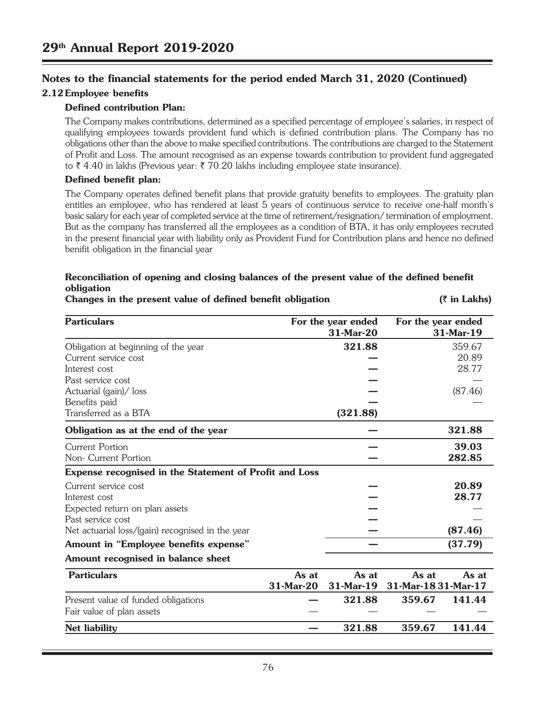# 2.12 Employee benefits

#### Defined contribution Plan:

The Company makes contributions, determined as a specified percentage of employee's salaries, in respect of qualifying employees towards provident fund which is defined contribution plans. The Company has no obligations other than the above to make specified contributions. The contributions are charged to the Statement of Profit and Loss. The amount recognised as an expense towards contribution to provident fund aggregated to  $\bar{\tau}$  4.40 in lakhs (Previous year:  $\bar{\tau}$  70.20 lakhs including employee state insurance).

#### Defined benefit plan:

The Company operates defined benefit plans that provide gratuity benefits to employees. The gratuity plan entitles an employee, who has rendered at least 5 years of continuous service to receive one-half month's basic salary for each year of completed service at the time of retirement/resignation/ termination of employment. But as the company has transferred all the employees as a condition of BTA, it has only employees recruted in the present financial year with liability only as Provident Fund for Contribution plans and hence no defined benifit obligation in the financial year

### Reconciliation of opening and closing balances of the present value of the defined benefit obligation

| Changes in the present value of defined benefit obligation |  |
|------------------------------------------------------------|--|
|------------------------------------------------------------|--|

 $($ ₹ in Lakhs)

| <b>Particulars</b>                                     |           | For the year ended<br>31-Mar-20 | For the year ended | 31-Mar-19 |
|--------------------------------------------------------|-----------|---------------------------------|--------------------|-----------|
| Obligation at beginning of the year                    |           | 321.88                          |                    | 359.67    |
| Current service cost                                   |           |                                 |                    | 20.89     |
| Interest cost                                          |           |                                 |                    | 28.77     |
| Past service cost                                      |           |                                 |                    |           |
| Actuarial (gain)/ loss                                 |           |                                 |                    | (87.46)   |
| Benefits paid                                          |           |                                 |                    |           |
| Transferred as a BTA                                   |           | (321.88)                        |                    |           |
| Obligation as at the end of the year                   |           |                                 |                    | 321.88    |
| Current Portion                                        |           |                                 |                    | 39.03     |
| Non- Current Portion                                   |           |                                 |                    | 282.85    |
| Expense recognised in the Statement of Profit and Loss |           |                                 |                    |           |
| Current service cost                                   |           |                                 |                    | 20.89     |
| Interest cost                                          |           |                                 |                    | 28.77     |
| Expected return on plan assets                         |           |                                 |                    |           |
| Past service cost                                      |           |                                 |                    |           |
| Net actuarial loss/(gain) recognised in the year       |           |                                 |                    | (87.46)   |
| Amount in "Employee benefits expense"                  |           |                                 |                    | (37.79)   |
| Amount recognised in balance sheet                     |           |                                 |                    |           |
| <b>Particulars</b>                                     | As at     | As at                           | As at              | As at     |
|                                                        | 31-Mar-20 | 31-Mar-19                       | 31-Mar-1831-Mar-17 |           |
| Present value of funded obligations                    |           | 321.88                          | 359.67             | 141.44    |
| Fair value of plan assets                              |           |                                 |                    |           |
| <b>Net liability</b>                                   |           | 321.88                          | 359.67             | 141.44    |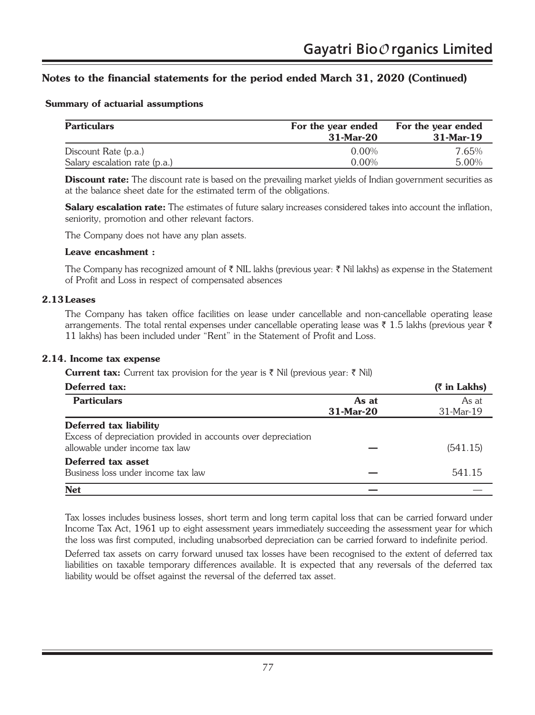#### Summary of actuarial assumptions

| <b>Particulars</b>            | For the year ended<br>$31-Mar-20$ | For the year ended<br>$31$ -Mar-19 |
|-------------------------------|-----------------------------------|------------------------------------|
| Discount Rate (p.a.)          | $0.00\%$                          | 7.65%                              |
| Salary escalation rate (p.a.) | $0.00\%$                          | 5.00%                              |

Discount rate: The discount rate is based on the prevailing market yields of Indian government securities as at the balance sheet date for the estimated term of the obligations.

Salary escalation rate: The estimates of future salary increases considered takes into account the inflation, seniority, promotion and other relevant factors.

The Company does not have any plan assets.

#### Leave encashment :

The Company has recognized amount of  $\bar{\tau}$  NIL lakhs (previous year:  $\bar{\tau}$  Nil lakhs) as expense in the Statement of Profit and Loss in respect of compensated absences

#### 2.13 Leases

The Company has taken office facilities on lease under cancellable and non-cancellable operating lease arrangements. The total rental expenses under cancellable operating lease was  $\bar{z}$  1.5 lakhs (previous year  $\bar{z}$ 11 lakhs) has been included under "Rent" in the Statement of Profit and Loss.

#### 2.14. Income tax expense

**Current tax:** Current tax provision for the year is  $\bar{\tau}$  Nil (previous year:  $\bar{\tau}$  Nil)

| Deferred tax:                                                                                   |                      | $(3 \in \mathsf{Lakhs})$ |
|-------------------------------------------------------------------------------------------------|----------------------|--------------------------|
| <b>Particulars</b>                                                                              | As at<br>$31-Mar-20$ | As at<br>$31-Mar-19$     |
| Deferred tax liability                                                                          |                      |                          |
| Excess of depreciation provided in accounts over depreciation<br>allowable under income tax law |                      | (541.15)                 |
| Deferred tax asset                                                                              |                      |                          |
| Business loss under income tax law                                                              |                      | 541.15                   |
| <b>Net</b>                                                                                      |                      |                          |

Tax losses includes business losses, short term and long term capital loss that can be carried forward under Income Tax Act, 1961 up to eight assessment years immediately succeeding the assessment year for which the loss was first computed, including unabsorbed depreciation can be carried forward to indefinite period.

Deferred tax assets on carry forward unused tax losses have been recognised to the extent of deferred tax liabilities on taxable temporary differences available. It is expected that any reversals of the deferred tax liability would be offset against the reversal of the deferred tax asset.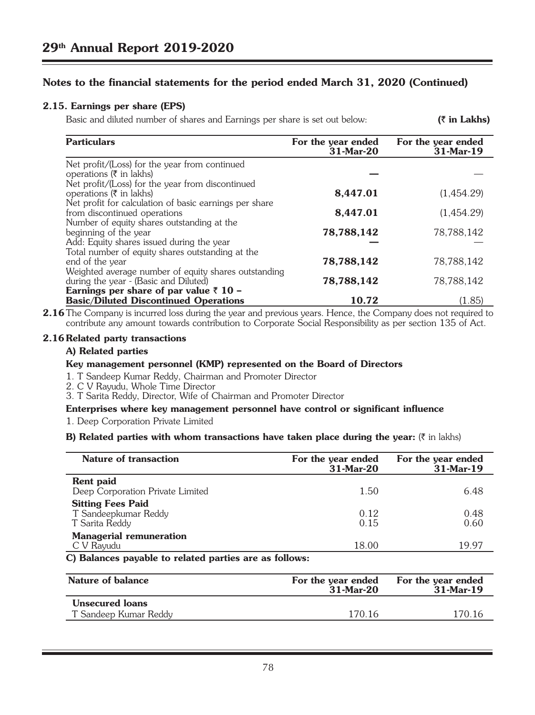#### 2.15. Earnings per share (EPS)

Basic and diluted number of shares and Earnings per share is set out below:  $(3 \text{ in Lakh})$ 

| <b>Particulars</b>                                     | For the year ended | For the year ended |
|--------------------------------------------------------|--------------------|--------------------|
|                                                        | $31-Mar-20$        | $31$ -Mar-19       |
| Net profit/(Loss) for the year from continued          |                    |                    |
| operations ( $\bar{\tau}$ in lakhs)                    |                    |                    |
| Net profit/(Loss) for the year from discontinued       |                    |                    |
| operations ( $\bar{\tau}$ in lakhs)                    | 8,447.01           | (1,454.29)         |
| Net profit for calculation of basic earnings per share |                    |                    |
| from discontinued operations                           | 8,447.01           | (1,454.29)         |
| Number of equity shares outstanding at the             |                    |                    |
| beginning of the year                                  | 78,788,142         | 78,788,142         |
| Add: Equity shares issued during the year              |                    |                    |
| Total number of equity shares outstanding at the       |                    |                    |
| end of the year                                        | 78,788,142         | 78,788,142         |
| Weighted average number of equity shares outstanding   |                    |                    |
| during the year - (Basic and Diluted)                  | 78,788,142         | 78,788,142         |
| Earnings per share of par value $\bar{z}$ 10 -         |                    |                    |
| <b>Basic/Diluted Discontinued Operations</b>           | 10.72              | (1.85)             |

2.16 The Company is incurred loss during the year and previous years. Hence, the Company does not required to contribute any amount towards contribution to Corporate Social Responsibility as per section 135 of Act.

#### 2.16 Related party transactions

#### A) Related parties

#### Key management personnel (KMP) represented on the Board of Directors

1. T Sandeep Kumar Reddy, Chairman and Promoter Director

2. C V Rayudu, Whole Time Director

3. T Sarita Reddy, Director, Wife of Chairman and Promoter Director

#### Enterprises where key management personnel have control or significant influence

1. Deep Corporation Private Limited

#### B) Related parties with whom transactions have taken place during the year:  $(\bar{z}$  in lakhs)

| Nature of transaction                                              | For the year ended<br>$31-Mar-20$ | For the year ended<br>$31$ -Mar-19 |
|--------------------------------------------------------------------|-----------------------------------|------------------------------------|
| <b>Rent</b> paid<br>Deep Corporation Private Limited               | 1.50                              | 6.48                               |
| <b>Sitting Fees Paid</b><br>T Sandeepkumar Reddy<br>T Sarita Reddy | 0.12<br>0.15                      | 0.48<br>0.60                       |
| <b>Managerial remuneration</b><br>C V Rayudu                       | 18.00                             | 19.97                              |
| C) Balances payable to related parties are as follows:             |                                   |                                    |

| Nature of balance      | For the year ended<br>$31-Mar-20$ | For the year ended<br>31-Mar-19 |
|------------------------|-----------------------------------|---------------------------------|
| <b>Unsecured loans</b> |                                   |                                 |
| T Sandeep Kumar Reddy  | 170.16                            | 170.16                          |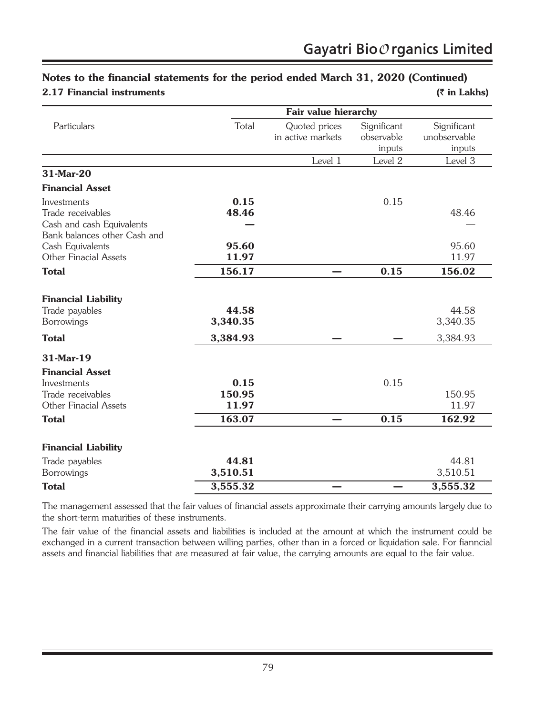# Notes to the financial statements for the period ended March 31, 2020 (Continued) 2.17 Financial instruments (` in Lakhs)

|                                                  |          | Fair value hierarchy               |                                     |                                       |
|--------------------------------------------------|----------|------------------------------------|-------------------------------------|---------------------------------------|
| Particulars                                      | Total    | Quoted prices<br>in active markets | Significant<br>observable<br>inputs | Significant<br>unobservable<br>inputs |
|                                                  |          | Level 1                            | Level 2                             | Level 3                               |
| 31-Mar-20                                        |          |                                    |                                     |                                       |
| <b>Financial Asset</b>                           |          |                                    |                                     |                                       |
| Investments                                      | 0.15     |                                    | 0.15                                |                                       |
| Trade receivables                                | 48.46    |                                    |                                     | 48.46                                 |
| Cash and cash Equivalents                        |          |                                    |                                     |                                       |
| Bank balances other Cash and                     | 95.60    |                                    |                                     | 95.60                                 |
| Cash Equivalents<br><b>Other Finacial Assets</b> | 11.97    |                                    |                                     | 11.97                                 |
| <b>Total</b>                                     | 156.17   |                                    | 0.15                                | 156.02                                |
|                                                  |          |                                    |                                     |                                       |
| <b>Financial Liability</b>                       |          |                                    |                                     |                                       |
| Trade payables                                   | 44.58    |                                    |                                     | 44.58                                 |
| <b>Borrowings</b>                                | 3,340.35 |                                    |                                     | 3,340.35                              |
| <b>Total</b>                                     | 3,384.93 |                                    |                                     | 3,384.93                              |
| 31-Mar-19                                        |          |                                    |                                     |                                       |
| <b>Financial Asset</b>                           |          |                                    |                                     |                                       |
| Investments                                      | 0.15     |                                    | 0.15                                |                                       |
| Trade receivables                                | 150.95   |                                    |                                     | 150.95                                |
| Other Finacial Assets                            | 11.97    |                                    |                                     | 11.97                                 |
| <b>Total</b>                                     | 163.07   |                                    | 0.15                                | 162.92                                |
| <b>Financial Liability</b>                       |          |                                    |                                     |                                       |
| Trade payables                                   | 44.81    |                                    |                                     | 44.81                                 |
| Borrowings                                       | 3,510.51 |                                    |                                     | 3,510.51                              |
| <b>Total</b>                                     | 3,555.32 |                                    |                                     | 3,555.32                              |

The management assessed that the fair values of financial assets approximate their carrying amounts largely due to the short-term maturities of these instruments.

The fair value of the financial assets and liabilities is included at the amount at which the instrument could be exchanged in a current transaction between willing parties, other than in a forced or liquidation sale. For fianncial assets and financial liabilities that are measured at fair value, the carrying amounts are equal to the fair value.